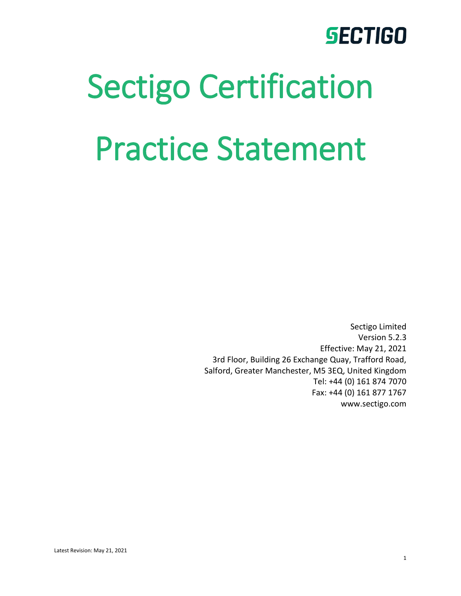# Sectigo Certification Practice Statement

Sectigo Limited Version 5.2.3 Effective: May 21, 2021 3rd Floor, Building 26 Exchange Quay, Trafford Road, Salford, Greater Manchester, M5 3EQ, United Kingdom Tel: +44 (0) 161 874 7070 Fax: +44 (0) 161 877 1767 www.sectigo.com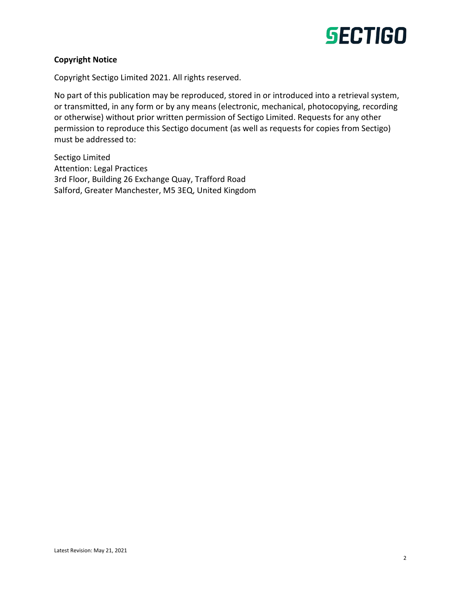

#### **Copyright Notice**

Copyright Sectigo Limited 2021. All rights reserved.

No part of this publication may be reproduced, stored in or introduced into a retrieval system, or transmitted, in any form or by any means (electronic, mechanical, photocopying, recording or otherwise) without prior written permission of Sectigo Limited. Requests for any other permission to reproduce this Sectigo document (as well as requests for copies from Sectigo) must be addressed to:

Sectigo Limited Attention: Legal Practices 3rd Floor, Building 26 Exchange Quay, Trafford Road Salford, Greater Manchester, M5 3EQ, United Kingdom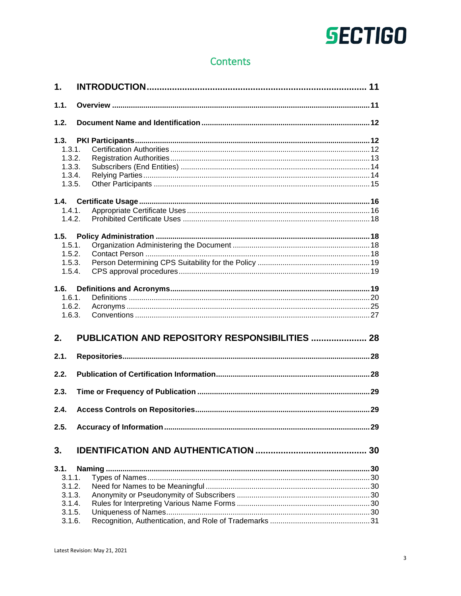### **Contents**

| $\mathbf 1$ .                                                    |                                                 |  |
|------------------------------------------------------------------|-------------------------------------------------|--|
| 1.1.                                                             |                                                 |  |
| 1.2.                                                             |                                                 |  |
| 1.3.<br>1.3.1.<br>1.3.2.<br>1.3.3.<br>1.3.4.<br>1.3.5.           |                                                 |  |
| 1.4.1.<br>1.4.2.                                                 |                                                 |  |
| 1.5.<br>1.5.1.<br>1.5.2.<br>1.5.3.<br>1.5.4.                     |                                                 |  |
| 1.6.<br>1.6.1.<br>1.6.2.<br>1.6.3.<br>2.                         | PUBLICATION AND REPOSITORY RESPONSIBILITIES  28 |  |
| 2.1.                                                             |                                                 |  |
| 2.2.                                                             |                                                 |  |
| 2.3.                                                             |                                                 |  |
| 2.4.                                                             |                                                 |  |
| 2.5.                                                             |                                                 |  |
| 3.                                                               |                                                 |  |
| 3.1.<br>3.1.1.<br>3.1.2.<br>3.1.3.<br>3.1.4.<br>3.1.5.<br>3.1.6. |                                                 |  |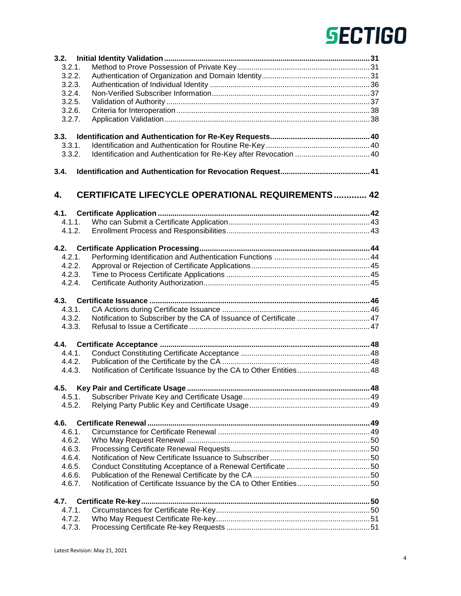| 3.2.   |                                                                     |    |
|--------|---------------------------------------------------------------------|----|
| 3.2.1. |                                                                     |    |
| 3.2.2. |                                                                     |    |
| 3.2.3. |                                                                     |    |
| 3.2.4. |                                                                     |    |
| 3.2.5. |                                                                     |    |
| 3.2.6. |                                                                     |    |
| 3.2.7. |                                                                     |    |
|        |                                                                     |    |
| 3.3.   |                                                                     |    |
| 3.3.1. |                                                                     |    |
| 3.3.2. |                                                                     |    |
|        |                                                                     |    |
| 3.4.   |                                                                     |    |
|        |                                                                     |    |
| 4.     | <b>CERTIFICATE LIFECYCLE OPERATIONAL REQUIREMENTS 42</b>            |    |
|        |                                                                     |    |
| 4.1.   |                                                                     |    |
| 4.1.1. |                                                                     |    |
| 4.1.2. |                                                                     |    |
|        |                                                                     |    |
| 4.2.   |                                                                     |    |
| 4.2.1. |                                                                     |    |
| 4.2.2. |                                                                     |    |
| 4.2.3. |                                                                     |    |
| 4.2.4. |                                                                     |    |
|        |                                                                     |    |
|        |                                                                     |    |
| 4.3.1. |                                                                     |    |
| 4.3.2. | Notification to Subscriber by the CA of Issuance of Certificate  47 |    |
| 4.3.3. |                                                                     |    |
|        |                                                                     |    |
|        |                                                                     |    |
| 4.4.1. |                                                                     |    |
| 4.4.2. |                                                                     |    |
| 4.4.3. |                                                                     |    |
|        |                                                                     |    |
| 4.5.   | Key Pair and Certificate Usage                                      | 48 |
| 4.5.1. |                                                                     |    |
| 4.5.2. |                                                                     |    |
|        |                                                                     |    |
| 4.6.   |                                                                     |    |
| 4.6.1. |                                                                     |    |
| 4.6.2. |                                                                     |    |
| 4.6.3. |                                                                     |    |
| 4.6.4. |                                                                     |    |
| 4.6.5. |                                                                     |    |
| 4.6.6. |                                                                     |    |
| 4.6.7. |                                                                     |    |
| 4.7.   |                                                                     |    |
| 4.7.1. |                                                                     |    |
| 4.7.2. |                                                                     |    |
| 4.7.3. |                                                                     |    |
|        |                                                                     |    |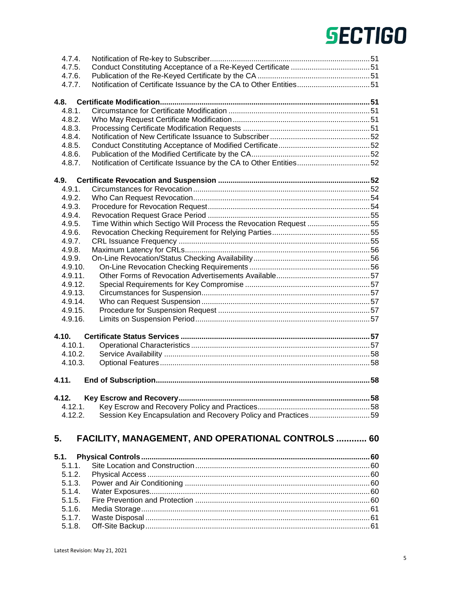| 4.7.4.           |                                                                  |  |
|------------------|------------------------------------------------------------------|--|
| 4.7.5.           |                                                                  |  |
| 4.7.6.           |                                                                  |  |
| 4.7.7.           |                                                                  |  |
|                  |                                                                  |  |
| 4.8.             |                                                                  |  |
| 4.8.1.           |                                                                  |  |
| 4.8.2.           |                                                                  |  |
| 4.8.3.           |                                                                  |  |
| 4.8.4.           |                                                                  |  |
| 4.8.5.           |                                                                  |  |
| 4.8.6.           |                                                                  |  |
| 4.8.7.           |                                                                  |  |
|                  |                                                                  |  |
| 4.9.             |                                                                  |  |
| 4.9.1.           |                                                                  |  |
| 4.9.2.           |                                                                  |  |
| 4.9.3.           |                                                                  |  |
| 4.9.4.           |                                                                  |  |
| 4.9.5.           | Time Within which Sectigo Will Process the Revocation Request 55 |  |
| 4.9.6.           |                                                                  |  |
| 4.9.7.           |                                                                  |  |
| 4.9.8.           |                                                                  |  |
|                  |                                                                  |  |
| 4.9.9.           |                                                                  |  |
| 4.9.10.          |                                                                  |  |
| 4.9.11.          |                                                                  |  |
| 4.9.12.          |                                                                  |  |
| 4.9.13.          |                                                                  |  |
| 4.9.14.          |                                                                  |  |
| 4.9.15.          |                                                                  |  |
| 4.9.16.          |                                                                  |  |
|                  |                                                                  |  |
| 4.10.            |                                                                  |  |
| 4.10.1.          |                                                                  |  |
| 4.10.2.          |                                                                  |  |
| 4.10.3.          |                                                                  |  |
| 4.11.            |                                                                  |  |
|                  |                                                                  |  |
| 4.12.            |                                                                  |  |
| 4.12.1.          |                                                                  |  |
| 4.12.2.          | Session Key Encapsulation and Recovery Policy and Practices59    |  |
|                  |                                                                  |  |
| 5.               | <b>FACILITY, MANAGEMENT, AND OPERATIONAL CONTROLS  60</b>        |  |
|                  |                                                                  |  |
| 5.1.             |                                                                  |  |
| 5.1.1.           |                                                                  |  |
| 5.1.2.           |                                                                  |  |
|                  |                                                                  |  |
| 5.1.3.           |                                                                  |  |
| 5.1.4.           |                                                                  |  |
| 5.1.5.           |                                                                  |  |
| 5.1.6.           |                                                                  |  |
| 5.1.7.<br>5.1.8. |                                                                  |  |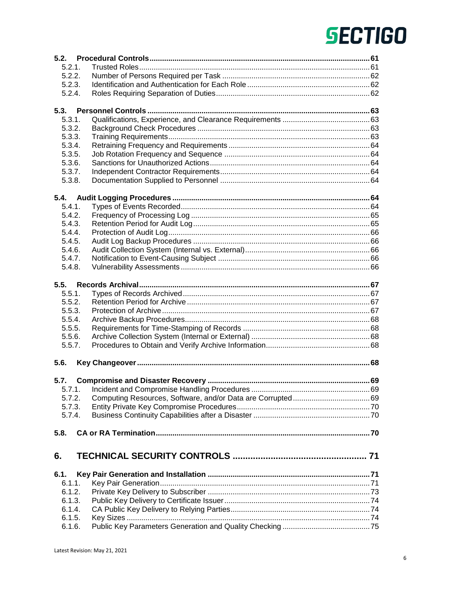| 5.2.   |  |
|--------|--|
| 5.2.1. |  |
| 5.2.2. |  |
| 5.2.3. |  |
| 5.2.4. |  |
|        |  |
| 5.3.   |  |
| 5.3.1. |  |
| 5.3.2. |  |
| 5.3.3. |  |
| 5.3.4. |  |
| 5.3.5. |  |
| 5.3.6. |  |
| 5.3.7. |  |
| 5.3.8. |  |
| 5.4.   |  |
| 5.4.1. |  |
| 5.4.2. |  |
| 5.4.3. |  |
| 5.4.4. |  |
| 5.4.5. |  |
| 5.4.6. |  |
| 5.4.7. |  |
| 5.4.8. |  |
|        |  |
| 5.5.   |  |
| 5.5.1. |  |
| 5.5.2. |  |
| 5.5.3. |  |
| 5.5.4. |  |
| 5.5.5. |  |
| 5.5.6. |  |
| 5.5.7. |  |
| 5.6.   |  |
| 5.7.   |  |
| 5.7.1. |  |
| 5.7.2. |  |
| 5.7.3. |  |
| 5.7.4. |  |
| 5.8.   |  |
|        |  |
| 6.     |  |
| 6.1.   |  |
| 6.1.1. |  |
| 6.1.2. |  |
| 6.1.3. |  |
| 6.1.4. |  |
| 6.1.5. |  |
| 6.1.6. |  |
|        |  |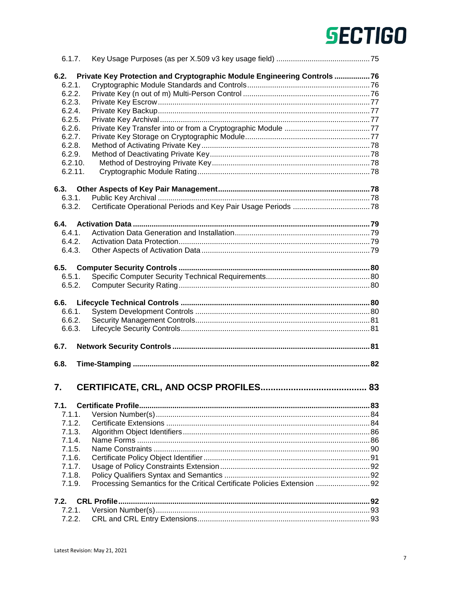| 6.1.7.  |                                                                          |    |
|---------|--------------------------------------------------------------------------|----|
| 6.2.    | Private Key Protection and Cryptographic Module Engineering Controls 76  |    |
| 6.2.1.  |                                                                          |    |
| 6.2.2.  |                                                                          |    |
| 6.2.3.  |                                                                          |    |
| 6.2.4.  |                                                                          |    |
| 6.2.5.  |                                                                          |    |
| 6.2.6.  |                                                                          |    |
| 6.2.7.  |                                                                          |    |
| 6.2.8.  |                                                                          |    |
| 6.2.9.  |                                                                          |    |
| 6.2.10. |                                                                          |    |
| 6.2.11. |                                                                          |    |
|         |                                                                          |    |
| 6.3.    |                                                                          |    |
| 6.3.1.  |                                                                          |    |
| 6.3.2.  |                                                                          |    |
|         |                                                                          |    |
| 6.4.    |                                                                          |    |
| 6.4.1   |                                                                          |    |
| 6.4.2.  |                                                                          |    |
| 6.4.3.  |                                                                          |    |
|         |                                                                          |    |
| 6.5.    |                                                                          |    |
| 6.5.1.  |                                                                          |    |
| 6.5.2.  |                                                                          |    |
|         |                                                                          |    |
| 6.6.    |                                                                          |    |
| 6.6.1.  |                                                                          |    |
| 6.6.2.  |                                                                          |    |
| 6.6.3.  |                                                                          |    |
|         |                                                                          |    |
| 6.7.    |                                                                          |    |
|         |                                                                          |    |
| 6.8.    |                                                                          |    |
|         |                                                                          |    |
|         |                                                                          |    |
| 7.      | <b>CERTIFICATE, CRL, AND OCSP PROFILES</b>                               | 83 |
|         |                                                                          |    |
| 7.1.    |                                                                          |    |
| 7.1.1.  |                                                                          |    |
| 7.1.2.  |                                                                          |    |
| 7.1.3.  |                                                                          |    |
| 7.1.4.  |                                                                          |    |
| 7.1.5.  |                                                                          |    |
| 7.1.6.  |                                                                          |    |
| 7.1.7.  |                                                                          |    |
| 7.1.8.  |                                                                          |    |
| 7.1.9.  | Processing Semantics for the Critical Certificate Policies Extension  92 |    |
|         |                                                                          |    |
| 7.2.    |                                                                          |    |
| 7.2.1.  |                                                                          |    |
| 7.2.2.  |                                                                          |    |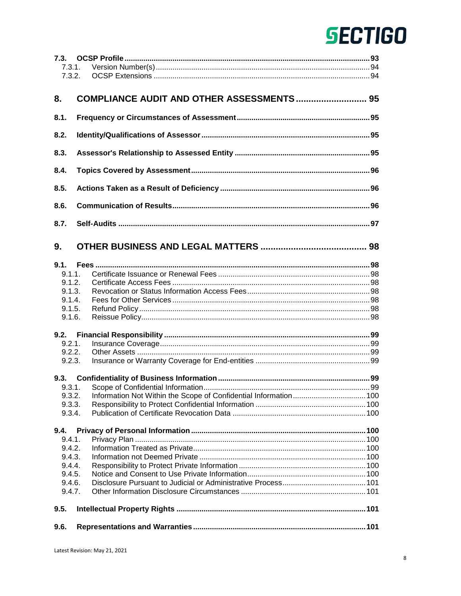| 7.3.1. |                                                   |  |
|--------|---------------------------------------------------|--|
| 7.3.2. |                                                   |  |
|        |                                                   |  |
| 8.     | <b>COMPLIANCE AUDIT AND OTHER ASSESSMENTS  95</b> |  |
|        |                                                   |  |
| 8.1.   |                                                   |  |
|        |                                                   |  |
| 8.2.   |                                                   |  |
|        |                                                   |  |
| 8.3.   |                                                   |  |
|        |                                                   |  |
| 8.4.   |                                                   |  |
|        |                                                   |  |
| 8.5.   |                                                   |  |
|        |                                                   |  |
| 8.6.   |                                                   |  |
|        |                                                   |  |
| 8.7.   |                                                   |  |
|        |                                                   |  |
|        |                                                   |  |
| 9.     |                                                   |  |
|        |                                                   |  |
|        |                                                   |  |
| 9.1.1. |                                                   |  |
| 9.1.2. |                                                   |  |
| 9.1.3. |                                                   |  |
| 9.1.4. |                                                   |  |
| 9.1.5. |                                                   |  |
| 9.1.6. |                                                   |  |
|        |                                                   |  |
| 9.2.   |                                                   |  |
| 9.2.1. |                                                   |  |
| 9.2.2. |                                                   |  |
| 9.2.3. |                                                   |  |
|        |                                                   |  |
| 9.3.   |                                                   |  |
| 9.3.1. |                                                   |  |
| 9.3.2. |                                                   |  |
| 9.3.3. |                                                   |  |
| 9.3.4. |                                                   |  |
|        |                                                   |  |
| 9.4.   |                                                   |  |
| 9.4.1. |                                                   |  |
| 9.4.2. |                                                   |  |
| 9.4.3. |                                                   |  |
| 9.4.4. |                                                   |  |
| 9.4.5. |                                                   |  |
| 9.4.6. |                                                   |  |
| 9.4.7. |                                                   |  |
|        |                                                   |  |
| 9.5.   |                                                   |  |
|        |                                                   |  |
| 9.6.   |                                                   |  |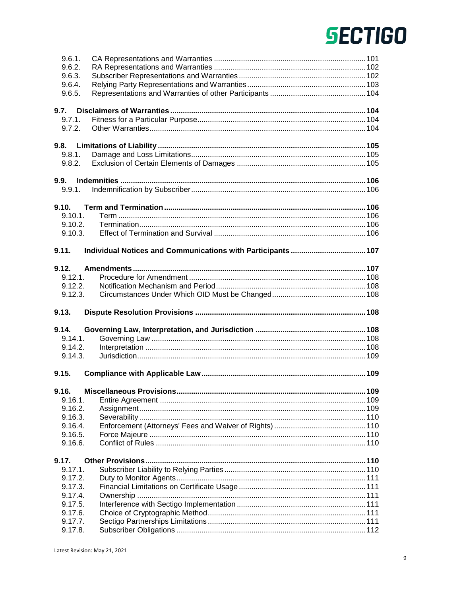| 9.6.1.             |  |
|--------------------|--|
| 9.6.2.             |  |
| 9.6.3.             |  |
| 9.6.4.             |  |
| 9.6.5.             |  |
|                    |  |
| 9.7.               |  |
| 9.7.1.             |  |
| 9.7.2.             |  |
| 9.8.               |  |
| 9.8.1.             |  |
| 9.8.2.             |  |
|                    |  |
| 9.9.               |  |
| 9.9.1.             |  |
| 9.10.              |  |
| $9.10.1$ .         |  |
| 9.10.2.            |  |
| 9.10.3.            |  |
|                    |  |
| 9.11.              |  |
|                    |  |
| 9.12.<br>9.12.1.   |  |
| 9.12.2.            |  |
| 9.12.3.            |  |
|                    |  |
|                    |  |
| 9.13.              |  |
|                    |  |
| 9.14.              |  |
| 9.14.1.            |  |
| 9.14.2.            |  |
| 9.14.3.            |  |
| 9.15.              |  |
|                    |  |
|                    |  |
| 9.16.1.            |  |
| 9.16.2.            |  |
| 9.16.3.            |  |
| 9.16.4.            |  |
| 9.16.5.            |  |
| 9.16.6.            |  |
| 9.17.              |  |
| $9.17.1$ .         |  |
| 9.17.2.            |  |
| 9.17.3.            |  |
| 9.17.4.            |  |
| 9.17.5.            |  |
| 9.17.6.            |  |
| 9.17.7.<br>9.17.8. |  |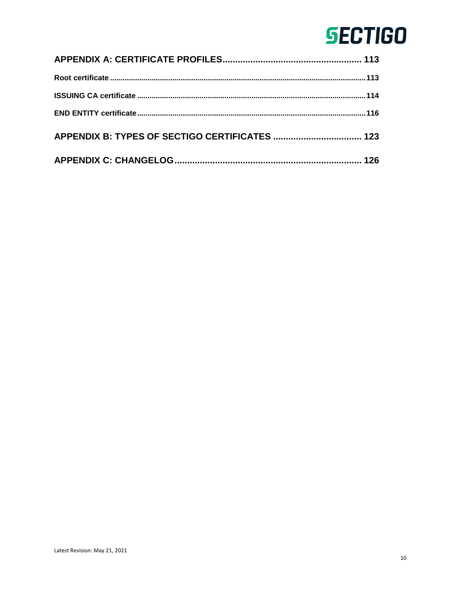| 126 |
|-----|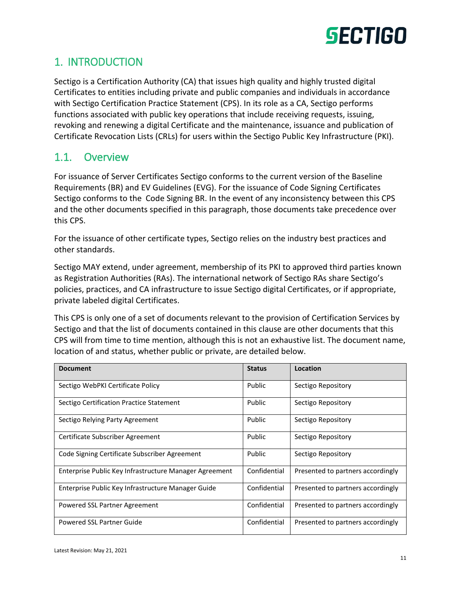

### <span id="page-10-0"></span>1. INTRODUCTION

Sectigo is a Certification Authority (CA) that issues high quality and highly trusted digital Certificates to entities including private and public companies and individuals in accordance with Sectigo Certification Practice Statement (CPS). In its role as a CA, Sectigo performs functions associated with public key operations that include receiving requests, issuing, revoking and renewing a digital Certificate and the maintenance, issuance and publication of Certificate Revocation Lists (CRLs) for users within the Sectigo Public Key Infrastructure (PKI).

### <span id="page-10-1"></span>1.1. Overview

For issuance of Server Certificates Sectigo conforms to the current version of the Baseline Requirements (BR) and EV Guidelines (EVG). For the issuance of Code Signing Certificates Sectigo conforms to the Code Signing BR. In the event of any inconsistency between this CPS and the other documents specified in this paragraph, those documents take precedence over this CPS.

For the issuance of other certificate types, Sectigo relies on the industry best practices and other standards.

Sectigo MAY extend, under agreement, membership of its PKI to approved third parties known as Registration Authorities (RAs). The international network of Sectigo RAs share Sectigo's policies, practices, and CA infrastructure to issue Sectigo digital Certificates, or if appropriate, private labeled digital Certificates.

This CPS is only one of a set of documents relevant to the provision of Certification Services by Sectigo and that the list of documents contained in this clause are other documents that this CPS will from time to time mention, although this is not an exhaustive list. The document name, location of and status, whether public or private, are detailed below.

| <b>Document</b>                                        | <b>Status</b> | Location                          |
|--------------------------------------------------------|---------------|-----------------------------------|
| Sectigo WebPKI Certificate Policy                      | Public        | Sectigo Repository                |
| Sectigo Certification Practice Statement               | Public        | Sectigo Repository                |
| Sectigo Relying Party Agreement                        | Public        | Sectigo Repository                |
| Certificate Subscriber Agreement                       | Public        | Sectigo Repository                |
| Code Signing Certificate Subscriber Agreement          | Public        | Sectigo Repository                |
| Enterprise Public Key Infrastructure Manager Agreement | Confidential  | Presented to partners accordingly |
| Enterprise Public Key Infrastructure Manager Guide     | Confidential  | Presented to partners accordingly |
| Powered SSL Partner Agreement                          | Confidential  | Presented to partners accordingly |
| Powered SSL Partner Guide                              | Confidential  | Presented to partners accordingly |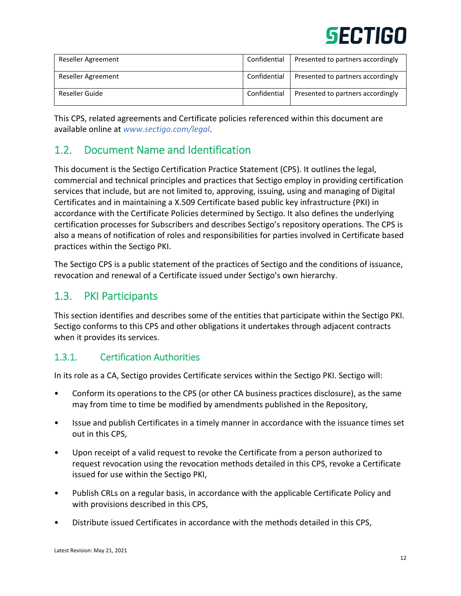| Reseller Agreement | Confidential | Presented to partners accordingly |
|--------------------|--------------|-----------------------------------|
| Reseller Agreement | Confidential | Presented to partners accordingly |
| Reseller Guide     | Confidential | Presented to partners accordingly |

This CPS, related agreements and Certificate policies referenced within this document are available online at *[www.sectigo.com/legal](https://www.sectigo.com/legal)*.

### <span id="page-11-0"></span>1.2. Document Name and Identification

This document is the Sectigo Certification Practice Statement (CPS). It outlines the legal, commercial and technical principles and practices that Sectigo employ in providing certification services that include, but are not limited to, approving, issuing, using and managing of Digital Certificates and in maintaining a X.509 Certificate based public key infrastructure (PKI) in accordance with the Certificate Policies determined by Sectigo. It also defines the underlying certification processes for Subscribers and describes Sectigo's repository operations. The CPS is also a means of notification of roles and responsibilities for parties involved in Certificate based practices within the Sectigo PKI.

The Sectigo CPS is a public statement of the practices of Sectigo and the conditions of issuance, revocation and renewal of a Certificate issued under Sectigo's own hierarchy.

### <span id="page-11-1"></span>1.3. PKI Participants

This section identifies and describes some of the entities that participate within the Sectigo PKI. Sectigo conforms to this CPS and other obligations it undertakes through adjacent contracts when it provides its services.

### <span id="page-11-2"></span>1.3.1. Certification Authorities

In its role as a CA, Sectigo provides Certificate services within the Sectigo PKI. Sectigo will:

- Conform its operations to the CPS (or other CA business practices disclosure), as the same may from time to time be modified by amendments published in the Repository,
- Issue and publish Certificates in a timely manner in accordance with the issuance times set out in this CPS,
- Upon receipt of a valid request to revoke the Certificate from a person authorized to request revocation using the revocation methods detailed in this CPS, revoke a Certificate issued for use within the Sectigo PKI,
- Publish CRLs on a regular basis, in accordance with the applicable Certificate Policy and with provisions described in this CPS,
- Distribute issued Certificates in accordance with the methods detailed in this CPS,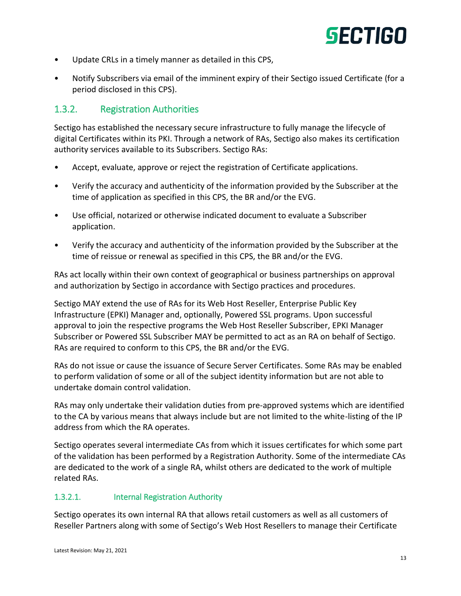- Update CRLs in a timely manner as detailed in this CPS,
- Notify Subscribers via email of the imminent expiry of their Sectigo issued Certificate (for a period disclosed in this CPS).

### <span id="page-12-0"></span>1.3.2. Registration Authorities

Sectigo has established the necessary secure infrastructure to fully manage the lifecycle of digital Certificates within its PKI. Through a network of RAs, Sectigo also makes its certification authority services available to its Subscribers. Sectigo RAs:

- Accept, evaluate, approve or reject the registration of Certificate applications.
- Verify the accuracy and authenticity of the information provided by the Subscriber at the time of application as specified in this CPS, the BR and/or the EVG.
- Use official, notarized or otherwise indicated document to evaluate a Subscriber application.
- Verify the accuracy and authenticity of the information provided by the Subscriber at the time of reissue or renewal as specified in this CPS, the BR and/or the EVG.

RAs act locally within their own context of geographical or business partnerships on approval and authorization by Sectigo in accordance with Sectigo practices and procedures.

Sectigo MAY extend the use of RAs for its Web Host Reseller, Enterprise Public Key Infrastructure (EPKI) Manager and, optionally, Powered SSL programs. Upon successful approval to join the respective programs the Web Host Reseller Subscriber, EPKI Manager Subscriber or Powered SSL Subscriber MAY be permitted to act as an RA on behalf of Sectigo. RAs are required to conform to this CPS, the BR and/or the EVG.

RAs do not issue or cause the issuance of Secure Server Certificates. Some RAs may be enabled to perform validation of some or all of the subject identity information but are not able to undertake domain control validation.

RAs may only undertake their validation duties from pre-approved systems which are identified to the CA by various means that always include but are not limited to the white-listing of the IP address from which the RA operates.

Sectigo operates several intermediate CAs from which it issues certificates for which some part of the validation has been performed by a Registration Authority. Some of the intermediate CAs are dedicated to the work of a single RA, whilst others are dedicated to the work of multiple related RAs.

### 1.3.2.1. Internal Registration Authority

Sectigo operates its own internal RA that allows retail customers as well as all customers of Reseller Partners along with some of Sectigo's Web Host Resellers to manage their Certificate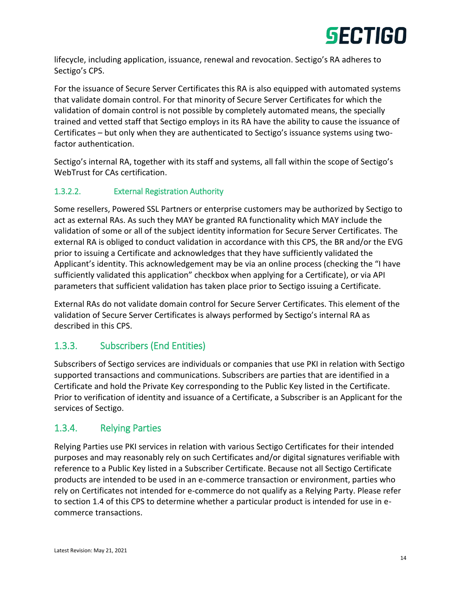

lifecycle, including application, issuance, renewal and revocation. Sectigo's RA adheres to Sectigo's CPS.

For the issuance of Secure Server Certificates this RA is also equipped with automated systems that validate domain control. For that minority of Secure Server Certificates for which the validation of domain control is not possible by completely automated means, the specially trained and vetted staff that Sectigo employs in its RA have the ability to cause the issuance of Certificates – but only when they are authenticated to Sectigo's issuance systems using twofactor authentication.

Sectigo's internal RA, together with its staff and systems, all fall within the scope of Sectigo's WebTrust for CAs certification.

### 1.3.2.2. External Registration Authority

Some resellers, Powered SSL Partners or enterprise customers may be authorized by Sectigo to act as external RAs. As such they MAY be granted RA functionality which MAY include the validation of some or all of the subject identity information for Secure Server Certificates. The external RA is obliged to conduct validation in accordance with this CPS, the BR and/or the EVG prior to issuing a Certificate and acknowledges that they have sufficiently validated the Applicant's identity. This acknowledgement may be via an online process (checking the "I have sufficiently validated this application" checkbox when applying for a Certificate), or via API parameters that sufficient validation has taken place prior to Sectigo issuing a Certificate.

External RAs do not validate domain control for Secure Server Certificates. This element of the validation of Secure Server Certificates is always performed by Sectigo's internal RA as described in this CPS.

### <span id="page-13-0"></span>1.3.3. Subscribers (End Entities)

Subscribers of Sectigo services are individuals or companies that use PKI in relation with Sectigo supported transactions and communications. Subscribers are parties that are identified in a Certificate and hold the Private Key corresponding to the Public Key listed in the Certificate. Prior to verification of identity and issuance of a Certificate, a Subscriber is an Applicant for the services of Sectigo.

### <span id="page-13-1"></span>1.3.4. Relying Parties

Relying Parties use PKI services in relation with various Sectigo Certificates for their intended purposes and may reasonably rely on such Certificates and/or digital signatures verifiable with reference to a Public Key listed in a Subscriber Certificate. Because not all Sectigo Certificate products are intended to be used in an e-commerce transaction or environment, parties who rely on Certificates not intended for e-commerce do not qualify as a Relying Party. Please refer to section 1.4 of this CPS to determine whether a particular product is intended for use in ecommerce transactions.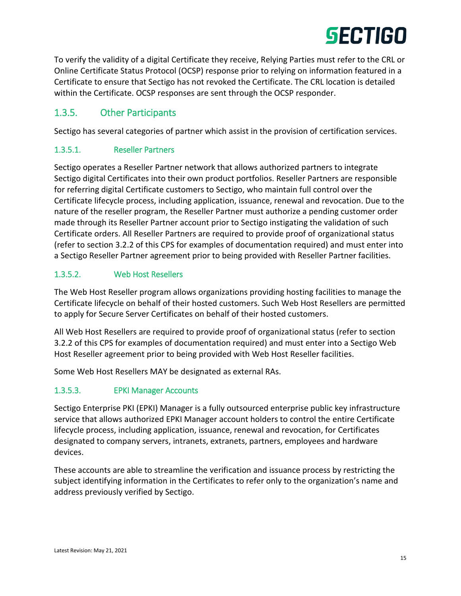To verify the validity of a digital Certificate they receive, Relying Parties must refer to the CRL or Online Certificate Status Protocol (OCSP) response prior to relying on information featured in a Certificate to ensure that Sectigo has not revoked the Certificate. The CRL location is detailed within the Certificate. OCSP responses are sent through the OCSP responder.

### <span id="page-14-0"></span>1.3.5. Other Participants

Sectigo has several categories of partner which assist in the provision of certification services.

### 1.3.5.1. Reseller Partners

Sectigo operates a Reseller Partner network that allows authorized partners to integrate Sectigo digital Certificates into their own product portfolios. Reseller Partners are responsible for referring digital Certificate customers to Sectigo, who maintain full control over the Certificate lifecycle process, including application, issuance, renewal and revocation. Due to the nature of the reseller program, the Reseller Partner must authorize a pending customer order made through its Reseller Partner account prior to Sectigo instigating the validation of such Certificate orders. All Reseller Partners are required to provide proof of organizational status (refer to section 3.2.2 of this CPS for examples of documentation required) and must enter into a Sectigo Reseller Partner agreement prior to being provided with Reseller Partner facilities.

### 1.3.5.2. Web Host Resellers

The Web Host Reseller program allows organizations providing hosting facilities to manage the Certificate lifecycle on behalf of their hosted customers. Such Web Host Resellers are permitted to apply for Secure Server Certificates on behalf of their hosted customers.

All Web Host Resellers are required to provide proof of organizational status (refer to section 3.2.2 of this CPS for examples of documentation required) and must enter into a Sectigo Web Host Reseller agreement prior to being provided with Web Host Reseller facilities.

Some Web Host Resellers MAY be designated as external RAs.

### 1.3.5.3. EPKI Manager Accounts

Sectigo Enterprise PKI (EPKI) Manager is a fully outsourced enterprise public key infrastructure service that allows authorized EPKI Manager account holders to control the entire Certificate lifecycle process, including application, issuance, renewal and revocation, for Certificates designated to company servers, intranets, extranets, partners, employees and hardware devices.

These accounts are able to streamline the verification and issuance process by restricting the subject identifying information in the Certificates to refer only to the organization's name and address previously verified by Sectigo.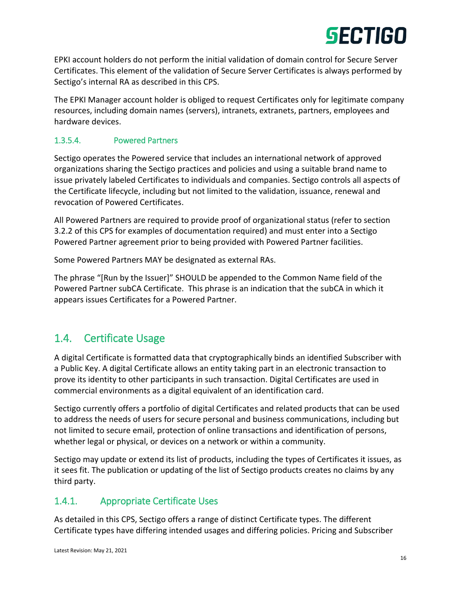

EPKI account holders do not perform the initial validation of domain control for Secure Server Certificates. This element of the validation of Secure Server Certificates is always performed by Sectigo's internal RA as described in this CPS.

The EPKI Manager account holder is obliged to request Certificates only for legitimate company resources, including domain names (servers), intranets, extranets, partners, employees and hardware devices.

### 1.3.5.4. Powered Partners

Sectigo operates the Powered service that includes an international network of approved organizations sharing the Sectigo practices and policies and using a suitable brand name to issue privately labeled Certificates to individuals and companies. Sectigo controls all aspects of the Certificate lifecycle, including but not limited to the validation, issuance, renewal and revocation of Powered Certificates.

All Powered Partners are required to provide proof of organizational status (refer to section 3.2.2 of this CPS for examples of documentation required) and must enter into a Sectigo Powered Partner agreement prior to being provided with Powered Partner facilities.

Some Powered Partners MAY be designated as external RAs.

The phrase "[Run by the Issuer]" SHOULD be appended to the Common Name field of the Powered Partner subCA Certificate. This phrase is an indication that the subCA in which it appears issues Certificates for a Powered Partner.

### <span id="page-15-0"></span>1.4. Certificate Usage

A digital Certificate is formatted data that cryptographically binds an identified Subscriber with a Public Key. A digital Certificate allows an entity taking part in an electronic transaction to prove its identity to other participants in such transaction. Digital Certificates are used in commercial environments as a digital equivalent of an identification card.

Sectigo currently offers a portfolio of digital Certificates and related products that can be used to address the needs of users for secure personal and business communications, including but not limited to secure email, protection of online transactions and identification of persons, whether legal or physical, or devices on a network or within a community.

Sectigo may update or extend its list of products, including the types of Certificates it issues, as it sees fit. The publication or updating of the list of Sectigo products creates no claims by any third party.

### <span id="page-15-1"></span>1.4.1. Appropriate Certificate Uses

As detailed in this CPS, Sectigo offers a range of distinct Certificate types. The different Certificate types have differing intended usages and differing policies. Pricing and Subscriber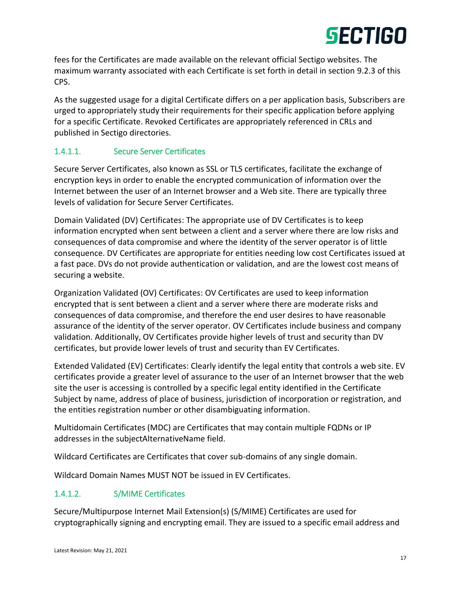fees for the Certificates are made available on the relevant official Sectigo websites. The maximum warranty associated with each Certificate is set forth in detail in section 9.2.3 of this CPS.

As the suggested usage for a digital Certificate differs on a per application basis, Subscribers are urged to appropriately study their requirements for their specific application before applying for a specific Certificate. Revoked Certificates are appropriately referenced in CRLs and published in Sectigo directories.

### 1.4.1.1. Secure Server Certificates

Secure Server Certificates, also known as SSL or TLS certificates, facilitate the exchange of encryption keys in order to enable the encrypted communication of information over the Internet between the user of an Internet browser and a Web site. There are typically three levels of validation for Secure Server Certificates.

Domain Validated (DV) Certificates: The appropriate use of DV Certificates is to keep information encrypted when sent between a client and a server where there are low risks and consequences of data compromise and where the identity of the server operator is of little consequence. DV Certificates are appropriate for entities needing low cost Certificates issued at a fast pace. DVs do not provide authentication or validation, and are the lowest cost means of securing a website.

Organization Validated (OV) Certificates: OV Certificates are used to keep information encrypted that is sent between a client and a server where there are moderate risks and consequences of data compromise, and therefore the end user desires to have reasonable assurance of the identity of the server operator. OV Certificates include business and company validation. Additionally, OV Certificates provide higher levels of trust and security than DV certificates, but provide lower levels of trust and security than EV Certificates.

Extended Validated (EV) Certificates: Clearly identify the legal entity that controls a web site. EV certificates provide a greater level of assurance to the user of an Internet browser that the web site the user is accessing is controlled by a specific legal entity identified in the Certificate Subject by name, address of place of business, jurisdiction of incorporation or registration, and the entities registration number or other disambiguating information.

Multidomain Certificates (MDC) are Certificates that may contain multiple FQDNs or IP addresses in the subjectAlternativeName field.

Wildcard Certificates are Certificates that cover sub-domains of any single domain.

Wildcard Domain Names MUST NOT be issued in EV Certificates.

### 1.4.1.2. S/MIME Certificates

Secure/Multipurpose Internet Mail Extension(s) (S/MIME) Certificates are used for cryptographically signing and encrypting email. They are issued to a specific email address and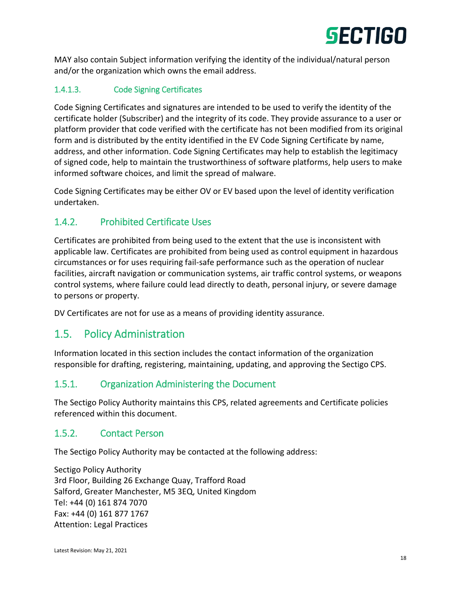

MAY also contain Subject information verifying the identity of the individual/natural person and/or the organization which owns the email address.

### 1.4.1.3. Code Signing Certificates

Code Signing Certificates and signatures are intended to be used to verify the identity of the certificate holder (Subscriber) and the integrity of its code. They provide assurance to a user or platform provider that code verified with the certificate has not been modified from its original form and is distributed by the entity identified in the EV Code Signing Certificate by name, address, and other information. Code Signing Certificates may help to establish the legitimacy of signed code, help to maintain the trustworthiness of software platforms, help users to make informed software choices, and limit the spread of malware.

Code Signing Certificates may be either OV or EV based upon the level of identity verification undertaken.

### <span id="page-17-0"></span>1.4.2. Prohibited Certificate Uses

Certificates are prohibited from being used to the extent that the use is inconsistent with applicable law. Certificates are prohibited from being used as control equipment in hazardous circumstances or for uses requiring fail-safe performance such as the operation of nuclear facilities, aircraft navigation or communication systems, air traffic control systems, or weapons control systems, where failure could lead directly to death, personal injury, or severe damage to persons or property.

DV Certificates are not for use as a means of providing identity assurance.

### <span id="page-17-1"></span>1.5. Policy Administration

Information located in this section includes the contact information of the organization responsible for drafting, registering, maintaining, updating, and approving the Sectigo CPS.

### <span id="page-17-2"></span>1.5.1. Organization Administering the Document

The Sectigo Policy Authority maintains this CPS, related agreements and Certificate policies referenced within this document.

### <span id="page-17-3"></span>1.5.2. Contact Person

The Sectigo Policy Authority may be contacted at the following address:

Sectigo Policy Authority 3rd Floor, Building 26 Exchange Quay, Trafford Road Salford, Greater Manchester, M5 3EQ, United Kingdom Tel: +44 (0) 161 874 7070 Fax: +44 (0) 161 877 1767 Attention: Legal Practices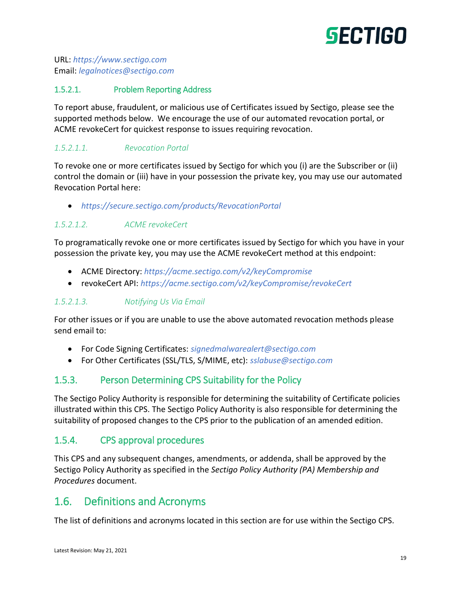

URL: *[https://www.sectigo.com](https://www.sectigo.com/)* Email: *[legalnotices@sectigo.com](mailto:legalnotices@sectigo.com)*

### 1.5.2.1. Problem Reporting Address

To report abuse, fraudulent, or malicious use of Certificates issued by Sectigo, please see the supported methods below. We encourage the use of our automated revocation portal, or ACME revokeCert for quickest response to issues requiring revocation.

#### *1.5.2.1.1. Revocation Portal*

To revoke one or more certificates issued by Sectigo for which you (i) are the Subscriber or (ii) control the domain or (iii) have in your possession the private key, you may use our automated Revocation Portal here:

*<https://secure.sectigo.com/products/RevocationPortal>*

#### *1.5.2.1.2. ACME revokeCert*

To programatically revoke one or more certificates issued by Sectigo for which you have in your possession the private key, you may use the ACME revokeCert method at this endpoint:

- ACME Directory: *<https://acme.sectigo.com/v2/keyCompromise>*
- revokeCert API: *<https://acme.sectigo.com/v2/keyCompromise/revokeCert>*

#### *1.5.2.1.3. Notifying Us Via Email*

For other issues or if you are unable to use the above automated revocation methods please send email to:

- For Code Signing Certificates: *[signedmalwarealert@sectigo.com](mailto:signedmalwarealert@sectigo.com)*
- For Other Certificates (SSL/TLS, S/MIME, etc): *[sslabuse@sectigo.com](mailto:sslabuse@sectigo.com)*

### <span id="page-18-0"></span>1.5.3. Person Determining CPS Suitability for the Policy

The Sectigo Policy Authority is responsible for determining the suitability of Certificate policies illustrated within this CPS. The Sectigo Policy Authority is also responsible for determining the suitability of proposed changes to the CPS prior to the publication of an amended edition.

### <span id="page-18-1"></span>1.5.4. CPS approval procedures

This CPS and any subsequent changes, amendments, or addenda, shall be approved by the Sectigo Policy Authority as specified in the *Sectigo Policy Authority (PA) Membership and Procedures* document.

### <span id="page-18-2"></span>1.6. Definitions and Acronyms

The list of definitions and acronyms located in this section are for use within the Sectigo CPS.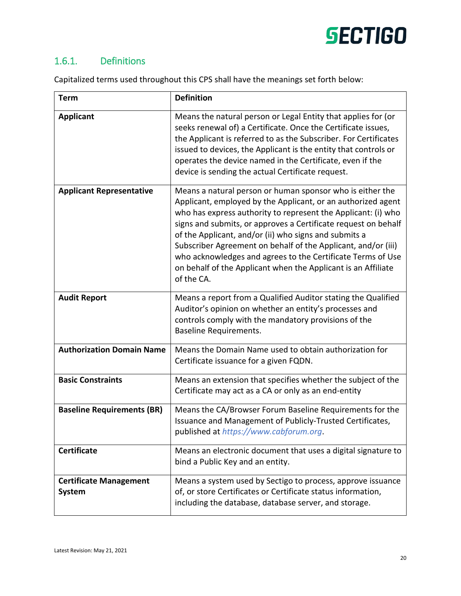

### <span id="page-19-0"></span>1.6.1. Definitions

Capitalized terms used throughout this CPS shall have the meanings set forth below:

| <b>Term</b>                                    | <b>Definition</b>                                                                                                                                                                                                                                                                                                                                                                                                                                                                                                                    |
|------------------------------------------------|--------------------------------------------------------------------------------------------------------------------------------------------------------------------------------------------------------------------------------------------------------------------------------------------------------------------------------------------------------------------------------------------------------------------------------------------------------------------------------------------------------------------------------------|
| <b>Applicant</b>                               | Means the natural person or Legal Entity that applies for (or<br>seeks renewal of) a Certificate. Once the Certificate issues,<br>the Applicant is referred to as the Subscriber. For Certificates<br>issued to devices, the Applicant is the entity that controls or<br>operates the device named in the Certificate, even if the<br>device is sending the actual Certificate request.                                                                                                                                              |
| <b>Applicant Representative</b>                | Means a natural person or human sponsor who is either the<br>Applicant, employed by the Applicant, or an authorized agent<br>who has express authority to represent the Applicant: (i) who<br>signs and submits, or approves a Certificate request on behalf<br>of the Applicant, and/or (ii) who signs and submits a<br>Subscriber Agreement on behalf of the Applicant, and/or (iii)<br>who acknowledges and agrees to the Certificate Terms of Use<br>on behalf of the Applicant when the Applicant is an Affiliate<br>of the CA. |
| <b>Audit Report</b>                            | Means a report from a Qualified Auditor stating the Qualified<br>Auditor's opinion on whether an entity's processes and<br>controls comply with the mandatory provisions of the<br>Baseline Requirements.                                                                                                                                                                                                                                                                                                                            |
| <b>Authorization Domain Name</b>               | Means the Domain Name used to obtain authorization for<br>Certificate issuance for a given FQDN.                                                                                                                                                                                                                                                                                                                                                                                                                                     |
| <b>Basic Constraints</b>                       | Means an extension that specifies whether the subject of the<br>Certificate may act as a CA or only as an end-entity                                                                                                                                                                                                                                                                                                                                                                                                                 |
| <b>Baseline Requirements (BR)</b>              | Means the CA/Browser Forum Baseline Requirements for the<br>Issuance and Management of Publicly-Trusted Certificates,<br>published at https://www.cabforum.org.                                                                                                                                                                                                                                                                                                                                                                      |
| <b>Certificate</b>                             | Means an electronic document that uses a digital signature to<br>bind a Public Key and an entity.                                                                                                                                                                                                                                                                                                                                                                                                                                    |
| <b>Certificate Management</b><br><b>System</b> | Means a system used by Sectigo to process, approve issuance<br>of, or store Certificates or Certificate status information,<br>including the database, database server, and storage.                                                                                                                                                                                                                                                                                                                                                 |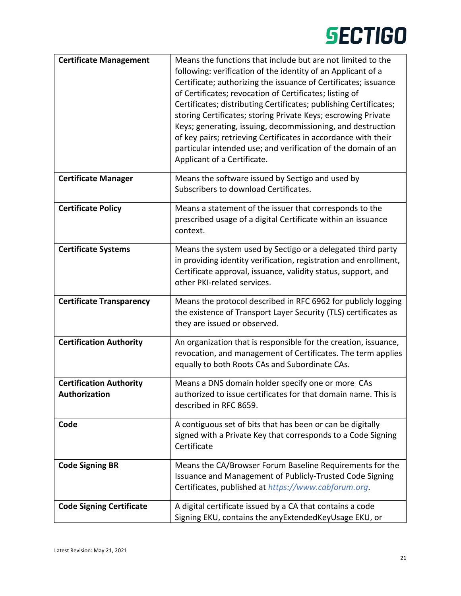| <b>Certificate Management</b>                   | Means the functions that include but are not limited to the<br>following: verification of the identity of an Applicant of a<br>Certificate; authorizing the issuance of Certificates; issuance<br>of Certificates; revocation of Certificates; listing of<br>Certificates; distributing Certificates; publishing Certificates;<br>storing Certificates; storing Private Keys; escrowing Private<br>Keys; generating, issuing, decommissioning, and destruction<br>of key pairs; retrieving Certificates in accordance with their<br>particular intended use; and verification of the domain of an<br>Applicant of a Certificate. |
|-------------------------------------------------|----------------------------------------------------------------------------------------------------------------------------------------------------------------------------------------------------------------------------------------------------------------------------------------------------------------------------------------------------------------------------------------------------------------------------------------------------------------------------------------------------------------------------------------------------------------------------------------------------------------------------------|
| <b>Certificate Manager</b>                      | Means the software issued by Sectigo and used by<br>Subscribers to download Certificates.                                                                                                                                                                                                                                                                                                                                                                                                                                                                                                                                        |
| <b>Certificate Policy</b>                       | Means a statement of the issuer that corresponds to the<br>prescribed usage of a digital Certificate within an issuance<br>context.                                                                                                                                                                                                                                                                                                                                                                                                                                                                                              |
| <b>Certificate Systems</b>                      | Means the system used by Sectigo or a delegated third party<br>in providing identity verification, registration and enrollment,<br>Certificate approval, issuance, validity status, support, and<br>other PKI-related services.                                                                                                                                                                                                                                                                                                                                                                                                  |
| <b>Certificate Transparency</b>                 | Means the protocol described in RFC 6962 for publicly logging<br>the existence of Transport Layer Security (TLS) certificates as<br>they are issued or observed.                                                                                                                                                                                                                                                                                                                                                                                                                                                                 |
| <b>Certification Authority</b>                  | An organization that is responsible for the creation, issuance,<br>revocation, and management of Certificates. The term applies<br>equally to both Roots CAs and Subordinate CAs.                                                                                                                                                                                                                                                                                                                                                                                                                                                |
| <b>Certification Authority</b><br>Authorization | Means a DNS domain holder specify one or more CAs<br>authorized to issue certificates for that domain name. This is<br>described in RFC 8659.                                                                                                                                                                                                                                                                                                                                                                                                                                                                                    |
| Code                                            | A contiguous set of bits that has been or can be digitally<br>signed with a Private Key that corresponds to a Code Signing<br>Certificate                                                                                                                                                                                                                                                                                                                                                                                                                                                                                        |
| <b>Code Signing BR</b>                          | Means the CA/Browser Forum Baseline Requirements for the<br>Issuance and Management of Publicly-Trusted Code Signing<br>Certificates, published at https://www.cabforum.org.                                                                                                                                                                                                                                                                                                                                                                                                                                                     |
| <b>Code Signing Certificate</b>                 | A digital certificate issued by a CA that contains a code<br>Signing EKU, contains the anyExtendedKeyUsage EKU, or                                                                                                                                                                                                                                                                                                                                                                                                                                                                                                               |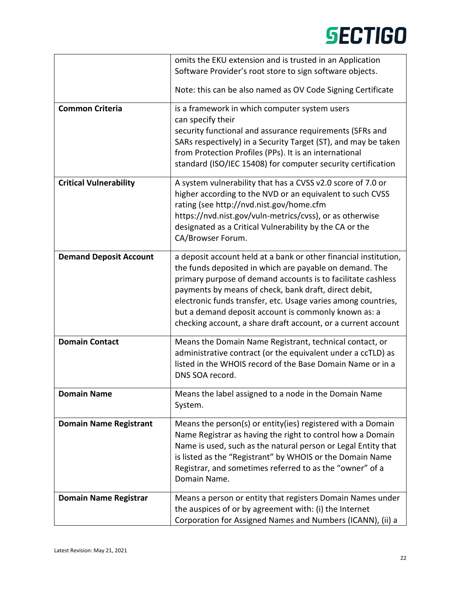|                               | omits the EKU extension and is trusted in an Application                                                                                                                                                                                                                                                                                                                                                                                       |  |  |
|-------------------------------|------------------------------------------------------------------------------------------------------------------------------------------------------------------------------------------------------------------------------------------------------------------------------------------------------------------------------------------------------------------------------------------------------------------------------------------------|--|--|
|                               | Software Provider's root store to sign software objects.                                                                                                                                                                                                                                                                                                                                                                                       |  |  |
|                               | Note: this can be also named as OV Code Signing Certificate                                                                                                                                                                                                                                                                                                                                                                                    |  |  |
| <b>Common Criteria</b>        | is a framework in which computer system users<br>can specify their                                                                                                                                                                                                                                                                                                                                                                             |  |  |
|                               | security functional and assurance requirements (SFRs and<br>SARs respectively) in a Security Target (ST), and may be taken<br>from Protection Profiles (PPs). It is an international<br>standard (ISO/IEC 15408) for computer security certification                                                                                                                                                                                           |  |  |
| <b>Critical Vulnerability</b> | A system vulnerability that has a CVSS v2.0 score of 7.0 or<br>higher according to the NVD or an equivalent to such CVSS<br>rating (see http://nvd.nist.gov/home.cfm<br>https://nvd.nist.gov/vuln-metrics/cvss), or as otherwise<br>designated as a Critical Vulnerability by the CA or the<br>CA/Browser Forum.                                                                                                                               |  |  |
| <b>Demand Deposit Account</b> | a deposit account held at a bank or other financial institution,<br>the funds deposited in which are payable on demand. The<br>primary purpose of demand accounts is to facilitate cashless<br>payments by means of check, bank draft, direct debit,<br>electronic funds transfer, etc. Usage varies among countries,<br>but a demand deposit account is commonly known as: a<br>checking account, a share draft account, or a current account |  |  |
| <b>Domain Contact</b>         | Means the Domain Name Registrant, technical contact, or<br>administrative contract (or the equivalent under a ccTLD) as<br>listed in the WHOIS record of the Base Domain Name or in a<br>DNS SOA record.                                                                                                                                                                                                                                       |  |  |
| Domain Name                   | Means the label assigned to a node in the Domain Name<br>System.                                                                                                                                                                                                                                                                                                                                                                               |  |  |
| <b>Domain Name Registrant</b> | Means the person(s) or entity(ies) registered with a Domain<br>Name Registrar as having the right to control how a Domain<br>Name is used, such as the natural person or Legal Entity that<br>is listed as the "Registrant" by WHOIS or the Domain Name<br>Registrar, and sometimes referred to as the "owner" of a<br>Domain Name.                                                                                                            |  |  |
| <b>Domain Name Registrar</b>  | Means a person or entity that registers Domain Names under<br>the auspices of or by agreement with: (i) the Internet<br>Corporation for Assigned Names and Numbers (ICANN), (ii) a                                                                                                                                                                                                                                                             |  |  |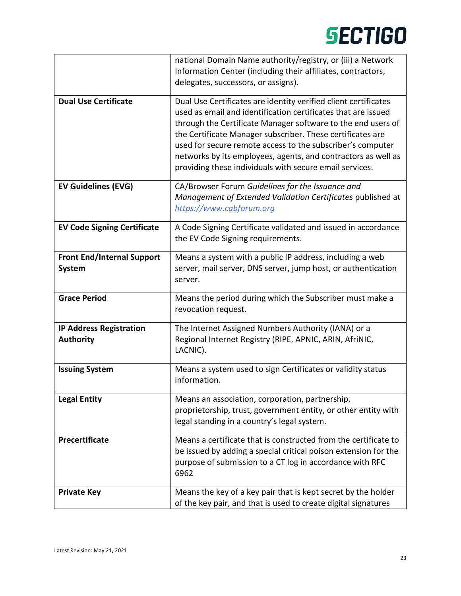|                                                    | national Domain Name authority/registry, or (iii) a Network<br>Information Center (including their affiliates, contractors,<br>delegates, successors, or assigns).                                                                                                                                                                                                                                                                                       |
|----------------------------------------------------|----------------------------------------------------------------------------------------------------------------------------------------------------------------------------------------------------------------------------------------------------------------------------------------------------------------------------------------------------------------------------------------------------------------------------------------------------------|
| <b>Dual Use Certificate</b>                        | Dual Use Certificates are identity verified client certificates<br>used as email and identification certificates that are issued<br>through the Certificate Manager software to the end users of<br>the Certificate Manager subscriber. These certificates are<br>used for secure remote access to the subscriber's computer<br>networks by its employees, agents, and contractors as well as<br>providing these individuals with secure email services. |
| <b>EV Guidelines (EVG)</b>                         | CA/Browser Forum Guidelines for the Issuance and<br>Management of Extended Validation Certificates published at<br>https://www.cabforum.org                                                                                                                                                                                                                                                                                                              |
| <b>EV Code Signing Certificate</b>                 | A Code Signing Certificate validated and issued in accordance<br>the EV Code Signing requirements.                                                                                                                                                                                                                                                                                                                                                       |
| <b>Front End/Internal Support</b><br><b>System</b> | Means a system with a public IP address, including a web<br>server, mail server, DNS server, jump host, or authentication<br>server.                                                                                                                                                                                                                                                                                                                     |
| <b>Grace Period</b>                                | Means the period during which the Subscriber must make a<br>revocation request.                                                                                                                                                                                                                                                                                                                                                                          |
| <b>IP Address Registration</b><br><b>Authority</b> | The Internet Assigned Numbers Authority (IANA) or a<br>Regional Internet Registry (RIPE, APNIC, ARIN, AfriNIC,<br>LACNIC).                                                                                                                                                                                                                                                                                                                               |
| <b>Issuing System</b>                              | Means a system used to sign Certificates or validity status<br>information.                                                                                                                                                                                                                                                                                                                                                                              |
| <b>Legal Entity</b>                                | Means an association, corporation, partnership,<br>proprietorship, trust, government entity, or other entity with<br>legal standing in a country's legal system.                                                                                                                                                                                                                                                                                         |
| <b>Precertificate</b>                              | Means a certificate that is constructed from the certificate to<br>be issued by adding a special critical poison extension for the<br>purpose of submission to a CT log in accordance with RFC<br>6962                                                                                                                                                                                                                                                   |
| <b>Private Key</b>                                 | Means the key of a key pair that is kept secret by the holder<br>of the key pair, and that is used to create digital signatures                                                                                                                                                                                                                                                                                                                          |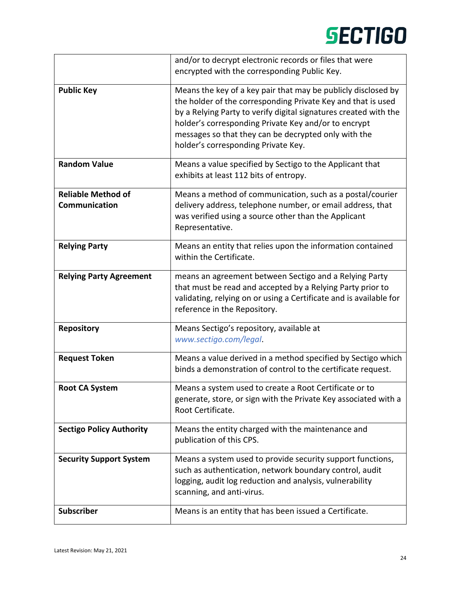|                                            | and/or to decrypt electronic records or files that were                                                                                                                                                                                                                                                                                                  |
|--------------------------------------------|----------------------------------------------------------------------------------------------------------------------------------------------------------------------------------------------------------------------------------------------------------------------------------------------------------------------------------------------------------|
|                                            | encrypted with the corresponding Public Key.                                                                                                                                                                                                                                                                                                             |
| <b>Public Key</b>                          | Means the key of a key pair that may be publicly disclosed by<br>the holder of the corresponding Private Key and that is used<br>by a Relying Party to verify digital signatures created with the<br>holder's corresponding Private Key and/or to encrypt<br>messages so that they can be decrypted only with the<br>holder's corresponding Private Key. |
| <b>Random Value</b>                        | Means a value specified by Sectigo to the Applicant that<br>exhibits at least 112 bits of entropy.                                                                                                                                                                                                                                                       |
| <b>Reliable Method of</b><br>Communication | Means a method of communication, such as a postal/courier<br>delivery address, telephone number, or email address, that<br>was verified using a source other than the Applicant<br>Representative.                                                                                                                                                       |
| <b>Relying Party</b>                       | Means an entity that relies upon the information contained<br>within the Certificate.                                                                                                                                                                                                                                                                    |
| <b>Relying Party Agreement</b>             | means an agreement between Sectigo and a Relying Party<br>that must be read and accepted by a Relying Party prior to<br>validating, relying on or using a Certificate and is available for<br>reference in the Repository.                                                                                                                               |
| <b>Repository</b>                          | Means Sectigo's repository, available at<br>www.sectigo.com/legal.                                                                                                                                                                                                                                                                                       |
| <b>Request Token</b>                       | Means a value derived in a method specified by Sectigo which<br>binds a demonstration of control to the certificate request.                                                                                                                                                                                                                             |
| <b>Root CA System</b>                      | Means a system used to create a Root Certificate or to<br>generate, store, or sign with the Private Key associated with a<br>Root Certificate.                                                                                                                                                                                                           |
| <b>Sectigo Policy Authority</b>            | Means the entity charged with the maintenance and<br>publication of this CPS.                                                                                                                                                                                                                                                                            |
| <b>Security Support System</b>             | Means a system used to provide security support functions,<br>such as authentication, network boundary control, audit<br>logging, audit log reduction and analysis, vulnerability<br>scanning, and anti-virus.                                                                                                                                           |
| <b>Subscriber</b>                          | Means is an entity that has been issued a Certificate.                                                                                                                                                                                                                                                                                                   |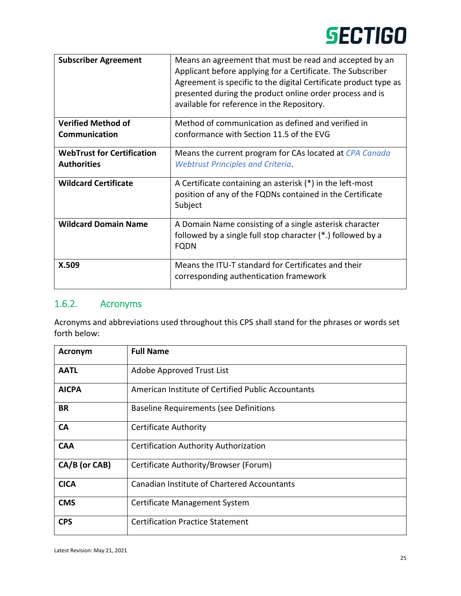| <b>Subscriber Agreement</b>       | Means an agreement that must be read and accepted by an<br>Applicant before applying for a Certificate. The Subscriber<br>Agreement is specific to the digital Certificate product type as<br>presented during the product online order process and is<br>available for reference in the Repository. |
|-----------------------------------|------------------------------------------------------------------------------------------------------------------------------------------------------------------------------------------------------------------------------------------------------------------------------------------------------|
| <b>Verified Method of</b>         | Method of communication as defined and verified in                                                                                                                                                                                                                                                   |
| <b>Communication</b>              | conformance with Section 11.5 of the EVG                                                                                                                                                                                                                                                             |
| <b>WebTrust for Certification</b> | Means the current program for CAs located at CPA Canada                                                                                                                                                                                                                                              |
| <b>Authorities</b>                | <b>Webtrust Principles and Criteria.</b>                                                                                                                                                                                                                                                             |
| <b>Wildcard Certificate</b>       | A Certificate containing an asterisk (*) in the left-most<br>position of any of the FQDNs contained in the Certificate<br>Subject                                                                                                                                                                    |
| <b>Wildcard Domain Name</b>       | A Domain Name consisting of a single asterisk character<br>followed by a single full stop character (*.) followed by a<br><b>FQDN</b>                                                                                                                                                                |
| X.509                             | Means the ITU-T standard for Certificates and their<br>corresponding authentication framework                                                                                                                                                                                                        |

### <span id="page-24-0"></span>1.6.2. Acronyms

Acronyms and abbreviations used throughout this CPS shall stand for the phrases or words set forth below:

| <b>Acronym</b> | <b>Full Name</b>                                   |
|----------------|----------------------------------------------------|
| <b>AATL</b>    | Adobe Approved Trust List                          |
| <b>AICPA</b>   | American Institute of Certified Public Accountants |
| BR             | <b>Baseline Requirements (see Definitions</b>      |
| <b>CA</b>      | <b>Certificate Authority</b>                       |
| <b>CAA</b>     | Certification Authority Authorization              |
| CA/B (or CAB)  | Certificate Authority/Browser (Forum)              |
| <b>CICA</b>    | <b>Canadian Institute of Chartered Accountants</b> |
| <b>CMS</b>     | Certificate Management System                      |
| <b>CPS</b>     | <b>Certification Practice Statement</b>            |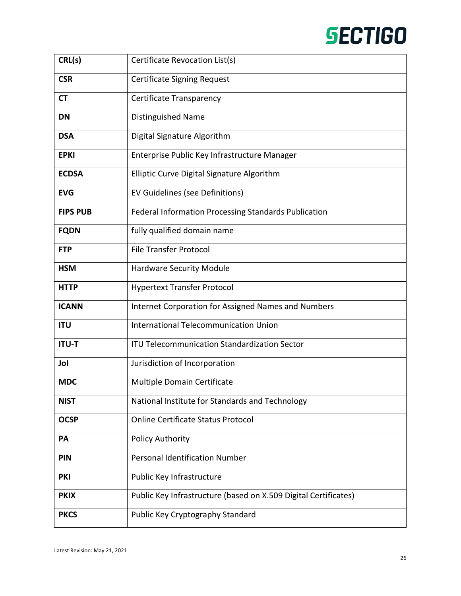| CRL(s)          | Certificate Revocation List(s)                                  |
|-----------------|-----------------------------------------------------------------|
| <b>CSR</b>      | <b>Certificate Signing Request</b>                              |
| <b>CT</b>       | Certificate Transparency                                        |
| <b>DN</b>       | Distinguished Name                                              |
| <b>DSA</b>      | Digital Signature Algorithm                                     |
| <b>EPKI</b>     | Enterprise Public Key Infrastructure Manager                    |
| <b>ECDSA</b>    | Elliptic Curve Digital Signature Algorithm                      |
| <b>EVG</b>      | EV Guidelines (see Definitions)                                 |
| <b>FIPS PUB</b> | <b>Federal Information Processing Standards Publication</b>     |
| <b>FQDN</b>     | fully qualified domain name                                     |
| <b>FTP</b>      | <b>File Transfer Protocol</b>                                   |
| <b>HSM</b>      | <b>Hardware Security Module</b>                                 |
| <b>HTTP</b>     | <b>Hypertext Transfer Protocol</b>                              |
| <b>ICANN</b>    | Internet Corporation for Assigned Names and Numbers             |
| <b>ITU</b>      | <b>International Telecommunication Union</b>                    |
| <b>ITU-T</b>    | <b>ITU Telecommunication Standardization Sector</b>             |
| Jol             | Jurisdiction of Incorporation                                   |
| <b>MDC</b>      | Multiple Domain Certificate                                     |
| <b>NIST</b>     | National Institute for Standards and Technology                 |
| <b>OCSP</b>     | <b>Online Certificate Status Protocol</b>                       |
| PA              | <b>Policy Authority</b>                                         |
| <b>PIN</b>      | <b>Personal Identification Number</b>                           |
| <b>PKI</b>      | Public Key Infrastructure                                       |
| <b>PKIX</b>     | Public Key Infrastructure (based on X.509 Digital Certificates) |
| <b>PKCS</b>     | Public Key Cryptography Standard                                |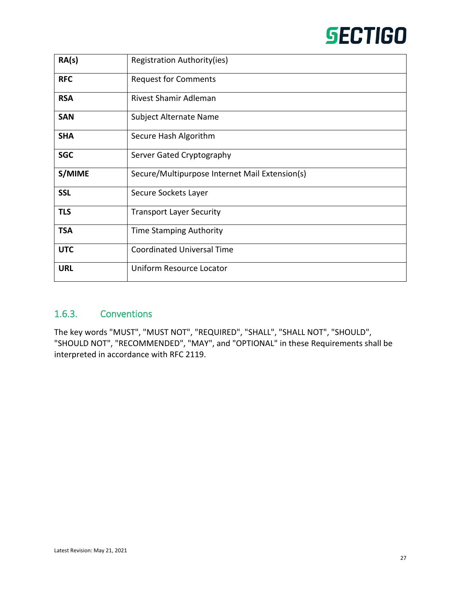| RA(s)      | Registration Authority(ies)                    |
|------------|------------------------------------------------|
| <b>RFC</b> | <b>Request for Comments</b>                    |
| <b>RSA</b> | Rivest Shamir Adleman                          |
| <b>SAN</b> | Subject Alternate Name                         |
| <b>SHA</b> | Secure Hash Algorithm                          |
| <b>SGC</b> | Server Gated Cryptography                      |
| S/MIME     | Secure/Multipurpose Internet Mail Extension(s) |
| <b>SSL</b> | Secure Sockets Layer                           |
| <b>TLS</b> | <b>Transport Layer Security</b>                |
| <b>TSA</b> | Time Stamping Authority                        |
| <b>UTC</b> | <b>Coordinated Universal Time</b>              |
| <b>URL</b> | Uniform Resource Locator                       |

### <span id="page-26-0"></span>1.6.3. Conventions

The key words "MUST", "MUST NOT", "REQUIRED", "SHALL", "SHALL NOT", "SHOULD", "SHOULD NOT", "RECOMMENDED", "MAY", and "OPTIONAL" in these Requirements shall be interpreted in accordance with RFC 2119.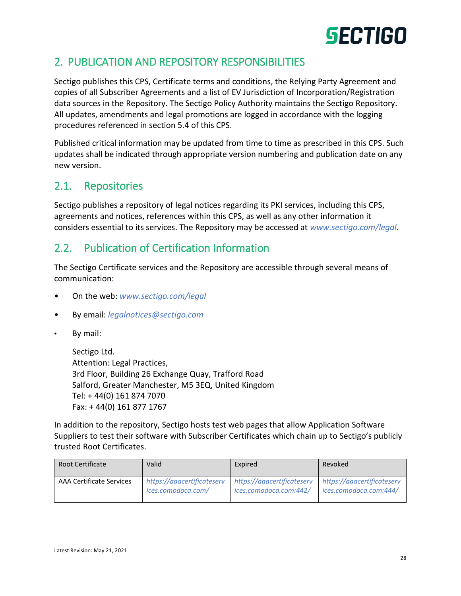### <span id="page-27-0"></span>2. PUBLICATION AND REPOSITORY RESPONSIBILITIES

Sectigo publishes this CPS, Certificate terms and conditions, the Relying Party Agreement and copies of all Subscriber Agreements and a list of EV Jurisdiction of Incorporation/Registration data sources in the Repository. The Sectigo Policy Authority maintains the Sectigo Repository. All updates, amendments and legal promotions are logged in accordance with the logging procedures referenced in section 5.4 of this CPS.

Published critical information may be updated from time to time as prescribed in this CPS. Such updates shall be indicated through appropriate version numbering and publication date on any new version.

### <span id="page-27-1"></span>2.1. Repositories

Sectigo publishes a repository of legal notices regarding its PKI services, including this CPS, agreements and notices, references within this CPS, as well as any other information it considers essential to its services. The Repository may be accessed at *[www.sectigo.com/legal](https://www.sectigo.com/legal)*.

### <span id="page-27-2"></span>2.2. Publication of Certification Information

The Sectigo Certificate services and the Repository are accessible through several means of communication:

- On the web: *[www.sectigo.com/legal](https://www.sectigo.com/legal)*
- By email: *[legalnotices@sectigo.com](mailto:legalnotices@sectigo.com)*
- By mail:

Sectigo Ltd. Attention: Legal Practices, 3rd Floor, Building 26 Exchange Quay, Trafford Road Salford, Greater Manchester, M5 3EQ, United Kingdom Tel: + 44(0) 161 874 7070 Fax: + 44(0) 161 877 1767

In addition to the repository, Sectigo hosts test web pages that allow Application Software Suppliers to test their software with Subscriber Certificates which chain up to Sectigo's publicly trusted Root Certificates.

| <b>Root Certificate</b>         | Valid                      | Expired                    | Revoked                    |
|---------------------------------|----------------------------|----------------------------|----------------------------|
| <b>AAA Certificate Services</b> | https://aaacertificateserv | https://aaacertificateserv | https://aaacertificateserv |
|                                 | ices.comodoca.com/         | ices.comodoca.com:442/     | ices.comodoca.com:444/     |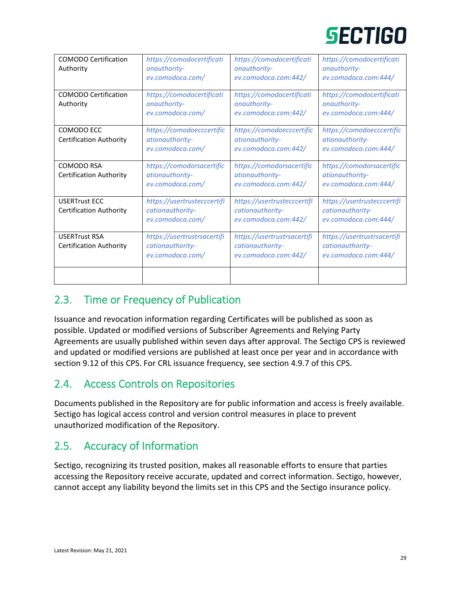| <b>COMODO Certification</b><br>Authority               | https://comodocertificati<br>onauthority-<br>ev.comodoca.com/       | https://comodocertificati<br>onauthority-<br>ev.comodoca.com:442/       | https://comodocertificati<br>onauthority-<br>ev.comodoca.com:444/       |
|--------------------------------------------------------|---------------------------------------------------------------------|-------------------------------------------------------------------------|-------------------------------------------------------------------------|
| <b>COMODO Certification</b><br>Authority               | https://comodocertificati<br>onauthority-<br>ev.comodoca.com/       | https://comodocertificati<br>onauthority-<br>ev.comodoca.com:442/       | https://comodocertificati<br>onauthority-<br>ev.comodoca.com:444/       |
| COMODO ECC<br><b>Certification Authority</b>           | https://comodoecccertific<br>ationauthority-<br>ev.comodoca.com/    | https://comodoecccertific<br>ationauthority-<br>ev.comodoca.com:442/    | https://comodoecccertific<br>ationauthority-<br>ev.comodoca.com:444/    |
| COMODO RSA<br><b>Certification Authority</b>           | https://comodorsacertific<br>ationauthority-<br>ev.comodoca.com/    | https://comodorsacertific<br>ationauthority-<br>ev.comodoca.com:442/    | https://comodorsacertific<br>ationauthority-<br>ev.comodoca.com:444/    |
| <b>USERTrust ECC</b><br><b>Certification Authority</b> | https://usertrustecccertifi<br>cationauthority-<br>ev.comodoca.com/ | https://usertrustecccertifi<br>cationauthority-<br>ev.comodoca.com:442/ | https://usertrustecccertifi<br>cationauthority-<br>ev.comodoca.com:444/ |
| <b>USERTrust RSA</b><br><b>Certification Authority</b> | https://usertrustrsacertifi<br>cationauthority-<br>ev.comodoca.com/ | https://usertrustrsacertifi<br>cationauthority-<br>ev.comodoca.com:442/ | https://usertrustrsacertifi<br>cationauthority-<br>ev.comodoca.com:444/ |
|                                                        |                                                                     |                                                                         |                                                                         |

### <span id="page-28-0"></span>2.3. Time or Frequency of Publication

Issuance and revocation information regarding Certificates will be published as soon as possible. Updated or modified versions of Subscriber Agreements and Relying Party Agreements are usually published within seven days after approval. The Sectigo CPS is reviewed and updated or modified versions are published at least once per year and in accordance with section 9.12 of this CPS. For CRL issuance frequency, see section 4.9.7 of this CPS.

### <span id="page-28-1"></span>2.4. Access Controls on Repositories

Documents published in the Repository are for public information and access is freely available. Sectigo has logical access control and version control measures in place to prevent unauthorized modification of the Repository.

### <span id="page-28-2"></span>2.5. Accuracy of Information

Sectigo, recognizing its trusted position, makes all reasonable efforts to ensure that parties accessing the Repository receive accurate, updated and correct information. Sectigo, however, cannot accept any liability beyond the limits set in this CPS and the Sectigo insurance policy.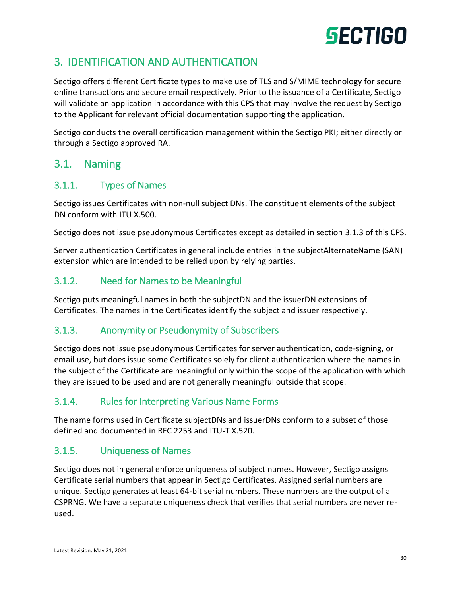### <span id="page-29-0"></span>3. IDENTIFICATION AND AUTHENTICATION

Sectigo offers different Certificate types to make use of TLS and S/MIME technology for secure online transactions and secure email respectively. Prior to the issuance of a Certificate, Sectigo will validate an application in accordance with this CPS that may involve the request by Sectigo to the Applicant for relevant official documentation supporting the application.

Sectigo conducts the overall certification management within the Sectigo PKI; either directly or through a Sectigo approved RA.

### <span id="page-29-1"></span>3.1. Naming

### <span id="page-29-2"></span>3.1.1. Types of Names

Sectigo issues Certificates with non-null subject DNs. The constituent elements of the subject DN conform with ITU X.500.

Sectigo does not issue pseudonymous Certificates except as detailed in section 3.1.3 of this CPS.

Server authentication Certificates in general include entries in the subjectAlternateName (SAN) extension which are intended to be relied upon by relying parties.

### <span id="page-29-3"></span>3.1.2. Need for Names to be Meaningful

Sectigo puts meaningful names in both the subjectDN and the issuerDN extensions of Certificates. The names in the Certificates identify the subject and issuer respectively.

### <span id="page-29-4"></span>3.1.3. Anonymity or Pseudonymity of Subscribers

Sectigo does not issue pseudonymous Certificates for server authentication, code-signing, or email use, but does issue some Certificates solely for client authentication where the names in the subject of the Certificate are meaningful only within the scope of the application with which they are issued to be used and are not generally meaningful outside that scope.

### <span id="page-29-5"></span>3.1.4. Rules for Interpreting Various Name Forms

The name forms used in Certificate subjectDNs and issuerDNs conform to a subset of those defined and documented in RFC 2253 and ITU-T X.520.

### <span id="page-29-6"></span>3.1.5. Uniqueness of Names

Sectigo does not in general enforce uniqueness of subject names. However, Sectigo assigns Certificate serial numbers that appear in Sectigo Certificates. Assigned serial numbers are unique. Sectigo generates at least 64-bit serial numbers. These numbers are the output of a CSPRNG. We have a separate uniqueness check that verifies that serial numbers are never reused.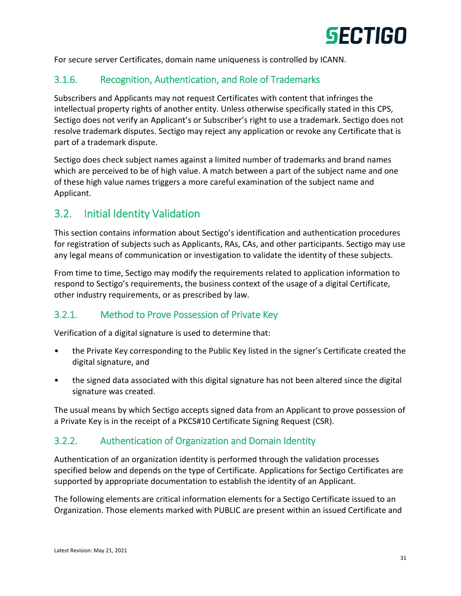

For secure server Certificates, domain name uniqueness is controlled by ICANN.

### <span id="page-30-0"></span>3.1.6. Recognition, Authentication, and Role of Trademarks

Subscribers and Applicants may not request Certificates with content that infringes the intellectual property rights of another entity. Unless otherwise specifically stated in this CPS, Sectigo does not verify an Applicant's or Subscriber's right to use a trademark. Sectigo does not resolve trademark disputes. Sectigo may reject any application or revoke any Certificate that is part of a trademark dispute.

Sectigo does check subject names against a limited number of trademarks and brand names which are perceived to be of high value. A match between a part of the subject name and one of these high value names triggers a more careful examination of the subject name and Applicant.

### <span id="page-30-1"></span>3.2. Initial Identity Validation

This section contains information about Sectigo's identification and authentication procedures for registration of subjects such as Applicants, RAs, CAs, and other participants. Sectigo may use any legal means of communication or investigation to validate the identity of these subjects.

From time to time, Sectigo may modify the requirements related to application information to respond to Sectigo's requirements, the business context of the usage of a digital Certificate, other industry requirements, or as prescribed by law.

### <span id="page-30-2"></span>3.2.1. Method to Prove Possession of Private Key

Verification of a digital signature is used to determine that:

- the Private Key corresponding to the Public Key listed in the signer's Certificate created the digital signature, and
- the signed data associated with this digital signature has not been altered since the digital signature was created.

The usual means by which Sectigo accepts signed data from an Applicant to prove possession of a Private Key is in the receipt of a PKCS#10 Certificate Signing Request (CSR).

### <span id="page-30-3"></span>3.2.2. Authentication of Organization and Domain Identity

Authentication of an organization identity is performed through the validation processes specified below and depends on the type of Certificate. Applications for Sectigo Certificates are supported by appropriate documentation to establish the identity of an Applicant.

The following elements are critical information elements for a Sectigo Certificate issued to an Organization. Those elements marked with PUBLIC are present within an issued Certificate and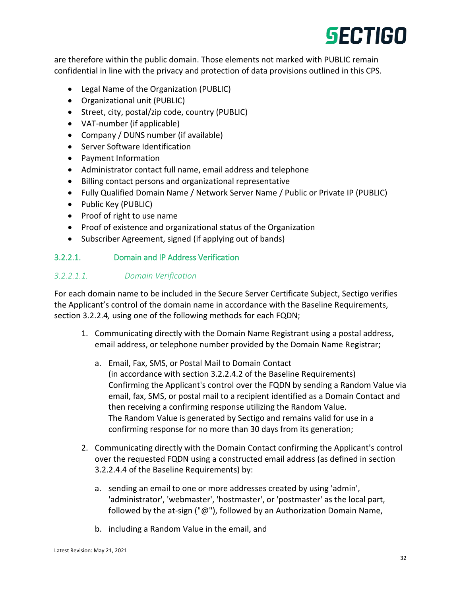are therefore within the public domain. Those elements not marked with PUBLIC remain confidential in line with the privacy and protection of data provisions outlined in this CPS.

- Legal Name of the Organization (PUBLIC)
- Organizational unit (PUBLIC)
- Street, city, postal/zip code, country (PUBLIC)
- VAT-number (if applicable)
- Company / DUNS number (if available)
- Server Software Identification
- Payment Information
- Administrator contact full name, email address and telephone
- Billing contact persons and organizational representative
- Fully Qualified Domain Name / Network Server Name / Public or Private IP (PUBLIC)
- Public Key (PUBLIC)
- Proof of right to use name
- Proof of existence and organizational status of the Organization
- Subscriber Agreement, signed (if applying out of bands)

### 3.2.2.1. Domain and IP Address Verification

#### *3.2.2.1.1. Domain Verification*

For each domain name to be included in the Secure Server Certificate Subject, Sectigo verifies the Applicant's control of the domain name in accordance with the Baseline Requirements, section 3.2.2.4*,* using one of the following methods for each FQDN;

- 1. Communicating directly with the Domain Name Registrant using a postal address, email address, or telephone number provided by the Domain Name Registrar;
	- a. Email, Fax, SMS, or Postal Mail to Domain Contact (in accordance with section 3.2.2.4.2 of the Baseline Requirements) Confirming the Applicant's control over the FQDN by sending a Random Value via email, fax, SMS, or postal mail to a recipient identified as a Domain Contact and then receiving a confirming response utilizing the Random Value. The Random Value is generated by Sectigo and remains valid for use in a confirming response for no more than 30 days from its generation;
- 2. Communicating directly with the Domain Contact confirming the Applicant's control over the requested FQDN using a constructed email address (as defined in section 3.2.2.4.4 of the Baseline Requirements) by:
	- a. sending an email to one or more addresses created by using 'admin', 'administrator', 'webmaster', 'hostmaster', or 'postmaster' as the local part, followed by the at-sign ("@"), followed by an Authorization Domain Name,
	- b. including a Random Value in the email, and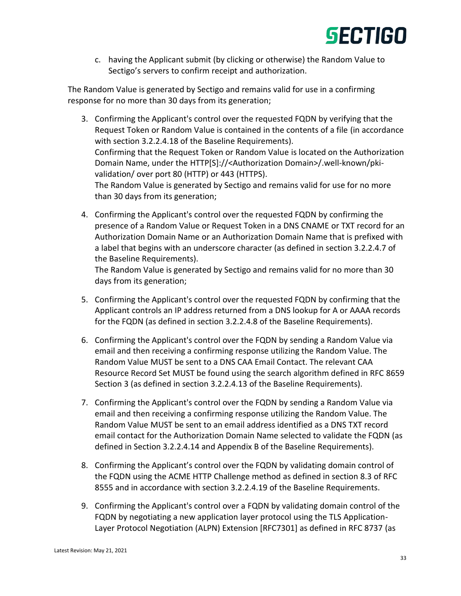

c. having the Applicant submit (by clicking or otherwise) the Random Value to Sectigo's servers to confirm receipt and authorization.

The Random Value is generated by Sectigo and remains valid for use in a confirming response for no more than 30 days from its generation;

- 3. Confirming the Applicant's control over the requested FQDN by verifying that the Request Token or Random Value is contained in the contents of a file (in accordance with section 3.2.2.4.18 of the Baseline Requirements). Confirming that the Request Token or Random Value is located on the Authorization Domain Name, under the HTTP[S]://<Authorization Domain>/.well-known/pkivalidation/ over port 80 (HTTP) or 443 (HTTPS). The Random Value is generated by Sectigo and remains valid for use for no more than 30 days from its generation;
- 4. Confirming the Applicant's control over the requested FQDN by confirming the presence of a Random Value or Request Token in a DNS CNAME or TXT record for an Authorization Domain Name or an Authorization Domain Name that is prefixed with a label that begins with an underscore character (as defined in section 3.2.2.4.7 of the Baseline Requirements).

The Random Value is generated by Sectigo and remains valid for no more than 30 days from its generation;

- 5. Confirming the Applicant's control over the requested FQDN by confirming that the Applicant controls an IP address returned from a DNS lookup for A or AAAA records for the FQDN (as defined in section 3.2.2.4.8 of the Baseline Requirements).
- 6. Confirming the Applicant's control over the FQDN by sending a Random Value via email and then receiving a confirming response utilizing the Random Value. The Random Value MUST be sent to a DNS CAA Email Contact. The relevant CAA Resource Record Set MUST be found using the search algorithm defined in RFC 8659 Section 3 (as defined in section 3.2.2.4.13 of the Baseline Requirements).
- 7. Confirming the Applicant's control over the FQDN by sending a Random Value via email and then receiving a confirming response utilizing the Random Value. The Random Value MUST be sent to an email address identified as a DNS TXT record email contact for the Authorization Domain Name selected to validate the FQDN (as defined in Section 3.2.2.4.14 and Appendix B of the Baseline Requirements).
- 8. Confirming the Applicant's control over the FQDN by validating domain control of the FQDN using the ACME HTTP Challenge method as defined in section 8.3 of RFC 8555 and in accordance with section 3.2.2.4.19 of the Baseline Requirements.
- 9. Confirming the Applicant's control over a FQDN by validating domain control of the FQDN by negotiating a new application layer protocol using the TLS Application-Layer Protocol Negotiation (ALPN) Extension [RFC7301] as defined in RFC 8737 (as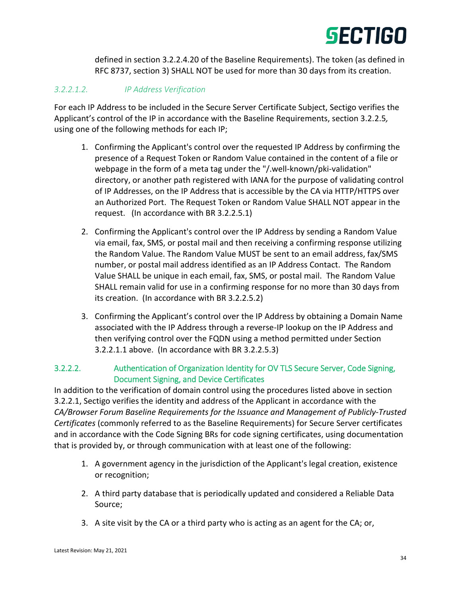defined in section 3.2.2.4.20 of the Baseline Requirements). The token (as defined in RFC 8737, section 3) SHALL NOT be used for more than 30 days from its creation.

### *3.2.2.1.2. IP Address Verification*

For each IP Address to be included in the Secure Server Certificate Subject, Sectigo verifies the Applicant's control of the IP in accordance with the Baseline Requirements, section 3.2.2.5*,* using one of the following methods for each IP;

- 1. Confirming the Applicant's control over the requested IP Address by confirming the presence of a Request Token or Random Value contained in the content of a file or webpage in the form of a meta tag under the "/.well-known/pki-validation" directory, or another path registered with IANA for the purpose of validating control of IP Addresses, on the IP Address that is accessible by the CA via HTTP/HTTPS over an Authorized Port. The Request Token or Random Value SHALL NOT appear in the request. (In accordance with BR 3.2.2.5.1)
- 2. Confirming the Applicant's control over the IP Address by sending a Random Value via email, fax, SMS, or postal mail and then receiving a confirming response utilizing the Random Value. The Random Value MUST be sent to an email address, fax/SMS number, or postal mail address identified as an IP Address Contact. The Random Value SHALL be unique in each email, fax, SMS, or postal mail. The Random Value SHALL remain valid for use in a confirming response for no more than 30 days from its creation. (In accordance with BR 3.2.2.5.2)
- 3. Confirming the Applicant's control over the IP Address by obtaining a Domain Name associated with the IP Address through a reverse-IP lookup on the IP Address and then verifying control over the FQDN using a method permitted under Section 3.2.2.1.1 above. (In accordance with BR 3.2.2.5.3)

### 3.2.2.2. Authentication of Organization Identity for OV TLS Secure Server, Code Signing, Document Signing, and Device Certificates

In addition to the verification of domain control using the procedures listed above in section 3.2.2.1, Sectigo verifies the identity and address of the Applicant in accordance with the *CA/Browser Forum Baseline Requirements for the Issuance and Management of Publicly-Trusted Certificates* (commonly referred to as the Baseline Requirements) for Secure Server certificates and in accordance with the Code Signing BRs for code signing certificates, using documentation that is provided by, or through communication with at least one of the following:

- 1. A government agency in the jurisdiction of the Applicant's legal creation, existence or recognition;
- 2. A third party database that is periodically updated and considered a Reliable Data Source;
- 3. A site visit by the CA or a third party who is acting as an agent for the CA; or,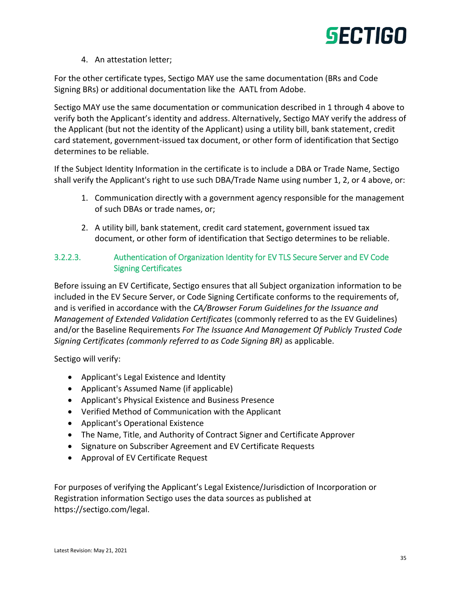

#### 4. An attestation letter;

For the other certificate types, Sectigo MAY use the same documentation (BRs and Code Signing BRs) or additional documentation like the AATL from Adobe.

Sectigo MAY use the same documentation or communication described in 1 through 4 above to verify both the Applicant's identity and address. Alternatively, Sectigo MAY verify the address of the Applicant (but not the identity of the Applicant) using a utility bill, bank statement, credit card statement, government-issued tax document, or other form of identification that Sectigo determines to be reliable.

If the Subject Identity Information in the certificate is to include a DBA or Trade Name, Sectigo shall verify the Applicant's right to use such DBA/Trade Name using number 1, 2, or 4 above, or:

- 1. Communication directly with a government agency responsible for the management of such DBAs or trade names, or;
- 2. A utility bill, bank statement, credit card statement, government issued tax document, or other form of identification that Sectigo determines to be reliable.

### 3.2.2.3. Authentication of Organization Identity for EV TLS Secure Server and EV Code Signing Certificates

Before issuing an EV Certificate, Sectigo ensures that all Subject organization information to be included in the EV Secure Server, or Code Signing Certificate conforms to the requirements of, and is verified in accordance with the *CA/Browser Forum Guidelines for the Issuance and Management of Extended Validation Certificates* (commonly referred to as the EV Guidelines) and/or the Baseline Requirements *For The Issuance And Management Of Publicly Trusted Code Signing Certificates (commonly referred to as Code Signing BR)* as applicable.

Sectigo will verify:

- Applicant's Legal Existence and Identity
- Applicant's Assumed Name (if applicable)
- Applicant's Physical Existence and Business Presence
- Verified Method of Communication with the Applicant
- Applicant's Operational Existence
- The Name, Title, and Authority of Contract Signer and Certificate Approver
- Signature on Subscriber Agreement and EV Certificate Requests
- Approval of EV Certificate Request

For purposes of verifying the Applicant's Legal Existence/Jurisdiction of Incorporation or Registration information Sectigo uses the data sources as published at https://sectigo.com/legal.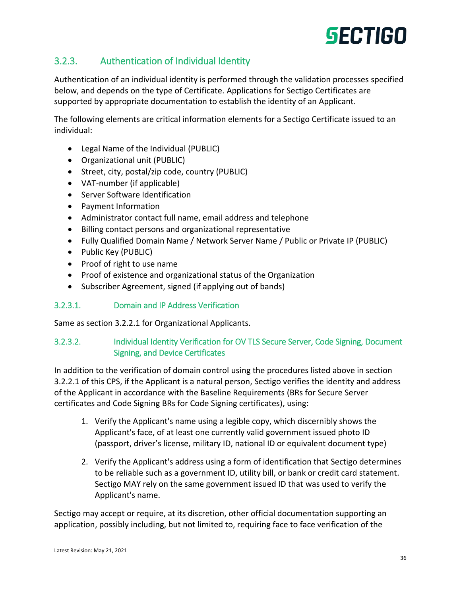### <span id="page-35-0"></span>3.2.3. Authentication of Individual Identity

Authentication of an individual identity is performed through the validation processes specified below, and depends on the type of Certificate. Applications for Sectigo Certificates are supported by appropriate documentation to establish the identity of an Applicant.

The following elements are critical information elements for a Sectigo Certificate issued to an individual:

- Legal Name of the Individual (PUBLIC)
- Organizational unit (PUBLIC)
- Street, city, postal/zip code, country (PUBLIC)
- VAT-number (if applicable)
- **•** Server Software Identification
- Payment Information
- Administrator contact full name, email address and telephone
- Billing contact persons and organizational representative
- Fully Qualified Domain Name / Network Server Name / Public or Private IP (PUBLIC)
- Public Key (PUBLIC)
- Proof of right to use name
- Proof of existence and organizational status of the Organization
- Subscriber Agreement, signed (if applying out of bands)

#### 3.2.3.1. Domain and IP Address Verification

Same as section 3.2.2.1 for Organizational Applicants.

### 3.2.3.2. Individual Identity Verification for OV TLS Secure Server, Code Signing, Document Signing, and Device Certificates

In addition to the verification of domain control using the procedures listed above in section 3.2.2.1 of this CPS, if the Applicant is a natural person, Sectigo verifies the identity and address of the Applicant in accordance with the Baseline Requirements (BRs for Secure Server certificates and Code Signing BRs for Code Signing certificates), using:

- 1. Verify the Applicant's name using a legible copy, which discernibly shows the Applicant's face, of at least one currently valid government issued photo ID (passport, driver's license, military ID, national ID or equivalent document type)
- 2. Verify the Applicant's address using a form of identification that Sectigo determines to be reliable such as a government ID, utility bill, or bank or credit card statement. Sectigo MAY rely on the same government issued ID that was used to verify the Applicant's name.

Sectigo may accept or require, at its discretion, other official documentation supporting an application, possibly including, but not limited to, requiring face to face verification of the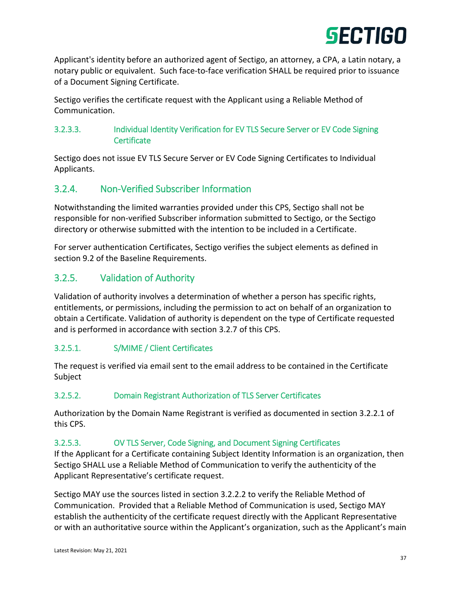

Applicant's identity before an authorized agent of Sectigo, an attorney, a CPA, a Latin notary, a notary public or equivalent. Such face-to-face verification SHALL be required prior to issuance of a Document Signing Certificate.

Sectigo verifies the certificate request with the Applicant using a Reliable Method of Communication.

#### 3.2.3.3. Individual Identity Verification for EV TLS Secure Server or EV Code Signing **Certificate**

Sectigo does not issue EV TLS Secure Server or EV Code Signing Certificates to Individual Applicants.

## 3.2.4. Non-Verified Subscriber Information

Notwithstanding the limited warranties provided under this CPS, Sectigo shall not be responsible for non-verified Subscriber information submitted to Sectigo, or the Sectigo directory or otherwise submitted with the intention to be included in a Certificate.

For server authentication Certificates, Sectigo verifies the subject elements as defined in section 9.2 of the Baseline Requirements.

# 3.2.5. Validation of Authority

Validation of authority involves a determination of whether a person has specific rights, entitlements, or permissions, including the permission to act on behalf of an organization to obtain a Certificate. Validation of authority is dependent on the type of Certificate requested and is performed in accordance with section 3.2.7 of this CPS.

#### 3.2.5.1. S/MIME / Client Certificates

The request is verified via email sent to the email address to be contained in the Certificate Subject

#### 3.2.5.2. Domain Registrant Authorization of TLS Server Certificates

Authorization by the Domain Name Registrant is verified as documented in section 3.2.2.1 of this CPS.

#### 3.2.5.3. OV TLS Server, Code Signing, and Document Signing Certificates

If the Applicant for a Certificate containing Subject Identity Information is an organization, then Sectigo SHALL use a Reliable Method of Communication to verify the authenticity of the Applicant Representative's certificate request.

Sectigo MAY use the sources listed in section 3.2.2.2 to verify the Reliable Method of Communication. Provided that a Reliable Method of Communication is used, Sectigo MAY establish the authenticity of the certificate request directly with the Applicant Representative or with an authoritative source within the Applicant's organization, such as the Applicant's main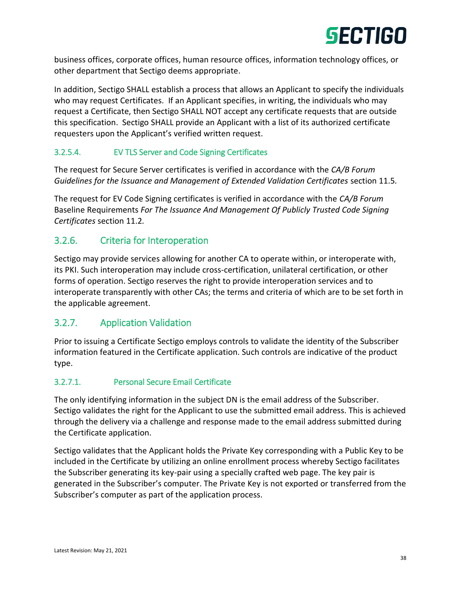

business offices, corporate offices, human resource offices, information technology offices, or other department that Sectigo deems appropriate.

In addition, Sectigo SHALL establish a process that allows an Applicant to specify the individuals who may request Certificates. If an Applicant specifies, in writing, the individuals who may request a Certificate, then Sectigo SHALL NOT accept any certificate requests that are outside this specification. Sectigo SHALL provide an Applicant with a list of its authorized certificate requesters upon the Applicant's verified written request.

#### 3.2.5.4. EV TLS Server and Code Signing Certificates

The request for Secure Server certificates is verified in accordance with the *CA/B Forum Guidelines for the Issuance and Management of Extended Validation Certificates* section 11.5*.*

The request for EV Code Signing certificates is verified in accordance with the *CA/B Forum*  Baseline Requirements *For The Issuance And Management Of Publicly Trusted Code Signing Certificates* section 11.2*.*

#### 3.2.6. Criteria for Interoperation

Sectigo may provide services allowing for another CA to operate within, or interoperate with, its PKI. Such interoperation may include cross-certification, unilateral certification, or other forms of operation. Sectigo reserves the right to provide interoperation services and to interoperate transparently with other CAs; the terms and criteria of which are to be set forth in the applicable agreement.

#### 3.2.7. Application Validation

Prior to issuing a Certificate Sectigo employs controls to validate the identity of the Subscriber information featured in the Certificate application. Such controls are indicative of the product type.

#### 3.2.7.1. Personal Secure Email Certificate

The only identifying information in the subject DN is the email address of the Subscriber. Sectigo validates the right for the Applicant to use the submitted email address. This is achieved through the delivery via a challenge and response made to the email address submitted during the Certificate application.

Sectigo validates that the Applicant holds the Private Key corresponding with a Public Key to be included in the Certificate by utilizing an online enrollment process whereby Sectigo facilitates the Subscriber generating its key-pair using a specially crafted web page. The key pair is generated in the Subscriber's computer. The Private Key is not exported or transferred from the Subscriber's computer as part of the application process.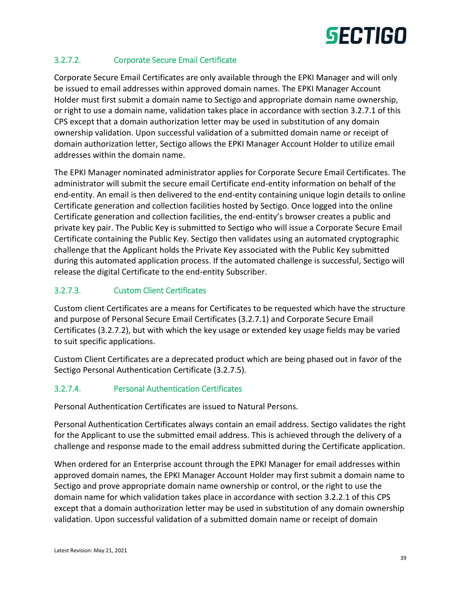#### 3.2.7.2. Corporate Secure Email Certificate

Corporate Secure Email Certificates are only available through the EPKI Manager and will only be issued to email addresses within approved domain names. The EPKI Manager Account Holder must first submit a domain name to Sectigo and appropriate domain name ownership, or right to use a domain name, validation takes place in accordance with section 3.2.7.1 of this CPS except that a domain authorization letter may be used in substitution of any domain ownership validation. Upon successful validation of a submitted domain name or receipt of domain authorization letter, Sectigo allows the EPKI Manager Account Holder to utilize email addresses within the domain name.

The EPKI Manager nominated administrator applies for Corporate Secure Email Certificates. The administrator will submit the secure email Certificate end-entity information on behalf of the end-entity. An email is then delivered to the end-entity containing unique login details to online Certificate generation and collection facilities hosted by Sectigo. Once logged into the online Certificate generation and collection facilities, the end-entity's browser creates a public and private key pair. The Public Key is submitted to Sectigo who will issue a Corporate Secure Email Certificate containing the Public Key. Sectigo then validates using an automated cryptographic challenge that the Applicant holds the Private Key associated with the Public Key submitted during this automated application process. If the automated challenge is successful, Sectigo will release the digital Certificate to the end-entity Subscriber.

#### 3.2.7.3. Custom Client Certificates

Custom client Certificates are a means for Certificates to be requested which have the structure and purpose of Personal Secure Email Certificates (3.2.7.1) and Corporate Secure Email Certificates (3.2.7.2), but with which the key usage or extended key usage fields may be varied to suit specific applications.

Custom Client Certificates are a deprecated product which are being phased out in favor of the Sectigo Personal Authentication Certificate (3.2.7.5).

#### 3.2.7.4. Personal Authentication Certificates

Personal Authentication Certificates are issued to Natural Persons.

Personal Authentication Certificates always contain an email address. Sectigo validates the right for the Applicant to use the submitted email address. This is achieved through the delivery of a challenge and response made to the email address submitted during the Certificate application.

When ordered for an Enterprise account through the EPKI Manager for email addresses within approved domain names, the EPKI Manager Account Holder may first submit a domain name to Sectigo and prove appropriate domain name ownership or control, or the right to use the domain name for which validation takes place in accordance with section 3.2.2.1 of this CPS except that a domain authorization letter may be used in substitution of any domain ownership validation. Upon successful validation of a submitted domain name or receipt of domain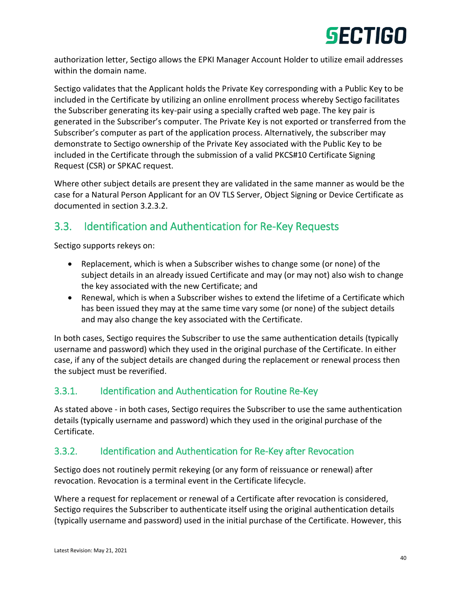

authorization letter, Sectigo allows the EPKI Manager Account Holder to utilize email addresses within the domain name.

Sectigo validates that the Applicant holds the Private Key corresponding with a Public Key to be included in the Certificate by utilizing an online enrollment process whereby Sectigo facilitates the Subscriber generating its key-pair using a specially crafted web page. The key pair is generated in the Subscriber's computer. The Private Key is not exported or transferred from the Subscriber's computer as part of the application process. Alternatively, the subscriber may demonstrate to Sectigo ownership of the Private Key associated with the Public Key to be included in the Certificate through the submission of a valid PKCS#10 Certificate Signing Request (CSR) or SPKAC request.

Where other subject details are present they are validated in the same manner as would be the case for a Natural Person Applicant for an OV TLS Server, Object Signing or Device Certificate as documented in section 3.2.3.2.

# 3.3. Identification and Authentication for Re-Key Requests

Sectigo supports rekeys on:

- Replacement, which is when a Subscriber wishes to change some (or none) of the subject details in an already issued Certificate and may (or may not) also wish to change the key associated with the new Certificate; and
- Renewal, which is when a Subscriber wishes to extend the lifetime of a Certificate which has been issued they may at the same time vary some (or none) of the subject details and may also change the key associated with the Certificate.

In both cases, Sectigo requires the Subscriber to use the same authentication details (typically username and password) which they used in the original purchase of the Certificate. In either case, if any of the subject details are changed during the replacement or renewal process then the subject must be reverified.

# 3.3.1. Identification and Authentication for Routine Re-Key

As stated above - in both cases, Sectigo requires the Subscriber to use the same authentication details (typically username and password) which they used in the original purchase of the Certificate.

# 3.3.2. Identification and Authentication for Re-Key after Revocation

Sectigo does not routinely permit rekeying (or any form of reissuance or renewal) after revocation. Revocation is a terminal event in the Certificate lifecycle.

Where a request for replacement or renewal of a Certificate after revocation is considered, Sectigo requires the Subscriber to authenticate itself using the original authentication details (typically username and password) used in the initial purchase of the Certificate. However, this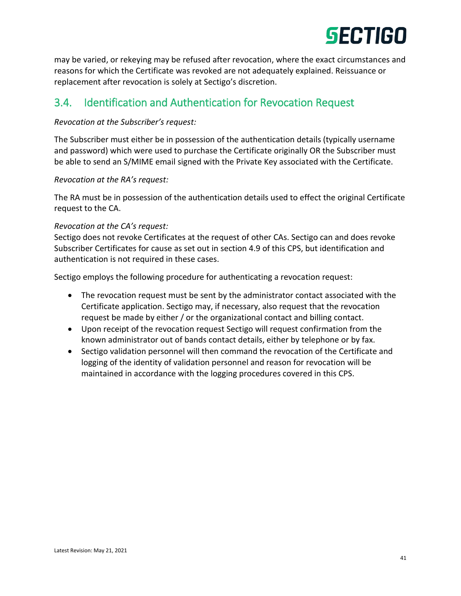

may be varied, or rekeying may be refused after revocation, where the exact circumstances and reasons for which the Certificate was revoked are not adequately explained. Reissuance or replacement after revocation is solely at Sectigo's discretion.

# 3.4. Identification and Authentication for Revocation Request

#### *Revocation at the Subscriber's request:*

The Subscriber must either be in possession of the authentication details (typically username and password) which were used to purchase the Certificate originally OR the Subscriber must be able to send an S/MIME email signed with the Private Key associated with the Certificate.

#### *Revocation at the RA's request:*

The RA must be in possession of the authentication details used to effect the original Certificate request to the CA.

#### *Revocation at the CA's request:*

Sectigo does not revoke Certificates at the request of other CAs. Sectigo can and does revoke Subscriber Certificates for cause as set out in section 4.9 of this CPS, but identification and authentication is not required in these cases.

Sectigo employs the following procedure for authenticating a revocation request:

- The revocation request must be sent by the administrator contact associated with the Certificate application. Sectigo may, if necessary, also request that the revocation request be made by either / or the organizational contact and billing contact.
- Upon receipt of the revocation request Sectigo will request confirmation from the known administrator out of bands contact details, either by telephone or by fax.
- Sectigo validation personnel will then command the revocation of the Certificate and logging of the identity of validation personnel and reason for revocation will be maintained in accordance with the logging procedures covered in this CPS.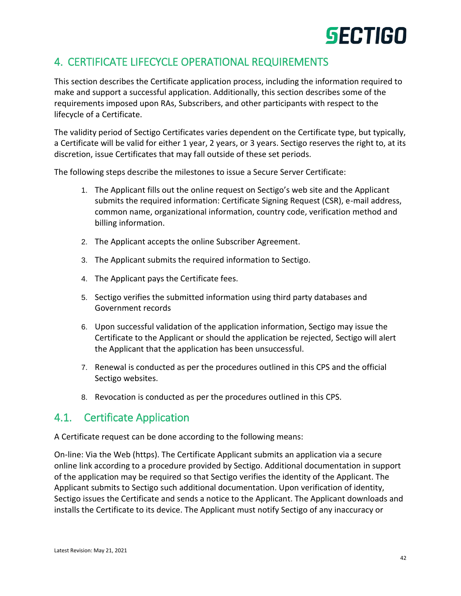# 4. CERTIFICATE LIFECYCLE OPERATIONAL REQUIREMENTS

This section describes the Certificate application process, including the information required to make and support a successful application. Additionally, this section describes some of the requirements imposed upon RAs, Subscribers, and other participants with respect to the lifecycle of a Certificate.

The validity period of Sectigo Certificates varies dependent on the Certificate type, but typically, a Certificate will be valid for either 1 year, 2 years, or 3 years. Sectigo reserves the right to, at its discretion, issue Certificates that may fall outside of these set periods.

The following steps describe the milestones to issue a Secure Server Certificate:

- 1. The Applicant fills out the online request on Sectigo's web site and the Applicant submits the required information: Certificate Signing Request (CSR), e-mail address, common name, organizational information, country code, verification method and billing information.
- 2. The Applicant accepts the online Subscriber Agreement.
- 3. The Applicant submits the required information to Sectigo.
- 4. The Applicant pays the Certificate fees.
- 5. Sectigo verifies the submitted information using third party databases and Government records
- 6. Upon successful validation of the application information, Sectigo may issue the Certificate to the Applicant or should the application be rejected, Sectigo will alert the Applicant that the application has been unsuccessful.
- 7. Renewal is conducted as per the procedures outlined in this CPS and the official Sectigo websites.
- 8. Revocation is conducted as per the procedures outlined in this CPS.

# 4.1. Certificate Application

A Certificate request can be done according to the following means:

On-line: Via the Web (https). The Certificate Applicant submits an application via a secure online link according to a procedure provided by Sectigo. Additional documentation in support of the application may be required so that Sectigo verifies the identity of the Applicant. The Applicant submits to Sectigo such additional documentation. Upon verification of identity, Sectigo issues the Certificate and sends a notice to the Applicant. The Applicant downloads and installs the Certificate to its device. The Applicant must notify Sectigo of any inaccuracy or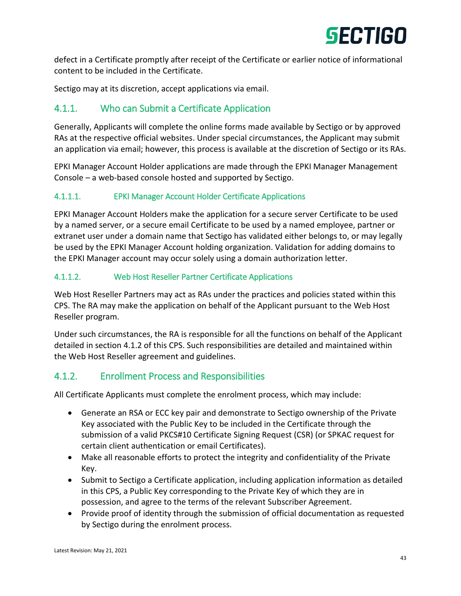

defect in a Certificate promptly after receipt of the Certificate or earlier notice of informational content to be included in the Certificate.

Sectigo may at its discretion, accept applications via email.

#### 4.1.1. Who can Submit a Certificate Application

Generally, Applicants will complete the online forms made available by Sectigo or by approved RAs at the respective official websites. Under special circumstances, the Applicant may submit an application via email; however, this process is available at the discretion of Sectigo or its RAs.

EPKI Manager Account Holder applications are made through the EPKI Manager Management Console – a web-based console hosted and supported by Sectigo.

#### 4.1.1.1. EPKI Manager Account Holder Certificate Applications

EPKI Manager Account Holders make the application for a secure server Certificate to be used by a named server, or a secure email Certificate to be used by a named employee, partner or extranet user under a domain name that Sectigo has validated either belongs to, or may legally be used by the EPKI Manager Account holding organization. Validation for adding domains to the EPKI Manager account may occur solely using a domain authorization letter.

#### 4.1.1.2. Web Host Reseller Partner Certificate Applications

Web Host Reseller Partners may act as RAs under the practices and policies stated within this CPS. The RA may make the application on behalf of the Applicant pursuant to the Web Host Reseller program.

Under such circumstances, the RA is responsible for all the functions on behalf of the Applicant detailed in section 4.1.2 of this CPS. Such responsibilities are detailed and maintained within the Web Host Reseller agreement and guidelines.

#### 4.1.2. Enrollment Process and Responsibilities

All Certificate Applicants must complete the enrolment process, which may include:

- Generate an RSA or ECC key pair and demonstrate to Sectigo ownership of the Private Key associated with the Public Key to be included in the Certificate through the submission of a valid PKCS#10 Certificate Signing Request (CSR) (or SPKAC request for certain client authentication or email Certificates).
- Make all reasonable efforts to protect the integrity and confidentiality of the Private Key.
- Submit to Sectigo a Certificate application, including application information as detailed in this CPS, a Public Key corresponding to the Private Key of which they are in possession, and agree to the terms of the relevant Subscriber Agreement.
- Provide proof of identity through the submission of official documentation as requested by Sectigo during the enrolment process.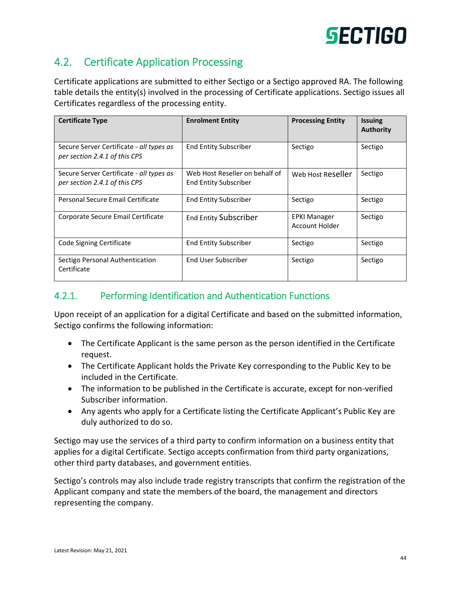# 4.2. Certificate Application Processing

Certificate applications are submitted to either Sectigo or a Sectigo approved RA. The following table details the entity(s) involved in the processing of Certificate applications. Sectigo issues all Certificates regardless of the processing entity.

| <b>Certificate Type</b>                                                   | <b>Enrolment Entity</b>                                        | <b>Processing Entity</b>              | <b>Issuing</b><br><b>Authority</b> |
|---------------------------------------------------------------------------|----------------------------------------------------------------|---------------------------------------|------------------------------------|
| Secure Server Certificate - all types as<br>per section 2.4.1 of this CPS | <b>End Entity Subscriber</b>                                   | Sectigo                               | Sectigo                            |
| Secure Server Certificate - all types as<br>per section 2.4.1 of this CPS | Web Host Reseller on behalf of<br><b>End Entity Subscriber</b> | Web Host Reseller                     | Sectigo                            |
| Personal Secure Email Certificate                                         | <b>End Entity Subscriber</b>                                   | Sectigo                               | Sectigo                            |
| Corporate Secure Email Certificate                                        | <b>End Entity Subscriber</b>                                   | <b>EPKI Manager</b><br>Account Holder | Sectigo                            |
| Code Signing Certificate                                                  | End Entity Subscriber                                          | Sectigo                               | Sectigo                            |
| Sectigo Personal Authentication<br>Certificate                            | End User Subscriber                                            | Sectigo                               | Sectigo                            |

## 4.2.1. Performing Identification and Authentication Functions

Upon receipt of an application for a digital Certificate and based on the submitted information, Sectigo confirms the following information:

- The Certificate Applicant is the same person as the person identified in the Certificate request.
- The Certificate Applicant holds the Private Key corresponding to the Public Key to be included in the Certificate.
- The information to be published in the Certificate is accurate, except for non-verified Subscriber information.
- Any agents who apply for a Certificate listing the Certificate Applicant's Public Key are duly authorized to do so.

Sectigo may use the services of a third party to confirm information on a business entity that applies for a digital Certificate. Sectigo accepts confirmation from third party organizations, other third party databases, and government entities.

Sectigo's controls may also include trade registry transcripts that confirm the registration of the Applicant company and state the members of the board, the management and directors representing the company.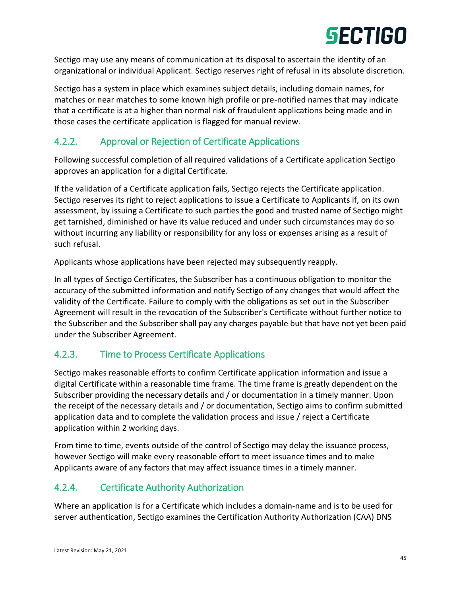Sectigo may use any means of communication at its disposal to ascertain the identity of an organizational or individual Applicant. Sectigo reserves right of refusal in its absolute discretion.

Sectigo has a system in place which examines subject details, including domain names, for matches or near matches to some known high profile or pre-notified names that may indicate that a certificate is at a higher than normal risk of fraudulent applications being made and in those cases the certificate application is flagged for manual review.

# 4.2.2. Approval or Rejection of Certificate Applications

Following successful completion of all required validations of a Certificate application Sectigo approves an application for a digital Certificate.

If the validation of a Certificate application fails, Sectigo rejects the Certificate application. Sectigo reserves its right to reject applications to issue a Certificate to Applicants if, on its own assessment, by issuing a Certificate to such parties the good and trusted name of Sectigo might get tarnished, diminished or have its value reduced and under such circumstances may do so without incurring any liability or responsibility for any loss or expenses arising as a result of such refusal.

Applicants whose applications have been rejected may subsequently reapply.

In all types of Sectigo Certificates, the Subscriber has a continuous obligation to monitor the accuracy of the submitted information and notify Sectigo of any changes that would affect the validity of the Certificate. Failure to comply with the obligations as set out in the Subscriber Agreement will result in the revocation of the Subscriber's Certificate without further notice to the Subscriber and the Subscriber shall pay any charges payable but that have not yet been paid under the Subscriber Agreement.

# 4.2.3. Time to Process Certificate Applications

Sectigo makes reasonable efforts to confirm Certificate application information and issue a digital Certificate within a reasonable time frame. The time frame is greatly dependent on the Subscriber providing the necessary details and / or documentation in a timely manner. Upon the receipt of the necessary details and / or documentation, Sectigo aims to confirm submitted application data and to complete the validation process and issue / reject a Certificate application within 2 working days.

From time to time, events outside of the control of Sectigo may delay the issuance process, however Sectigo will make every reasonable effort to meet issuance times and to make Applicants aware of any factors that may affect issuance times in a timely manner.

# 4.2.4. Certificate Authority Authorization

Where an application is for a Certificate which includes a domain-name and is to be used for server authentication, Sectigo examines the Certification Authority Authorization (CAA) DNS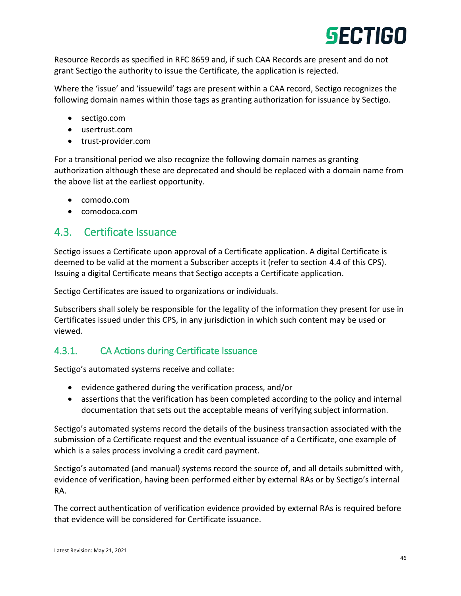Resource Records as specified in RFC 8659 and, if such CAA Records are present and do not grant Sectigo the authority to issue the Certificate, the application is rejected.

Where the 'issue' and 'issuewild' tags are present within a CAA record, Sectigo recognizes the following domain names within those tags as granting authorization for issuance by Sectigo.

- sectigo.com
- usertrust.com
- trust-provider.com

For a transitional period we also recognize the following domain names as granting authorization although these are deprecated and should be replaced with a domain name from the above list at the earliest opportunity.

- comodo.com
- comodoca.com

# 4.3. Certificate Issuance

Sectigo issues a Certificate upon approval of a Certificate application. A digital Certificate is deemed to be valid at the moment a Subscriber accepts it (refer to section 4.4 of this CPS). Issuing a digital Certificate means that Sectigo accepts a Certificate application.

Sectigo Certificates are issued to organizations or individuals.

Subscribers shall solely be responsible for the legality of the information they present for use in Certificates issued under this CPS, in any jurisdiction in which such content may be used or viewed.

# 4.3.1. CA Actions during Certificate Issuance

Sectigo's automated systems receive and collate:

- evidence gathered during the verification process, and/or
- assertions that the verification has been completed according to the policy and internal documentation that sets out the acceptable means of verifying subject information.

Sectigo's automated systems record the details of the business transaction associated with the submission of a Certificate request and the eventual issuance of a Certificate, one example of which is a sales process involving a credit card payment.

Sectigo's automated (and manual) systems record the source of, and all details submitted with, evidence of verification, having been performed either by external RAs or by Sectigo's internal RA.

The correct authentication of verification evidence provided by external RAs is required before that evidence will be considered for Certificate issuance.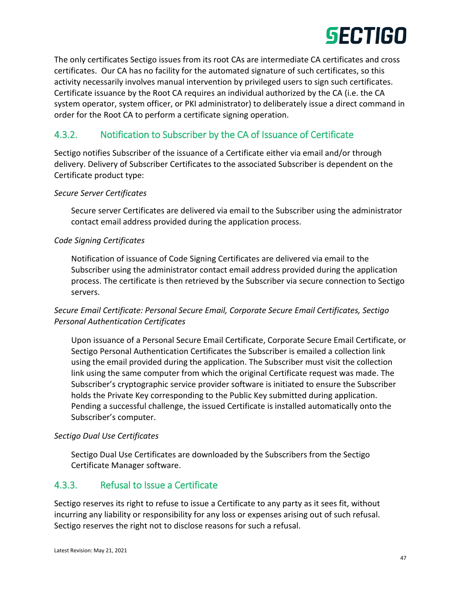

The only certificates Sectigo issues from its root CAs are intermediate CA certificates and cross certificates. Our CA has no facility for the automated signature of such certificates, so this activity necessarily involves manual intervention by privileged users to sign such certificates. Certificate issuance by the Root CA requires an individual authorized by the CA (i.e. the CA system operator, system officer, or PKI administrator) to deliberately issue a direct command in order for the Root CA to perform a certificate signing operation.

### 4.3.2. Notification to Subscriber by the CA of Issuance of Certificate

Sectigo notifies Subscriber of the issuance of a Certificate either via email and/or through delivery. Delivery of Subscriber Certificates to the associated Subscriber is dependent on the Certificate product type:

#### *Secure Server Certificates*

Secure server Certificates are delivered via email to the Subscriber using the administrator contact email address provided during the application process.

#### *Code Signing Certificates*

Notification of issuance of Code Signing Certificates are delivered via email to the Subscriber using the administrator contact email address provided during the application process. The certificate is then retrieved by the Subscriber via secure connection to Sectigo servers.

#### *Secure Email Certificate: Personal Secure Email, Corporate Secure Email Certificates, Sectigo Personal Authentication Certificates*

Upon issuance of a Personal Secure Email Certificate, Corporate Secure Email Certificate, or Sectigo Personal Authentication Certificates the Subscriber is emailed a collection link using the email provided during the application. The Subscriber must visit the collection link using the same computer from which the original Certificate request was made. The Subscriber's cryptographic service provider software is initiated to ensure the Subscriber holds the Private Key corresponding to the Public Key submitted during application. Pending a successful challenge, the issued Certificate is installed automatically onto the Subscriber's computer.

#### *Sectigo Dual Use Certificates*

Sectigo Dual Use Certificates are downloaded by the Subscribers from the Sectigo Certificate Manager software.

#### 4.3.3. Refusal to Issue a Certificate

Sectigo reserves its right to refuse to issue a Certificate to any party as it sees fit, without incurring any liability or responsibility for any loss or expenses arising out of such refusal. Sectigo reserves the right not to disclose reasons for such a refusal.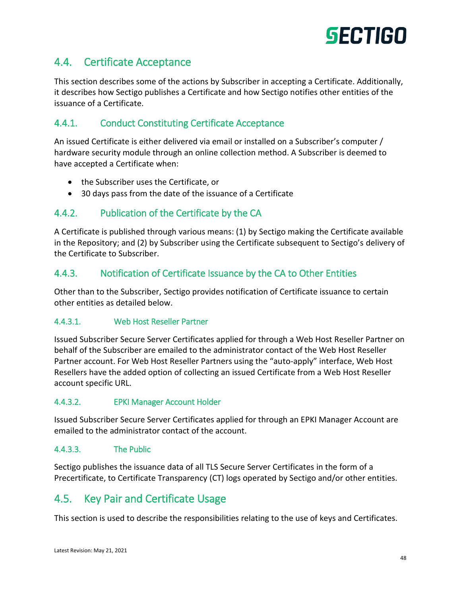

# 4.4. Certificate Acceptance

This section describes some of the actions by Subscriber in accepting a Certificate. Additionally, it describes how Sectigo publishes a Certificate and how Sectigo notifies other entities of the issuance of a Certificate.

#### 4.4.1. Conduct Constituting Certificate Acceptance

An issued Certificate is either delivered via email or installed on a Subscriber's computer / hardware security module through an online collection method. A Subscriber is deemed to have accepted a Certificate when:

- the Subscriber uses the Certificate, or
- 30 days pass from the date of the issuance of a Certificate

#### 4.4.2. Publication of the Certificate by the CA

A Certificate is published through various means: (1) by Sectigo making the Certificate available in the Repository; and (2) by Subscriber using the Certificate subsequent to Sectigo's delivery of the Certificate to Subscriber.

#### 4.4.3. Notification of Certificate Issuance by the CA to Other Entities

Other than to the Subscriber, Sectigo provides notification of Certificate issuance to certain other entities as detailed below.

#### 4.4.3.1. Web Host Reseller Partner

Issued Subscriber Secure Server Certificates applied for through a Web Host Reseller Partner on behalf of the Subscriber are emailed to the administrator contact of the Web Host Reseller Partner account. For Web Host Reseller Partners using the "auto-apply" interface, Web Host Resellers have the added option of collecting an issued Certificate from a Web Host Reseller account specific URL.

#### 4.4.3.2. EPKI Manager Account Holder

Issued Subscriber Secure Server Certificates applied for through an EPKI Manager Account are emailed to the administrator contact of the account.

#### 4.4.3.3. The Public

Sectigo publishes the issuance data of all TLS Secure Server Certificates in the form of a Precertificate, to Certificate Transparency (CT) logs operated by Sectigo and/or other entities.

## 4.5. Key Pair and Certificate Usage

This section is used to describe the responsibilities relating to the use of keys and Certificates.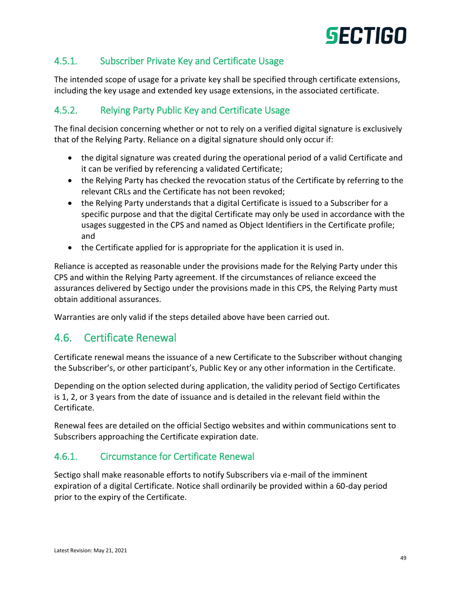# 4.5.1. Subscriber Private Key and Certificate Usage

The intended scope of usage for a private key shall be specified through certificate extensions, including the key usage and extended key usage extensions, in the associated certificate.

# 4.5.2. Relying Party Public Key and Certificate Usage

The final decision concerning whether or not to rely on a verified digital signature is exclusively that of the Relying Party. Reliance on a digital signature should only occur if:

- the digital signature was created during the operational period of a valid Certificate and it can be verified by referencing a validated Certificate;
- the Relying Party has checked the revocation status of the Certificate by referring to the relevant CRLs and the Certificate has not been revoked;
- the Relying Party understands that a digital Certificate is issued to a Subscriber for a specific purpose and that the digital Certificate may only be used in accordance with the usages suggested in the CPS and named as Object Identifiers in the Certificate profile; and
- the Certificate applied for is appropriate for the application it is used in.

Reliance is accepted as reasonable under the provisions made for the Relying Party under this CPS and within the Relying Party agreement. If the circumstances of reliance exceed the assurances delivered by Sectigo under the provisions made in this CPS, the Relying Party must obtain additional assurances.

Warranties are only valid if the steps detailed above have been carried out.

# 4.6. Certificate Renewal

Certificate renewal means the issuance of a new Certificate to the Subscriber without changing the Subscriber's, or other participant's, Public Key or any other information in the Certificate.

Depending on the option selected during application, the validity period of Sectigo Certificates is 1, 2, or 3 years from the date of issuance and is detailed in the relevant field within the Certificate.

Renewal fees are detailed on the official Sectigo websites and within communications sent to Subscribers approaching the Certificate expiration date.

#### 4.6.1. Circumstance for Certificate Renewal

Sectigo shall make reasonable efforts to notify Subscribers via e-mail of the imminent expiration of a digital Certificate. Notice shall ordinarily be provided within a 60-day period prior to the expiry of the Certificate.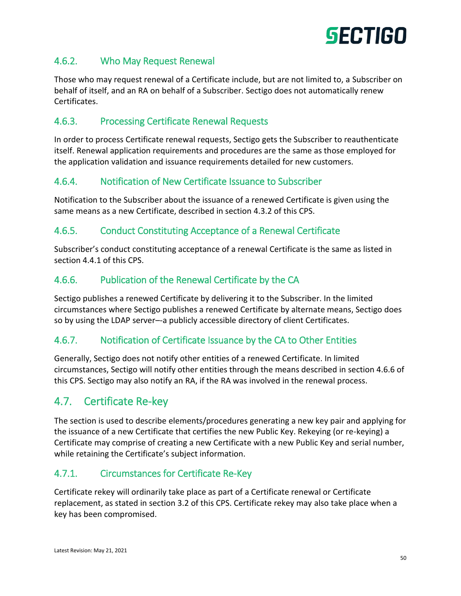

## 4.6.2. Who May Request Renewal

Those who may request renewal of a Certificate include, but are not limited to, a Subscriber on behalf of itself, and an RA on behalf of a Subscriber. Sectigo does not automatically renew Certificates.

### 4.6.3. Processing Certificate Renewal Requests

In order to process Certificate renewal requests, Sectigo gets the Subscriber to reauthenticate itself. Renewal application requirements and procedures are the same as those employed for the application validation and issuance requirements detailed for new customers.

#### 4.6.4. Notification of New Certificate Issuance to Subscriber

Notification to the Subscriber about the issuance of a renewed Certificate is given using the same means as a new Certificate, described in section 4.3.2 of this CPS.

# 4.6.5. Conduct Constituting Acceptance of a Renewal Certificate

Subscriber's conduct constituting acceptance of a renewal Certificate is the same as listed in section 4.4.1 of this CPS.

## 4.6.6. Publication of the Renewal Certificate by the CA

Sectigo publishes a renewed Certificate by delivering it to the Subscriber. In the limited circumstances where Sectigo publishes a renewed Certificate by alternate means, Sectigo does so by using the LDAP server–-a publicly accessible directory of client Certificates.

#### 4.6.7. Notification of Certificate Issuance by the CA to Other Entities

Generally, Sectigo does not notify other entities of a renewed Certificate. In limited circumstances, Sectigo will notify other entities through the means described in section 4.6.6 of this CPS. Sectigo may also notify an RA, if the RA was involved in the renewal process.

# 4.7. Certificate Re-key

The section is used to describe elements/procedures generating a new key pair and applying for the issuance of a new Certificate that certifies the new Public Key. Rekeying (or re-keying) a Certificate may comprise of creating a new Certificate with a new Public Key and serial number, while retaining the Certificate's subject information.

#### 4.7.1. Circumstances for Certificate Re-Key

Certificate rekey will ordinarily take place as part of a Certificate renewal or Certificate replacement, as stated in section 3.2 of this CPS. Certificate rekey may also take place when a key has been compromised.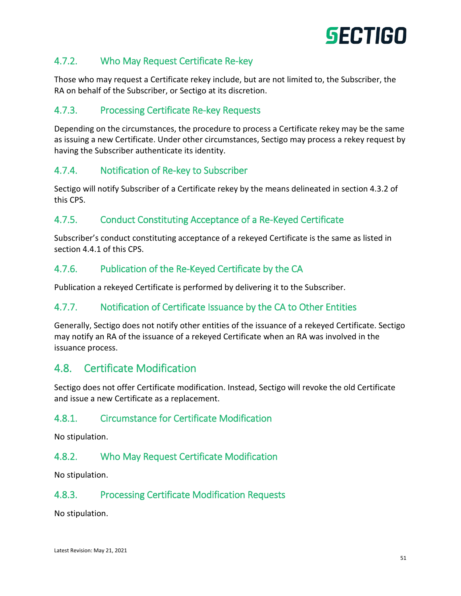# 4.7.2. Who May Request Certificate Re-key

Those who may request a Certificate rekey include, but are not limited to, the Subscriber, the RA on behalf of the Subscriber, or Sectigo at its discretion.

## 4.7.3. Processing Certificate Re-key Requests

Depending on the circumstances, the procedure to process a Certificate rekey may be the same as issuing a new Certificate. Under other circumstances, Sectigo may process a rekey request by having the Subscriber authenticate its identity.

#### 4.7.4. Notification of Re-key to Subscriber

Sectigo will notify Subscriber of a Certificate rekey by the means delineated in section 4.3.2 of this CPS.

## 4.7.5. Conduct Constituting Acceptance of a Re-Keyed Certificate

Subscriber's conduct constituting acceptance of a rekeyed Certificate is the same as listed in section 4.4.1 of this CPS.

#### 4.7.6. Publication of the Re-Keyed Certificate by the CA

Publication a rekeyed Certificate is performed by delivering it to the Subscriber.

#### 4.7.7. Notification of Certificate Issuance by the CA to Other Entities

Generally, Sectigo does not notify other entities of the issuance of a rekeyed Certificate. Sectigo may notify an RA of the issuance of a rekeyed Certificate when an RA was involved in the issuance process.

# 4.8. Certificate Modification

Sectigo does not offer Certificate modification. Instead, Sectigo will revoke the old Certificate and issue a new Certificate as a replacement.

#### 4.8.1. Circumstance for Certificate Modification

No stipulation.

#### 4.8.2. Who May Request Certificate Modification

No stipulation.

#### 4.8.3. Processing Certificate Modification Requests

No stipulation.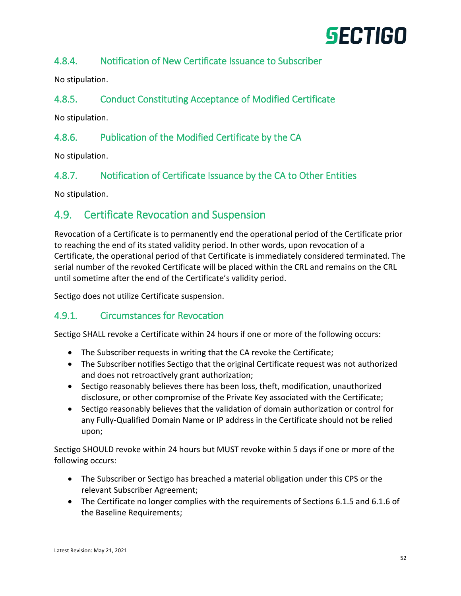# 4.8.4. Notification of New Certificate Issuance to Subscriber

No stipulation.

## 4.8.5. Conduct Constituting Acceptance of Modified Certificate

No stipulation.

## 4.8.6. Publication of the Modified Certificate by the CA

No stipulation.

#### 4.8.7. Notification of Certificate Issuance by the CA to Other Entities

No stipulation.

# 4.9. Certificate Revocation and Suspension

Revocation of a Certificate is to permanently end the operational period of the Certificate prior to reaching the end of its stated validity period. In other words, upon revocation of a Certificate, the operational period of that Certificate is immediately considered terminated. The serial number of the revoked Certificate will be placed within the CRL and remains on the CRL until sometime after the end of the Certificate's validity period.

Sectigo does not utilize Certificate suspension.

#### 4.9.1. Circumstances for Revocation

Sectigo SHALL revoke a Certificate within 24 hours if one or more of the following occurs:

- The Subscriber requests in writing that the CA revoke the Certificate;
- The Subscriber notifies Sectigo that the original Certificate request was not authorized and does not retroactively grant authorization;
- Sectigo reasonably believes there has been loss, theft, modification, unauthorized disclosure, or other compromise of the Private Key associated with the Certificate;
- Sectigo reasonably believes that the validation of domain authorization or control for any Fully-Qualified Domain Name or IP address in the Certificate should not be relied upon;

Sectigo SHOULD revoke within 24 hours but MUST revoke within 5 days if one or more of the following occurs:

- The Subscriber or Sectigo has breached a material obligation under this CPS or the relevant Subscriber Agreement;
- The Certificate no longer complies with the requirements of Sections 6.1.5 and 6.1.6 of the Baseline Requirements;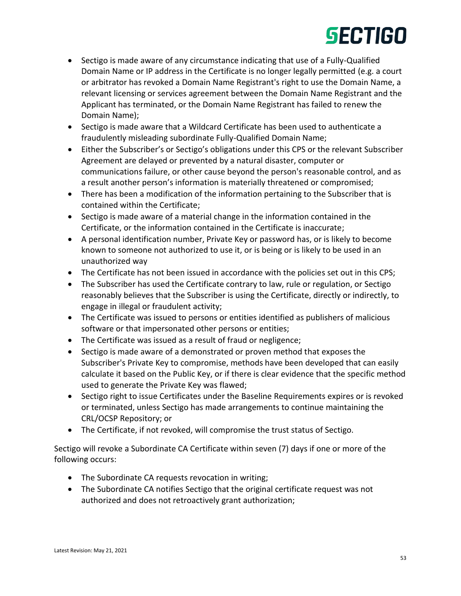- Sectigo is made aware of any circumstance indicating that use of a Fully-Qualified Domain Name or IP address in the Certificate is no longer legally permitted (e.g. a court or arbitrator has revoked a Domain Name Registrant's right to use the Domain Name, a relevant licensing or services agreement between the Domain Name Registrant and the Applicant has terminated, or the Domain Name Registrant has failed to renew the Domain Name);
- Sectigo is made aware that a Wildcard Certificate has been used to authenticate a fraudulently misleading subordinate Fully-Qualified Domain Name;
- Either the Subscriber's or Sectigo's obligations under this CPS or the relevant Subscriber Agreement are delayed or prevented by a natural disaster, computer or communications failure, or other cause beyond the person's reasonable control, and as a result another person's information is materially threatened or compromised;
- There has been a modification of the information pertaining to the Subscriber that is contained within the Certificate;
- Sectigo is made aware of a material change in the information contained in the Certificate, or the information contained in the Certificate is inaccurate;
- A personal identification number, Private Key or password has, or is likely to become known to someone not authorized to use it, or is being or is likely to be used in an unauthorized way
- The Certificate has not been issued in accordance with the policies set out in this CPS;
- The Subscriber has used the Certificate contrary to law, rule or regulation, or Sectigo reasonably believes that the Subscriber is using the Certificate, directly or indirectly, to engage in illegal or fraudulent activity;
- The Certificate was issued to persons or entities identified as publishers of malicious software or that impersonated other persons or entities;
- The Certificate was issued as a result of fraud or negligence;
- Sectigo is made aware of a demonstrated or proven method that exposes the Subscriber's Private Key to compromise, methods have been developed that can easily calculate it based on the Public Key, or if there is clear evidence that the specific method used to generate the Private Key was flawed;
- Sectigo right to issue Certificates under the Baseline Requirements expires or is revoked or terminated, unless Sectigo has made arrangements to continue maintaining the CRL/OCSP Repository; or
- The Certificate, if not revoked, will compromise the trust status of Sectigo.

Sectigo will revoke a Subordinate CA Certificate within seven (7) days if one or more of the following occurs:

- The Subordinate CA requests revocation in writing;
- The Subordinate CA notifies Sectigo that the original certificate request was not authorized and does not retroactively grant authorization;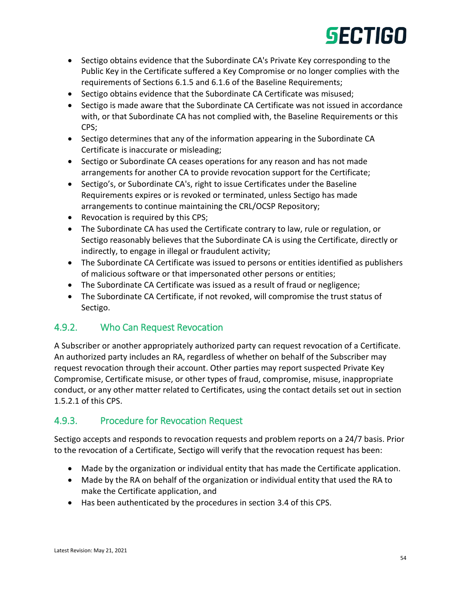- Sectigo obtains evidence that the Subordinate CA's Private Key corresponding to the Public Key in the Certificate suffered a Key Compromise or no longer complies with the requirements of Sections 6.1.5 and 6.1.6 of the Baseline Requirements;
- Sectigo obtains evidence that the Subordinate CA Certificate was misused;
- Sectigo is made aware that the Subordinate CA Certificate was not issued in accordance with, or that Subordinate CA has not complied with, the Baseline Requirements or this CPS;
- Sectigo determines that any of the information appearing in the Subordinate CA Certificate is inaccurate or misleading;
- Sectigo or Subordinate CA ceases operations for any reason and has not made arrangements for another CA to provide revocation support for the Certificate;
- Sectigo's, or Subordinate CA's, right to issue Certificates under the Baseline Requirements expires or is revoked or terminated, unless Sectigo has made arrangements to continue maintaining the CRL/OCSP Repository;
- Revocation is required by this CPS;
- The Subordinate CA has used the Certificate contrary to law, rule or regulation, or Sectigo reasonably believes that the Subordinate CA is using the Certificate, directly or indirectly, to engage in illegal or fraudulent activity;
- The Subordinate CA Certificate was issued to persons or entities identified as publishers of malicious software or that impersonated other persons or entities;
- The Subordinate CA Certificate was issued as a result of fraud or negligence;
- The Subordinate CA Certificate, if not revoked, will compromise the trust status of Sectigo.

# 4.9.2. Who Can Request Revocation

A Subscriber or another appropriately authorized party can request revocation of a Certificate. An authorized party includes an RA, regardless of whether on behalf of the Subscriber may request revocation through their account. Other parties may report suspected Private Key Compromise, Certificate misuse, or other types of fraud, compromise, misuse, inappropriate conduct, or any other matter related to Certificates, using the contact details set out in section 1.5.2.1 of this CPS.

# 4.9.3. Procedure for Revocation Request

Sectigo accepts and responds to revocation requests and problem reports on a 24/7 basis. Prior to the revocation of a Certificate, Sectigo will verify that the revocation request has been:

- Made by the organization or individual entity that has made the Certificate application.
- Made by the RA on behalf of the organization or individual entity that used the RA to make the Certificate application, and
- Has been authenticated by the procedures in section 3.4 of this CPS.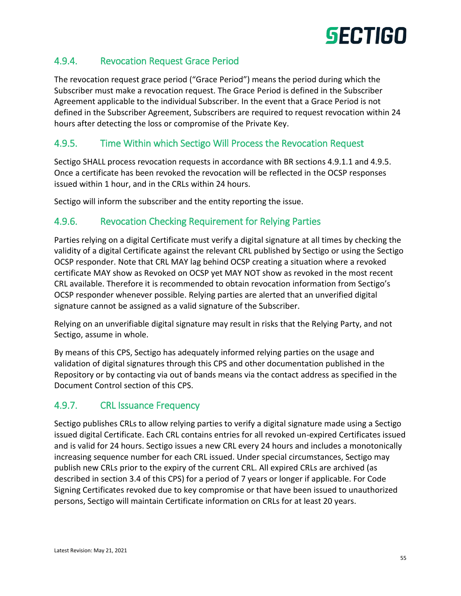

## 4.9.4. Revocation Request Grace Period

The revocation request grace period ("Grace Period") means the period during which the Subscriber must make a revocation request. The Grace Period is defined in the Subscriber Agreement applicable to the individual Subscriber. In the event that a Grace Period is not defined in the Subscriber Agreement, Subscribers are required to request revocation within 24 hours after detecting the loss or compromise of the Private Key.

### 4.9.5. Time Within which Sectigo Will Process the Revocation Request

Sectigo SHALL process revocation requests in accordance with BR sections 4.9.1.1 and 4.9.5. Once a certificate has been revoked the revocation will be reflected in the OCSP responses issued within 1 hour, and in the CRLs within 24 hours.

Sectigo will inform the subscriber and the entity reporting the issue.

#### 4.9.6. Revocation Checking Requirement for Relying Parties

Parties relying on a digital Certificate must verify a digital signature at all times by checking the validity of a digital Certificate against the relevant CRL published by Sectigo or using the Sectigo OCSP responder. Note that CRL MAY lag behind OCSP creating a situation where a revoked certificate MAY show as Revoked on OCSP yet MAY NOT show as revoked in the most recent CRL available. Therefore it is recommended to obtain revocation information from Sectigo's OCSP responder whenever possible. Relying parties are alerted that an unverified digital signature cannot be assigned as a valid signature of the Subscriber.

Relying on an unverifiable digital signature may result in risks that the Relying Party, and not Sectigo, assume in whole.

By means of this CPS, Sectigo has adequately informed relying parties on the usage and validation of digital signatures through this CPS and other documentation published in the Repository or by contacting via out of bands means via the contact address as specified in the Document Control section of this CPS.

#### 4.9.7. CRL Issuance Frequency

Sectigo publishes CRLs to allow relying parties to verify a digital signature made using a Sectigo issued digital Certificate. Each CRL contains entries for all revoked un-expired Certificates issued and is valid for 24 hours. Sectigo issues a new CRL every 24 hours and includes a monotonically increasing sequence number for each CRL issued. Under special circumstances, Sectigo may publish new CRLs prior to the expiry of the current CRL. All expired CRLs are archived (as described in section 3.4 of this CPS) for a period of 7 years or longer if applicable. For Code Signing Certificates revoked due to key compromise or that have been issued to unauthorized persons, Sectigo will maintain Certificate information on CRLs for at least 20 years.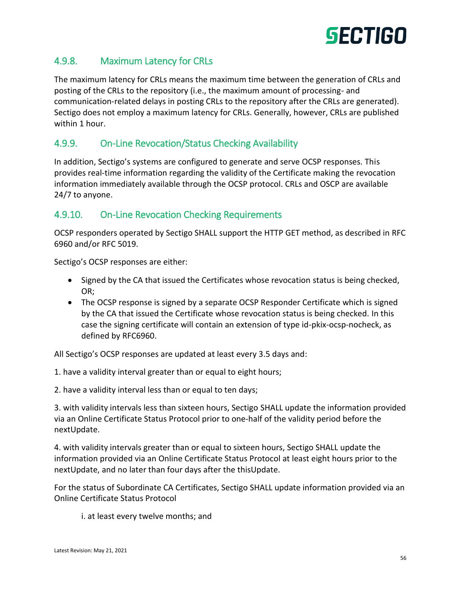

## 4.9.8. Maximum Latency for CRLs

The maximum latency for CRLs means the maximum time between the generation of CRLs and posting of the CRLs to the repository (i.e., the maximum amount of processing- and communication-related delays in posting CRLs to the repository after the CRLs are generated). Sectigo does not employ a maximum latency for CRLs. Generally, however, CRLs are published within 1 hour.

#### 4.9.9. On-Line Revocation/Status Checking Availability

In addition, Sectigo's systems are configured to generate and serve OCSP responses. This provides real-time information regarding the validity of the Certificate making the revocation information immediately available through the OCSP protocol. CRLs and OSCP are available 24/7 to anyone.

#### 4.9.10. On-Line Revocation Checking Requirements

OCSP responders operated by Sectigo SHALL support the HTTP GET method, as described in RFC 6960 and/or RFC 5019.

Sectigo's OCSP responses are either:

- Signed by the CA that issued the Certificates whose revocation status is being checked, OR;
- The OCSP response is signed by a separate OCSP Responder Certificate which is signed by the CA that issued the Certificate whose revocation status is being checked. In this case the signing certificate will contain an extension of type id-pkix-ocsp-nocheck, as defined by RFC6960.

All Sectigo's OCSP responses are updated at least every 3.5 days and:

1. have a validity interval greater than or equal to eight hours;

2. have a validity interval less than or equal to ten days;

3. with validity intervals less than sixteen hours, Sectigo SHALL update the information provided via an Online Certificate Status Protocol prior to one‐half of the validity period before the nextUpdate.

4. with validity intervals greater than or equal to sixteen hours, Sectigo SHALL update the information provided via an Online Certificate Status Protocol at least eight hours prior to the nextUpdate, and no later than four days after the thisUpdate.

For the status of Subordinate CA Certificates, Sectigo SHALL update information provided via an Online Certificate Status Protocol

i. at least every twelve months; and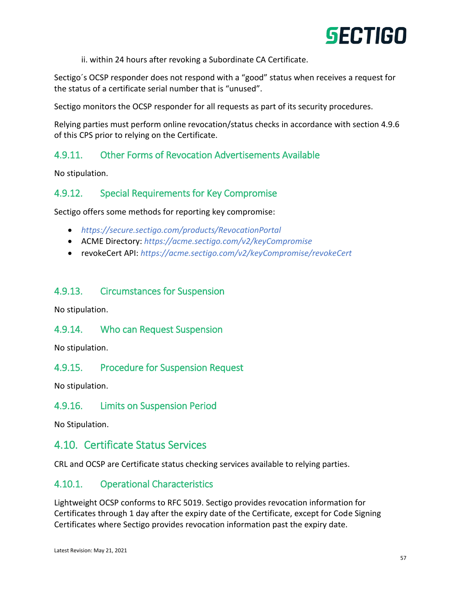

ii. within 24 hours after revoking a Subordinate CA Certificate.

Sectigo´s OCSP responder does not respond with a "good" status when receives a request for the status of a certificate serial number that is "unused".

Sectigo monitors the OCSP responder for all requests as part of its security procedures.

Relying parties must perform online revocation/status checks in accordance with section 4.9.6 of this CPS prior to relying on the Certificate.

## 4.9.11. Other Forms of Revocation Advertisements Available

No stipulation.

#### 4.9.12. Special Requirements for Key Compromise

Sectigo offers some methods for reporting key compromise:

- *<https://secure.sectigo.com/products/RevocationPortal>*
- ACME Directory: *<https://acme.sectigo.com/v2/keyCompromise>*
- revokeCert API: *<https://acme.sectigo.com/v2/keyCompromise/revokeCert>*

#### 4.9.13. Circumstances for Suspension

No stipulation.

#### 4.9.14. Who can Request Suspension

No stipulation.

#### 4.9.15. Procedure for Suspension Request

No stipulation.

#### 4.9.16. Limits on Suspension Period

No Stipulation.

### 4.10. Certificate Status Services

CRL and OCSP are Certificate status checking services available to relying parties.

#### 4.10.1. Operational Characteristics

Lightweight OCSP conforms to RFC 5019. Sectigo provides revocation information for Certificates through 1 day after the expiry date of the Certificate, except for Code Signing Certificates where Sectigo provides revocation information past the expiry date.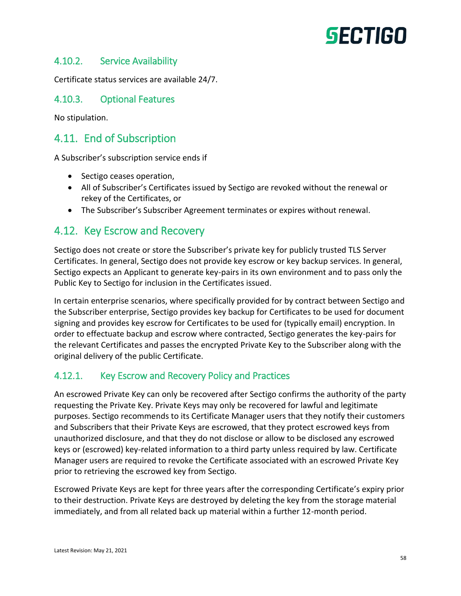#### 4.10.2. Service Availability

Certificate status services are available 24/7.

#### 4.10.3. Optional Features

No stipulation.

# 4.11. End of Subscription

A Subscriber's subscription service ends if

- Sectigo ceases operation,
- All of Subscriber's Certificates issued by Sectigo are revoked without the renewal or rekey of the Certificates, or
- The Subscriber's Subscriber Agreement terminates or expires without renewal.

# 4.12. Key Escrow and Recovery

Sectigo does not create or store the Subscriber's private key for publicly trusted TLS Server Certificates. In general, Sectigo does not provide key escrow or key backup services. In general, Sectigo expects an Applicant to generate key-pairs in its own environment and to pass only the Public Key to Sectigo for inclusion in the Certificates issued.

In certain enterprise scenarios, where specifically provided for by contract between Sectigo and the Subscriber enterprise, Sectigo provides key backup for Certificates to be used for document signing and provides key escrow for Certificates to be used for (typically email) encryption. In order to effectuate backup and escrow where contracted, Sectigo generates the key-pairs for the relevant Certificates and passes the encrypted Private Key to the Subscriber along with the original delivery of the public Certificate.

#### 4.12.1. Key Escrow and Recovery Policy and Practices

An escrowed Private Key can only be recovered after Sectigo confirms the authority of the party requesting the Private Key. Private Keys may only be recovered for lawful and legitimate purposes. Sectigo recommends to its Certificate Manager users that they notify their customers and Subscribers that their Private Keys are escrowed, that they protect escrowed keys from unauthorized disclosure, and that they do not disclose or allow to be disclosed any escrowed keys or (escrowed) key-related information to a third party unless required by law. Certificate Manager users are required to revoke the Certificate associated with an escrowed Private Key prior to retrieving the escrowed key from Sectigo.

Escrowed Private Keys are kept for three years after the corresponding Certificate's expiry prior to their destruction. Private Keys are destroyed by deleting the key from the storage material immediately, and from all related back up material within a further 12-month period.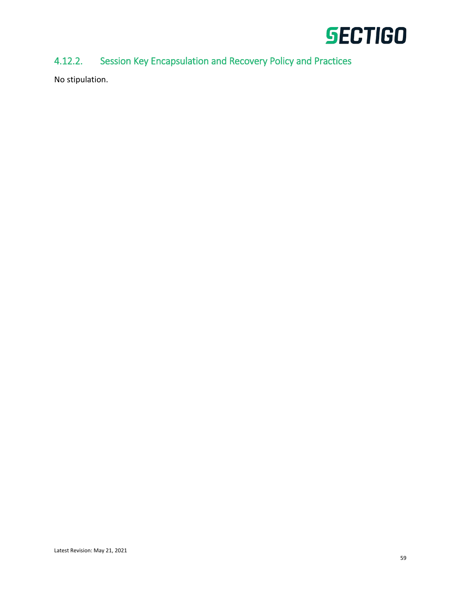

# 4.12.2. Session Key Encapsulation and Recovery Policy and Practices

No stipulation.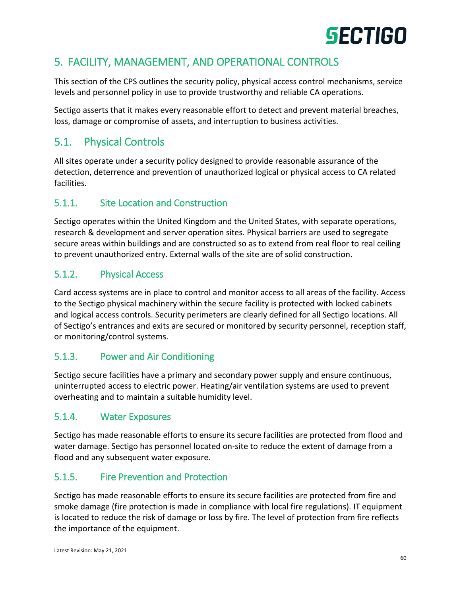# 5. FACILITY, MANAGEMENT, AND OPERATIONAL CONTROLS

This section of the CPS outlines the security policy, physical access control mechanisms, service levels and personnel policy in use to provide trustworthy and reliable CA operations.

Sectigo asserts that it makes every reasonable effort to detect and prevent material breaches, loss, damage or compromise of assets, and interruption to business activities.

# 5.1. Physical Controls

All sites operate under a security policy designed to provide reasonable assurance of the detection, deterrence and prevention of unauthorized logical or physical access to CA related facilities.

# 5.1.1. Site Location and Construction

Sectigo operates within the United Kingdom and the United States, with separate operations, research & development and server operation sites. Physical barriers are used to segregate secure areas within buildings and are constructed so as to extend from real floor to real ceiling to prevent unauthorized entry. External walls of the site are of solid construction.

# 5.1.2. Physical Access

Card access systems are in place to control and monitor access to all areas of the facility. Access to the Sectigo physical machinery within the secure facility is protected with locked cabinets and logical access controls. Security perimeters are clearly defined for all Sectigo locations. All of Sectigo's entrances and exits are secured or monitored by security personnel, reception staff, or monitoring/control systems.

# 5.1.3. Power and Air Conditioning

Sectigo secure facilities have a primary and secondary power supply and ensure continuous, uninterrupted access to electric power. Heating/air ventilation systems are used to prevent overheating and to maintain a suitable humidity level.

#### 5.1.4. Water Exposures

Sectigo has made reasonable efforts to ensure its secure facilities are protected from flood and water damage. Sectigo has personnel located on-site to reduce the extent of damage from a flood and any subsequent water exposure.

# 5.1.5. Fire Prevention and Protection

Sectigo has made reasonable efforts to ensure its secure facilities are protected from fire and smoke damage (fire protection is made in compliance with local fire regulations). IT equipment is located to reduce the risk of damage or loss by fire. The level of protection from fire reflects the importance of the equipment.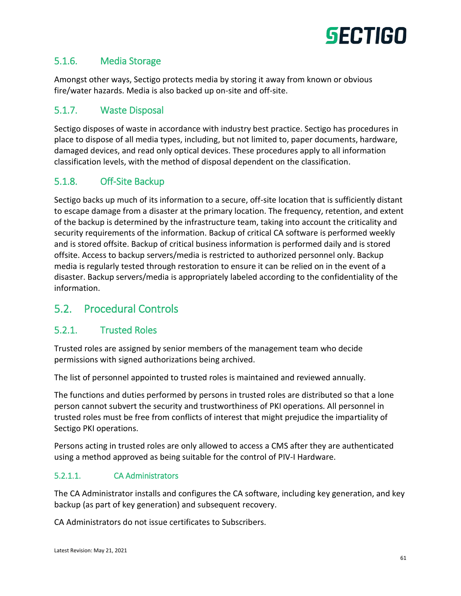

## 5.1.6. Media Storage

Amongst other ways, Sectigo protects media by storing it away from known or obvious fire/water hazards. Media is also backed up on-site and off-site.

#### 5.1.7. Waste Disposal

Sectigo disposes of waste in accordance with industry best practice. Sectigo has procedures in place to dispose of all media types, including, but not limited to, paper documents, hardware, damaged devices, and read only optical devices. These procedures apply to all information classification levels, with the method of disposal dependent on the classification.

## 5.1.8. Off-Site Backup

Sectigo backs up much of its information to a secure, off-site location that is sufficiently distant to escape damage from a disaster at the primary location. The frequency, retention, and extent of the backup is determined by the infrastructure team, taking into account the criticality and security requirements of the information. Backup of critical CA software is performed weekly and is stored offsite. Backup of critical business information is performed daily and is stored offsite. Access to backup servers/media is restricted to authorized personnel only. Backup media is regularly tested through restoration to ensure it can be relied on in the event of a disaster. Backup servers/media is appropriately labeled according to the confidentiality of the information.

# 5.2. Procedural Controls

#### 5.2.1. Trusted Roles

Trusted roles are assigned by senior members of the management team who decide permissions with signed authorizations being archived.

The list of personnel appointed to trusted roles is maintained and reviewed annually.

The functions and duties performed by persons in trusted roles are distributed so that a lone person cannot subvert the security and trustworthiness of PKI operations. All personnel in trusted roles must be free from conflicts of interest that might prejudice the impartiality of Sectigo PKI operations.

Persons acting in trusted roles are only allowed to access a CMS after they are authenticated using a method approved as being suitable for the control of PIV‐I Hardware.

#### 5.2.1.1. CA Administrators

The CA Administrator installs and configures the CA software, including key generation, and key backup (as part of key generation) and subsequent recovery.

CA Administrators do not issue certificates to Subscribers.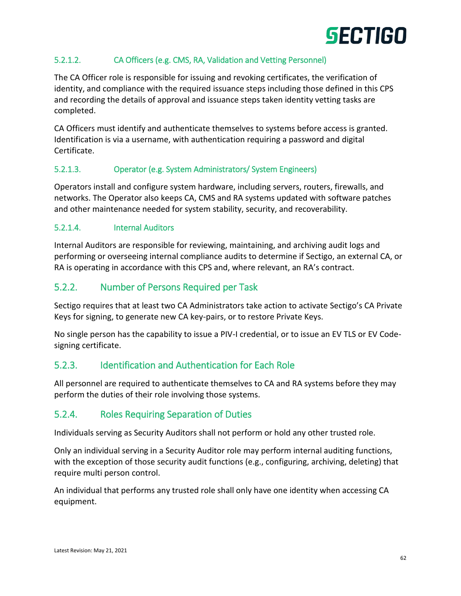

#### 5.2.1.2. CA Officers (e.g. CMS, RA, Validation and Vetting Personnel)

The CA Officer role is responsible for issuing and revoking certificates, the verification of identity, and compliance with the required issuance steps including those defined in this CPS and recording the details of approval and issuance steps taken identity vetting tasks are completed.

CA Officers must identify and authenticate themselves to systems before access is granted. Identification is via a username, with authentication requiring a password and digital Certificate.

#### 5.2.1.3. Operator (e.g. System Administrators/ System Engineers)

Operators install and configure system hardware, including servers, routers, firewalls, and networks. The Operator also keeps CA, CMS and RA systems updated with software patches and other maintenance needed for system stability, security, and recoverability.

#### 5.2.1.4. Internal Auditors

Internal Auditors are responsible for reviewing, maintaining, and archiving audit logs and performing or overseeing internal compliance audits to determine if Sectigo, an external CA, or RA is operating in accordance with this CPS and, where relevant, an RA's contract.

#### 5.2.2. Number of Persons Required per Task

Sectigo requires that at least two CA Administrators take action to activate Sectigo's CA Private Keys for signing, to generate new CA key-pairs, or to restore Private Keys.

No single person has the capability to issue a PIV-I credential, or to issue an EV TLS or EV Codesigning certificate.

#### 5.2.3. Identification and Authentication for Each Role

All personnel are required to authenticate themselves to CA and RA systems before they may perform the duties of their role involving those systems.

#### 5.2.4. Roles Requiring Separation of Duties

Individuals serving as Security Auditors shall not perform or hold any other trusted role.

Only an individual serving in a Security Auditor role may perform internal auditing functions, with the exception of those security audit functions (e.g., configuring, archiving, deleting) that require multi person control.

An individual that performs any trusted role shall only have one identity when accessing CA equipment.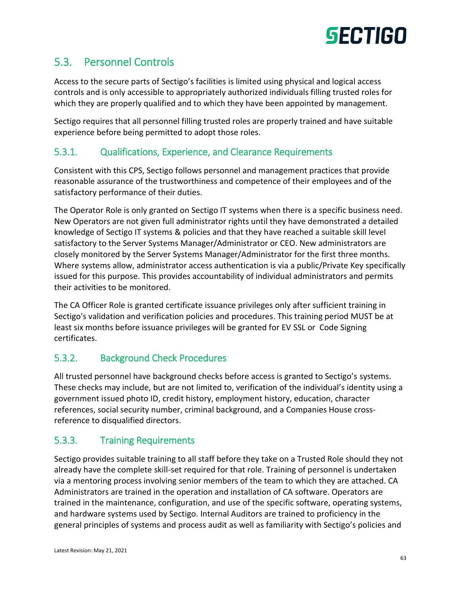

# 5.3. Personnel Controls

Access to the secure parts of Sectigo's facilities is limited using physical and logical access controls and is only accessible to appropriately authorized individuals filling trusted roles for which they are properly qualified and to which they have been appointed by management.

Sectigo requires that all personnel filling trusted roles are properly trained and have suitable experience before being permitted to adopt those roles.

### 5.3.1. Qualifications, Experience, and Clearance Requirements

Consistent with this CPS, Sectigo follows personnel and management practices that provide reasonable assurance of the trustworthiness and competence of their employees and of the satisfactory performance of their duties.

The Operator Role is only granted on Sectigo IT systems when there is a specific business need. New Operators are not given full administrator rights until they have demonstrated a detailed knowledge of Sectigo IT systems & policies and that they have reached a suitable skill level satisfactory to the Server Systems Manager/Administrator or CEO. New administrators are closely monitored by the Server Systems Manager/Administrator for the first three months. Where systems allow, administrator access authentication is via a public/Private Key specifically issued for this purpose. This provides accountability of individual administrators and permits their activities to be monitored.

The CA Officer Role is granted certificate issuance privileges only after sufficient training in Sectigo's validation and verification policies and procedures. This training period MUST be at least six months before issuance privileges will be granted for EV SSL or Code Signing certificates.

#### 5.3.2. Background Check Procedures

All trusted personnel have background checks before access is granted to Sectigo's systems. These checks may include, but are not limited to, verification of the individual's identity using a government issued photo ID, credit history, employment history, education, character references, social security number, criminal background, and a Companies House crossreference to disqualified directors.

#### 5.3.3. Training Requirements

Sectigo provides suitable training to all staff before they take on a Trusted Role should they not already have the complete skill-set required for that role. Training of personnel is undertaken via a mentoring process involving senior members of the team to which they are attached. CA Administrators are trained in the operation and installation of CA software. Operators are trained in the maintenance, configuration, and use of the specific software, operating systems, and hardware systems used by Sectigo. Internal Auditors are trained to proficiency in the general principles of systems and process audit as well as familiarity with Sectigo's policies and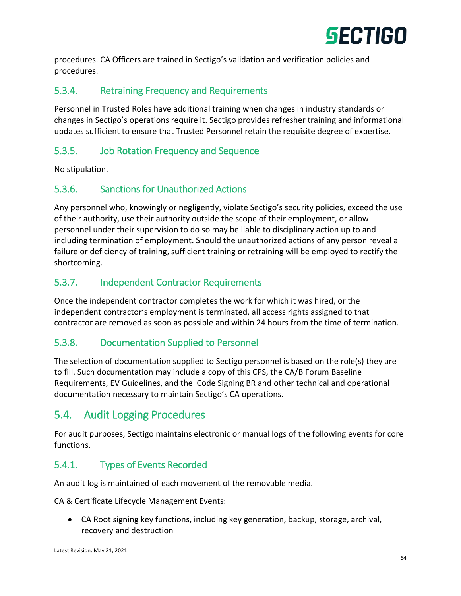

procedures. CA Officers are trained in Sectigo's validation and verification policies and procedures.

# 5.3.4. Retraining Frequency and Requirements

Personnel in Trusted Roles have additional training when changes in industry standards or changes in Sectigo's operations require it. Sectigo provides refresher training and informational updates sufficient to ensure that Trusted Personnel retain the requisite degree of expertise.

## 5.3.5. Job Rotation Frequency and Sequence

No stipulation.

# 5.3.6. Sanctions for Unauthorized Actions

Any personnel who, knowingly or negligently, violate Sectigo's security policies, exceed the use of their authority, use their authority outside the scope of their employment, or allow personnel under their supervision to do so may be liable to disciplinary action up to and including termination of employment. Should the unauthorized actions of any person reveal a failure or deficiency of training, sufficient training or retraining will be employed to rectify the shortcoming.

## 5.3.7. Independent Contractor Requirements

Once the independent contractor completes the work for which it was hired, or the independent contractor's employment is terminated, all access rights assigned to that contractor are removed as soon as possible and within 24 hours from the time of termination.

# 5.3.8. Documentation Supplied to Personnel

The selection of documentation supplied to Sectigo personnel is based on the role(s) they are to fill. Such documentation may include a copy of this CPS, the CA/B Forum Baseline Requirements, EV Guidelines, and the Code Signing BR and other technical and operational documentation necessary to maintain Sectigo's CA operations.

# 5.4. Audit Logging Procedures

For audit purposes, Sectigo maintains electronic or manual logs of the following events for core functions.

# 5.4.1. Types of Events Recorded

An audit log is maintained of each movement of the removable media.

CA & Certificate Lifecycle Management Events:

 CA Root signing key functions, including key generation, backup, storage, archival, recovery and destruction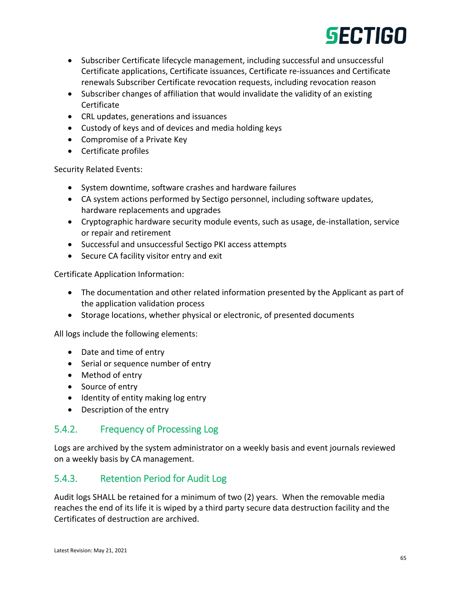

- Subscriber Certificate lifecycle management, including successful and unsuccessful Certificate applications, Certificate issuances, Certificate re-issuances and Certificate renewals Subscriber Certificate revocation requests, including revocation reason
- Subscriber changes of affiliation that would invalidate the validity of an existing Certificate
- CRL updates, generations and issuances
- Custody of keys and of devices and media holding keys
- Compromise of a Private Key
- Certificate profiles

Security Related Events:

- System downtime, software crashes and hardware failures
- CA system actions performed by Sectigo personnel, including software updates, hardware replacements and upgrades
- Cryptographic hardware security module events, such as usage, de-installation, service or repair and retirement
- Successful and unsuccessful Sectigo PKI access attempts
- Secure CA facility visitor entry and exit

Certificate Application Information:

- The documentation and other related information presented by the Applicant as part of the application validation process
- Storage locations, whether physical or electronic, of presented documents

All logs include the following elements:

- Date and time of entry
- Serial or sequence number of entry
- Method of entry
- Source of entry
- Identity of entity making log entry
- Description of the entry

#### 5.4.2. Frequency of Processing Log

Logs are archived by the system administrator on a weekly basis and event journals reviewed on a weekly basis by CA management.

#### 5.4.3. Retention Period for Audit Log

Audit logs SHALL be retained for a minimum of two (2) years. When the removable media reaches the end of its life it is wiped by a third party secure data destruction facility and the Certificates of destruction are archived.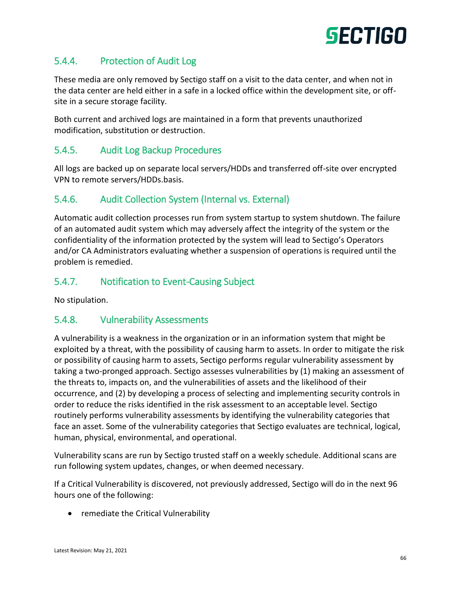

## 5.4.4. Protection of Audit Log

These media are only removed by Sectigo staff on a visit to the data center, and when not in the data center are held either in a safe in a locked office within the development site, or offsite in a secure storage facility.

Both current and archived logs are maintained in a form that prevents unauthorized modification, substitution or destruction.

#### 5.4.5. Audit Log Backup Procedures

All logs are backed up on separate local servers/HDDs and transferred off-site over encrypted VPN to remote servers/HDDs.basis.

#### 5.4.6. Audit Collection System (Internal vs. External)

Automatic audit collection processes run from system startup to system shutdown. The failure of an automated audit system which may adversely affect the integrity of the system or the confidentiality of the information protected by the system will lead to Sectigo's Operators and/or CA Administrators evaluating whether a suspension of operations is required until the problem is remedied.

#### 5.4.7. Notification to Event-Causing Subject

No stipulation.

#### 5.4.8. Vulnerability Assessments

A vulnerability is a weakness in the organization or in an information system that might be exploited by a threat, with the possibility of causing harm to assets. In order to mitigate the risk or possibility of causing harm to assets, Sectigo performs regular vulnerability assessment by taking a two-pronged approach. Sectigo assesses vulnerabilities by (1) making an assessment of the threats to, impacts on, and the vulnerabilities of assets and the likelihood of their occurrence, and (2) by developing a process of selecting and implementing security controls in order to reduce the risks identified in the risk assessment to an acceptable level. Sectigo routinely performs vulnerability assessments by identifying the vulnerability categories that face an asset. Some of the vulnerability categories that Sectigo evaluates are technical, logical, human, physical, environmental, and operational.

Vulnerability scans are run by Sectigo trusted staff on a weekly schedule. Additional scans are run following system updates, changes, or when deemed necessary.

If a Critical Vulnerability is discovered, not previously addressed, Sectigo will do in the next 96 hours one of the following:

• remediate the Critical Vulnerability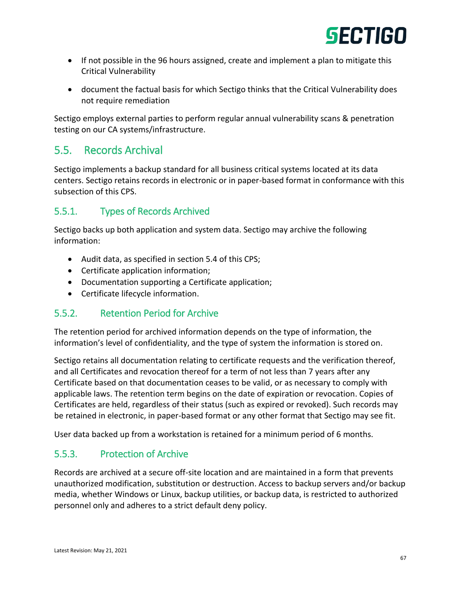

- If not possible in the 96 hours assigned, create and implement a plan to mitigate this Critical Vulnerability
- document the factual basis for which Sectigo thinks that the Critical Vulnerability does not require remediation

Sectigo employs external parties to perform regular annual vulnerability scans & penetration testing on our CA systems/infrastructure.

# 5.5. Records Archival

Sectigo implements a backup standard for all business critical systems located at its data centers. Sectigo retains records in electronic or in paper-based format in conformance with this subsection of this CPS.

# 5.5.1. Types of Records Archived

Sectigo backs up both application and system data. Sectigo may archive the following information:

- Audit data, as specified in section 5.4 of this CPS;
- Certificate application information;
- Documentation supporting a Certificate application;
- Certificate lifecycle information.

#### 5.5.2. Retention Period for Archive

The retention period for archived information depends on the type of information, the information's level of confidentiality, and the type of system the information is stored on.

Sectigo retains all documentation relating to certificate requests and the verification thereof, and all Certificates and revocation thereof for a term of not less than 7 years after any Certificate based on that documentation ceases to be valid, or as necessary to comply with applicable laws. The retention term begins on the date of expiration or revocation. Copies of Certificates are held, regardless of their status (such as expired or revoked). Such records may be retained in electronic, in paper-based format or any other format that Sectigo may see fit.

User data backed up from a workstation is retained for a minimum period of 6 months.

# 5.5.3. Protection of Archive

Records are archived at a secure off-site location and are maintained in a form that prevents unauthorized modification, substitution or destruction. Access to backup servers and/or backup media, whether Windows or Linux, backup utilities, or backup data, is restricted to authorized personnel only and adheres to a strict default deny policy.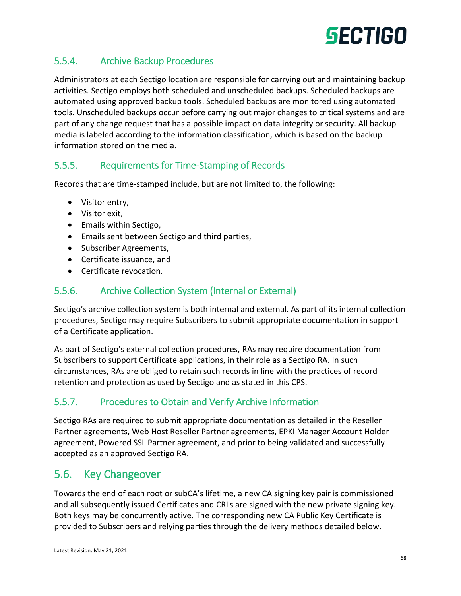

# 5.5.4. Archive Backup Procedures

Administrators at each Sectigo location are responsible for carrying out and maintaining backup activities. Sectigo employs both scheduled and unscheduled backups. Scheduled backups are automated using approved backup tools. Scheduled backups are monitored using automated tools. Unscheduled backups occur before carrying out major changes to critical systems and are part of any change request that has a possible impact on data integrity or security. All backup media is labeled according to the information classification, which is based on the backup information stored on the media.

#### 5.5.5. Requirements for Time-Stamping of Records

Records that are time-stamped include, but are not limited to, the following:

- Visitor entry,
- Visitor exit,
- Emails within Sectigo,
- Emails sent between Sectigo and third parties,
- Subscriber Agreements,
- Certificate issuance, and
- Certificate revocation.

#### 5.5.6. Archive Collection System (Internal or External)

Sectigo's archive collection system is both internal and external. As part of its internal collection procedures, Sectigo may require Subscribers to submit appropriate documentation in support of a Certificate application.

As part of Sectigo's external collection procedures, RAs may require documentation from Subscribers to support Certificate applications, in their role as a Sectigo RA. In such circumstances, RAs are obliged to retain such records in line with the practices of record retention and protection as used by Sectigo and as stated in this CPS.

#### 5.5.7. Procedures to Obtain and Verify Archive Information

Sectigo RAs are required to submit appropriate documentation as detailed in the Reseller Partner agreements, Web Host Reseller Partner agreements, EPKI Manager Account Holder agreement, Powered SSL Partner agreement, and prior to being validated and successfully accepted as an approved Sectigo RA.

# 5.6. Key Changeover

Towards the end of each root or subCA's lifetime, a new CA signing key pair is commissioned and all subsequently issued Certificates and CRLs are signed with the new private signing key. Both keys may be concurrently active. The corresponding new CA Public Key Certificate is provided to Subscribers and relying parties through the delivery methods detailed below.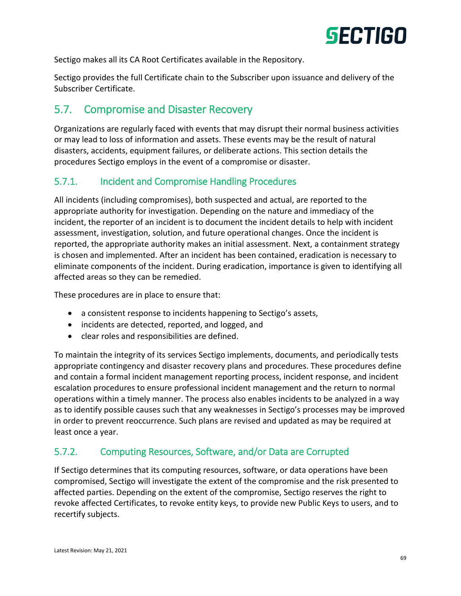

Sectigo makes all its CA Root Certificates available in the Repository.

Sectigo provides the full Certificate chain to the Subscriber upon issuance and delivery of the Subscriber Certificate.

# 5.7. Compromise and Disaster Recovery

Organizations are regularly faced with events that may disrupt their normal business activities or may lead to loss of information and assets. These events may be the result of natural disasters, accidents, equipment failures, or deliberate actions. This section details the procedures Sectigo employs in the event of a compromise or disaster.

## 5.7.1. Incident and Compromise Handling Procedures

All incidents (including compromises), both suspected and actual, are reported to the appropriate authority for investigation. Depending on the nature and immediacy of the incident, the reporter of an incident is to document the incident details to help with incident assessment, investigation, solution, and future operational changes. Once the incident is reported, the appropriate authority makes an initial assessment. Next, a containment strategy is chosen and implemented. After an incident has been contained, eradication is necessary to eliminate components of the incident. During eradication, importance is given to identifying all affected areas so they can be remedied.

These procedures are in place to ensure that:

- a consistent response to incidents happening to Sectigo's assets,
- incidents are detected, reported, and logged, and
- clear roles and responsibilities are defined.

To maintain the integrity of its services Sectigo implements, documents, and periodically tests appropriate contingency and disaster recovery plans and procedures. These procedures define and contain a formal incident management reporting process, incident response, and incident escalation procedures to ensure professional incident management and the return to normal operations within a timely manner. The process also enables incidents to be analyzed in a way as to identify possible causes such that any weaknesses in Sectigo's processes may be improved in order to prevent reoccurrence. Such plans are revised and updated as may be required at least once a year.

# 5.7.2. Computing Resources, Software, and/or Data are Corrupted

If Sectigo determines that its computing resources, software, or data operations have been compromised, Sectigo will investigate the extent of the compromise and the risk presented to affected parties. Depending on the extent of the compromise, Sectigo reserves the right to revoke affected Certificates, to revoke entity keys, to provide new Public Keys to users, and to recertify subjects.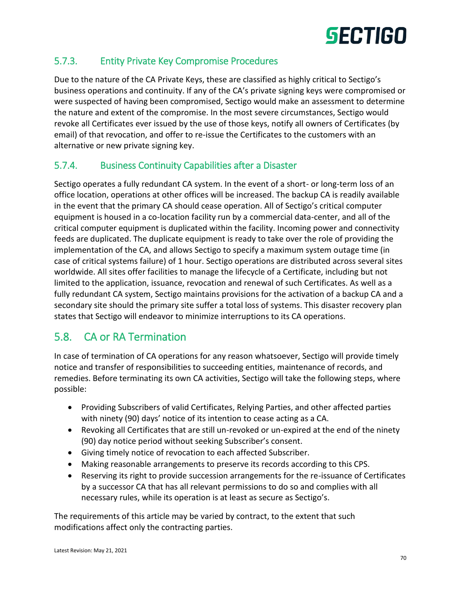# 5.7.3. Entity Private Key Compromise Procedures

Due to the nature of the CA Private Keys, these are classified as highly critical to Sectigo's business operations and continuity. If any of the CA's private signing keys were compromised or were suspected of having been compromised, Sectigo would make an assessment to determine the nature and extent of the compromise. In the most severe circumstances, Sectigo would revoke all Certificates ever issued by the use of those keys, notify all owners of Certificates (by email) of that revocation, and offer to re-issue the Certificates to the customers with an alternative or new private signing key.

# 5.7.4. Business Continuity Capabilities after a Disaster

Sectigo operates a fully redundant CA system. In the event of a short- or long-term loss of an office location, operations at other offices will be increased. The backup CA is readily available in the event that the primary CA should cease operation. All of Sectigo's critical computer equipment is housed in a co-location facility run by a commercial data-center, and all of the critical computer equipment is duplicated within the facility. Incoming power and connectivity feeds are duplicated. The duplicate equipment is ready to take over the role of providing the implementation of the CA, and allows Sectigo to specify a maximum system outage time (in case of critical systems failure) of 1 hour. Sectigo operations are distributed across several sites worldwide. All sites offer facilities to manage the lifecycle of a Certificate, including but not limited to the application, issuance, revocation and renewal of such Certificates. As well as a fully redundant CA system, Sectigo maintains provisions for the activation of a backup CA and a secondary site should the primary site suffer a total loss of systems. This disaster recovery plan states that Sectigo will endeavor to minimize interruptions to its CA operations.

# 5.8. CA or RA Termination

In case of termination of CA operations for any reason whatsoever, Sectigo will provide timely notice and transfer of responsibilities to succeeding entities, maintenance of records, and remedies. Before terminating its own CA activities, Sectigo will take the following steps, where possible:

- Providing Subscribers of valid Certificates, Relying Parties, and other affected parties with ninety (90) days' notice of its intention to cease acting as a CA.
- Revoking all Certificates that are still un-revoked or un-expired at the end of the ninety (90) day notice period without seeking Subscriber's consent.
- Giving timely notice of revocation to each affected Subscriber.
- Making reasonable arrangements to preserve its records according to this CPS.
- Reserving its right to provide succession arrangements for the re-issuance of Certificates by a successor CA that has all relevant permissions to do so and complies with all necessary rules, while its operation is at least as secure as Sectigo's.

The requirements of this article may be varied by contract, to the extent that such modifications affect only the contracting parties.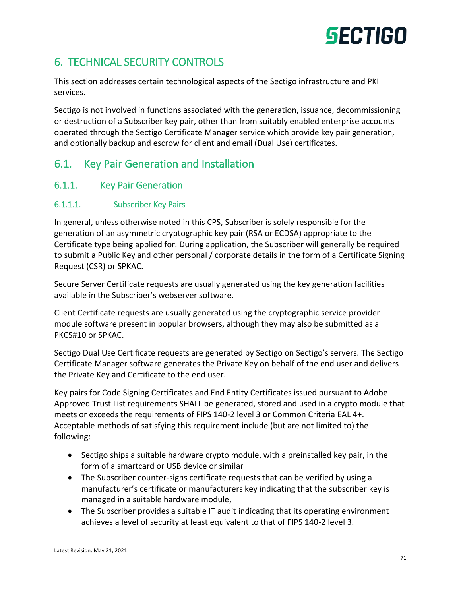# 6. TECHNICAL SECURITY CONTROLS

This section addresses certain technological aspects of the Sectigo infrastructure and PKI services.

Sectigo is not involved in functions associated with the generation, issuance, decommissioning or destruction of a Subscriber key pair, other than from suitably enabled enterprise accounts operated through the Sectigo Certificate Manager service which provide key pair generation, and optionally backup and escrow for client and email (Dual Use) certificates.

# 6.1. Key Pair Generation and Installation

## 6.1.1. Key Pair Generation

#### 6.1.1.1. Subscriber Key Pairs

In general, unless otherwise noted in this CPS, Subscriber is solely responsible for the generation of an asymmetric cryptographic key pair (RSA or ECDSA) appropriate to the Certificate type being applied for. During application, the Subscriber will generally be required to submit a Public Key and other personal / corporate details in the form of a Certificate Signing Request (CSR) or SPKAC.

Secure Server Certificate requests are usually generated using the key generation facilities available in the Subscriber's webserver software.

Client Certificate requests are usually generated using the cryptographic service provider module software present in popular browsers, although they may also be submitted as a PKCS#10 or SPKAC.

Sectigo Dual Use Certificate requests are generated by Sectigo on Sectigo's servers. The Sectigo Certificate Manager software generates the Private Key on behalf of the end user and delivers the Private Key and Certificate to the end user.

Key pairs for Code Signing Certificates and End Entity Certificates issued pursuant to Adobe Approved Trust List requirements SHALL be generated, stored and used in a crypto module that meets or exceeds the requirements of FIPS 140-2 level 3 or Common Criteria EAL 4+. Acceptable methods of satisfying this requirement include (but are not limited to) the following:

- Sectigo ships a suitable hardware crypto module, with a preinstalled key pair, in the form of a smartcard or USB device or similar
- The Subscriber counter-signs certificate requests that can be verified by using a manufacturer's certificate or manufacturers key indicating that the subscriber key is managed in a suitable hardware module,
- The Subscriber provides a suitable IT audit indicating that its operating environment achieves a level of security at least equivalent to that of FIPS 140-2 level 3.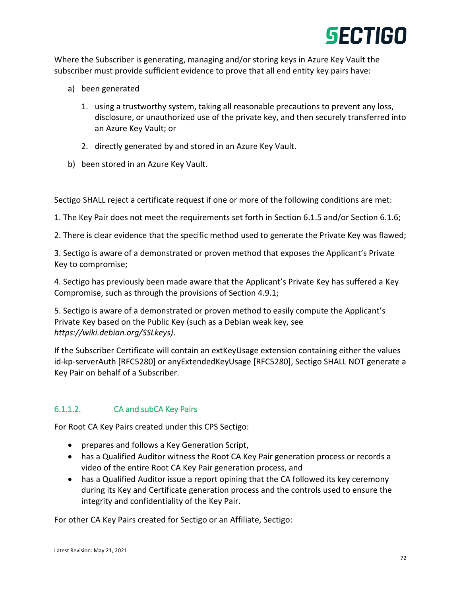

Where the Subscriber is generating, managing and/or storing keys in Azure Key Vault the subscriber must provide sufficient evidence to prove that all end entity key pairs have:

- a) been generated
	- 1. using a trustworthy system, taking all reasonable precautions to prevent any loss, disclosure, or unauthorized use of the private key, and then securely transferred into an Azure Key Vault; or
	- 2. directly generated by and stored in an Azure Key Vault.
- b) been stored in an Azure Key Vault.

Sectigo SHALL reject a certificate request if one or more of the following conditions are met:

1. The Key Pair does not meet the requirements set forth in Section 6.1.5 and/or Section 6.1.6;

2. There is clear evidence that the specific method used to generate the Private Key was flawed;

3. Sectigo is aware of a demonstrated or proven method that exposes the Applicant's Private Key to compromise;

4. Sectigo has previously been made aware that the Applicant's Private Key has suffered a Key Compromise, such as through the provisions of Section 4.9.1;

5. Sectigo is aware of a demonstrated or proven method to easily compute the Applicant's Private Key based on the Public Key (such as a Debian weak key, see *https://wiki.debian.org/SSLkeys)*.

If the Subscriber Certificate will contain an extKeyUsage extension containing either the values id-kp-serverAuth [RFC5280] or anyExtendedKeyUsage [RFC5280], Sectigo SHALL NOT generate a Key Pair on behalf of a Subscriber.

#### 6.1.1.2. CA and subCA Key Pairs

For Root CA Key Pairs created under this CPS Sectigo:

- prepares and follows a Key Generation Script,
- has a Qualified Auditor witness the Root CA Key Pair generation process or records a video of the entire Root CA Key Pair generation process, and
- has a Qualified Auditor issue a report opining that the CA followed its key ceremony during its Key and Certificate generation process and the controls used to ensure the integrity and confidentiality of the Key Pair.

For other CA Key Pairs created for Sectigo or an Affiliate, Sectigo: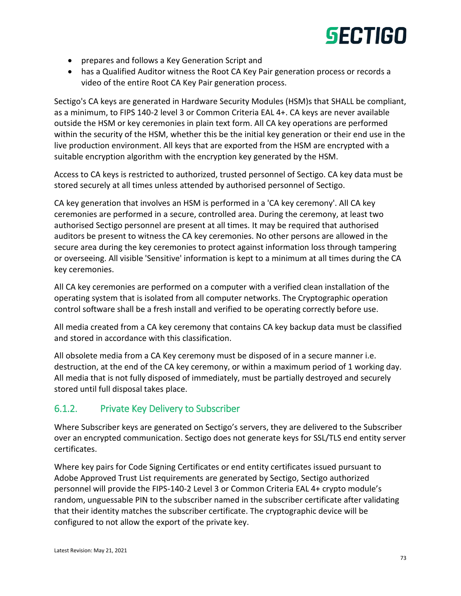

- prepares and follows a Key Generation Script and
- has a Qualified Auditor witness the Root CA Key Pair generation process or records a video of the entire Root CA Key Pair generation process.

Sectigo's CA keys are generated in Hardware Security Modules (HSM)s that SHALL be compliant, as a minimum, to FIPS 140-2 level 3 or Common Criteria EAL 4+. CA keys are never available outside the HSM or key ceremonies in plain text form. All CA key operations are performed within the security of the HSM, whether this be the initial key generation or their end use in the live production environment. All keys that are exported from the HSM are encrypted with a suitable encryption algorithm with the encryption key generated by the HSM.

Access to CA keys is restricted to authorized, trusted personnel of Sectigo. CA key data must be stored securely at all times unless attended by authorised personnel of Sectigo.

CA key generation that involves an HSM is performed in a 'CA key ceremony'. All CA key ceremonies are performed in a secure, controlled area. During the ceremony, at least two authorised Sectigo personnel are present at all times. It may be required that authorised auditors be present to witness the CA key ceremonies. No other persons are allowed in the secure area during the key ceremonies to protect against information loss through tampering or overseeing. All visible 'Sensitive' information is kept to a minimum at all times during the CA key ceremonies.

All CA key ceremonies are performed on a computer with a verified clean installation of the operating system that is isolated from all computer networks. The Cryptographic operation control software shall be a fresh install and verified to be operating correctly before use.

All media created from a CA key ceremony that contains CA key backup data must be classified and stored in accordance with this classification.

All obsolete media from a CA Key ceremony must be disposed of in a secure manner i.e. destruction, at the end of the CA key ceremony, or within a maximum period of 1 working day. All media that is not fully disposed of immediately, must be partially destroyed and securely stored until full disposal takes place.

## 6.1.2. Private Key Delivery to Subscriber

Where Subscriber keys are generated on Sectigo's servers, they are delivered to the Subscriber over an encrypted communication. Sectigo does not generate keys for SSL/TLS end entity server certificates.

Where key pairs for Code Signing Certificates or end entity certificates issued pursuant to Adobe Approved Trust List requirements are generated by Sectigo, Sectigo authorized personnel will provide the FIPS-140-2 Level 3 or Common Criteria EAL 4+ crypto module's random, unguessable PIN to the subscriber named in the subscriber certificate after validating that their identity matches the subscriber certificate. The cryptographic device will be configured to not allow the export of the private key.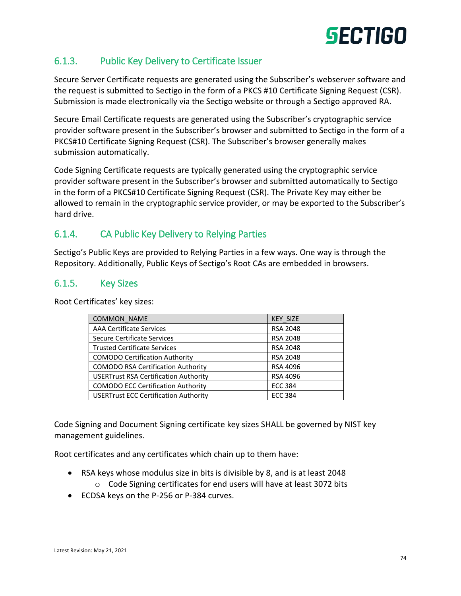## 6.1.3. Public Key Delivery to Certificate Issuer

Secure Server Certificate requests are generated using the Subscriber's webserver software and the request is submitted to Sectigo in the form of a PKCS #10 Certificate Signing Request (CSR). Submission is made electronically via the Sectigo website or through a Sectigo approved RA.

Secure Email Certificate requests are generated using the Subscriber's cryptographic service provider software present in the Subscriber's browser and submitted to Sectigo in the form of a PKCS#10 Certificate Signing Request (CSR). The Subscriber's browser generally makes submission automatically.

Code Signing Certificate requests are typically generated using the cryptographic service provider software present in the Subscriber's browser and submitted automatically to Sectigo in the form of a PKCS#10 Certificate Signing Request (CSR). The Private Key may either be allowed to remain in the cryptographic service provider, or may be exported to the Subscriber's hard drive.

## 6.1.4. CA Public Key Delivery to Relying Parties

Sectigo's Public Keys are provided to Relying Parties in a few ways. One way is through the Repository. Additionally, Public Keys of Sectigo's Root CAs are embedded in browsers.

#### 6.1.5. Key Sizes

Root Certificates' key sizes:

| COMMON NAME                                  | <b>KEY SIZE</b> |
|----------------------------------------------|-----------------|
| <b>AAA Certificate Services</b>              | <b>RSA 2048</b> |
| Secure Certificate Services                  | <b>RSA 2048</b> |
| <b>Trusted Certificate Services</b>          | <b>RSA 2048</b> |
| <b>COMODO Certification Authority</b>        | <b>RSA 2048</b> |
| <b>COMODO RSA Certification Authority</b>    | RSA 4096        |
| <b>USERTrust RSA Certification Authority</b> | <b>RSA 4096</b> |
| <b>COMODO ECC Certification Authority</b>    | <b>ECC 384</b>  |
| <b>USERTrust ECC Certification Authority</b> | <b>ECC 384</b>  |

Code Signing and Document Signing certificate key sizes SHALL be governed by NIST key management guidelines.

Root certificates and any certificates which chain up to them have:

- RSA keys whose modulus size in bits is divisible by 8, and is at least 2048 o Code Signing certificates for end users will have at least 3072 bits
- ECDSA keys on the P-256 or P-384 curves.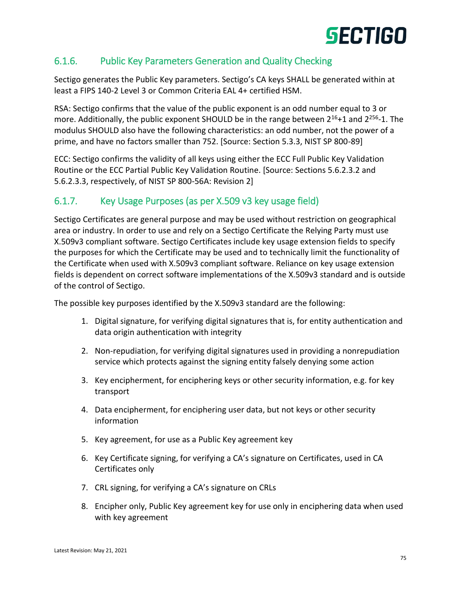## 6.1.6. Public Key Parameters Generation and Quality Checking

Sectigo generates the Public Key parameters. Sectigo's CA keys SHALL be generated within at least a FIPS 140-2 Level 3 or Common Criteria EAL 4+ certified HSM.

RSA: Sectigo confirms that the value of the public exponent is an odd number equal to 3 or more. Additionally, the public exponent SHOULD be in the range between 2<sup>16</sup>+1 and 2<sup>256</sup>-1. The modulus SHOULD also have the following characteristics: an odd number, not the power of a prime, and have no factors smaller than 752. [Source: Section 5.3.3, NIST SP 800-89]

ECC: Sectigo confirms the validity of all keys using either the ECC Full Public Key Validation Routine or the ECC Partial Public Key Validation Routine. [Source: Sections 5.6.2.3.2 and 5.6.2.3.3, respectively, of NIST SP 800-56A: Revision 2]

## 6.1.7. Key Usage Purposes (as per X.509 v3 key usage field)

Sectigo Certificates are general purpose and may be used without restriction on geographical area or industry. In order to use and rely on a Sectigo Certificate the Relying Party must use X.509v3 compliant software. Sectigo Certificates include key usage extension fields to specify the purposes for which the Certificate may be used and to technically limit the functionality of the Certificate when used with X.509v3 compliant software. Reliance on key usage extension fields is dependent on correct software implementations of the X.509v3 standard and is outside of the control of Sectigo.

The possible key purposes identified by the X.509v3 standard are the following:

- 1. Digital signature, for verifying digital signatures that is, for entity authentication and data origin authentication with integrity
- 2. Non-repudiation, for verifying digital signatures used in providing a nonrepudiation service which protects against the signing entity falsely denying some action
- 3. Key encipherment, for enciphering keys or other security information, e.g. for key transport
- 4. Data encipherment, for enciphering user data, but not keys or other security information
- 5. Key agreement, for use as a Public Key agreement key
- 6. Key Certificate signing, for verifying a CA's signature on Certificates, used in CA Certificates only
- 7. CRL signing, for verifying a CA's signature on CRLs
- 8. Encipher only, Public Key agreement key for use only in enciphering data when used with key agreement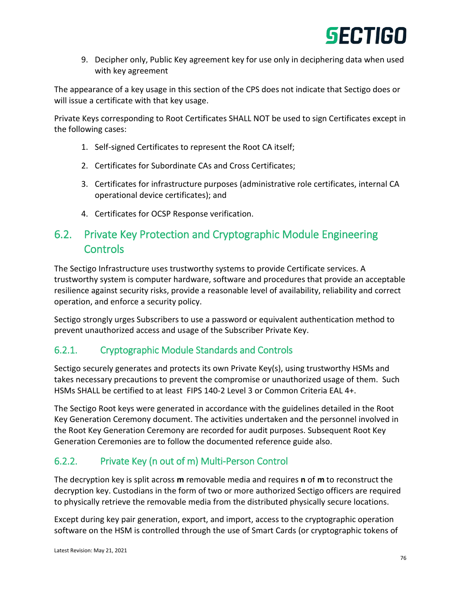9. Decipher only, Public Key agreement key for use only in deciphering data when used with key agreement

The appearance of a key usage in this section of the CPS does not indicate that Sectigo does or will issue a certificate with that key usage.

Private Keys corresponding to Root Certificates SHALL NOT be used to sign Certificates except in the following cases:

- 1. Self-signed Certificates to represent the Root CA itself;
- 2. Certificates for Subordinate CAs and Cross Certificates;
- 3. Certificates for infrastructure purposes (administrative role certificates, internal CA operational device certificates); and
- 4. Certificates for OCSP Response verification.

## 6.2. Private Key Protection and Cryptographic Module Engineering **Controls**

The Sectigo Infrastructure uses trustworthy systems to provide Certificate services. A trustworthy system is computer hardware, software and procedures that provide an acceptable resilience against security risks, provide a reasonable level of availability, reliability and correct operation, and enforce a security policy.

Sectigo strongly urges Subscribers to use a password or equivalent authentication method to prevent unauthorized access and usage of the Subscriber Private Key.

## 6.2.1. Cryptographic Module Standards and Controls

Sectigo securely generates and protects its own Private Key(s), using trustworthy HSMs and takes necessary precautions to prevent the compromise or unauthorized usage of them. Such HSMs SHALL be certified to at least FIPS 140-2 Level 3 or Common Criteria EAL 4+.

The Sectigo Root keys were generated in accordance with the guidelines detailed in the Root Key Generation Ceremony document. The activities undertaken and the personnel involved in the Root Key Generation Ceremony are recorded for audit purposes. Subsequent Root Key Generation Ceremonies are to follow the documented reference guide also.

## 6.2.2. Private Key (n out of m) Multi-Person Control

The decryption key is split across **m** removable media and requires **n** of **m** to reconstruct the decryption key. Custodians in the form of two or more authorized Sectigo officers are required to physically retrieve the removable media from the distributed physically secure locations.

Except during key pair generation, export, and import, access to the cryptographic operation software on the HSM is controlled through the use of Smart Cards (or cryptographic tokens of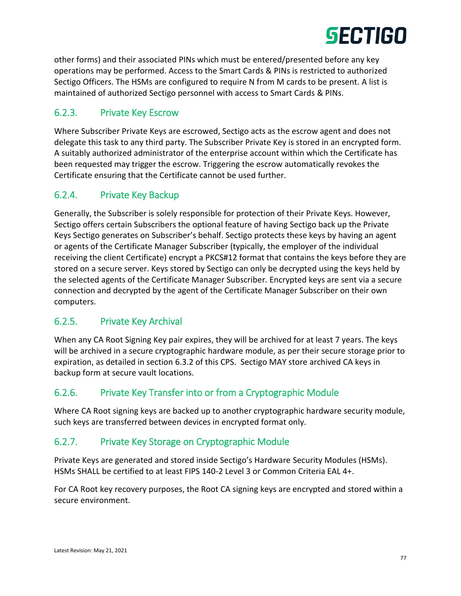

other forms) and their associated PINs which must be entered/presented before any key operations may be performed. Access to the Smart Cards & PINs is restricted to authorized Sectigo Officers. The HSMs are configured to require N from M cards to be present. A list is maintained of authorized Sectigo personnel with access to Smart Cards & PINs.

## 6.2.3. Private Key Escrow

Where Subscriber Private Keys are escrowed, Sectigo acts as the escrow agent and does not delegate this task to any third party. The Subscriber Private Key is stored in an encrypted form. A suitably authorized administrator of the enterprise account within which the Certificate has been requested may trigger the escrow. Triggering the escrow automatically revokes the Certificate ensuring that the Certificate cannot be used further.

## 6.2.4. Private Key Backup

Generally, the Subscriber is solely responsible for protection of their Private Keys. However, Sectigo offers certain Subscribers the optional feature of having Sectigo back up the Private Keys Sectigo generates on Subscriber's behalf. Sectigo protects these keys by having an agent or agents of the Certificate Manager Subscriber (typically, the employer of the individual receiving the client Certificate) encrypt a PKCS#12 format that contains the keys before they are stored on a secure server. Keys stored by Sectigo can only be decrypted using the keys held by the selected agents of the Certificate Manager Subscriber. Encrypted keys are sent via a secure connection and decrypted by the agent of the Certificate Manager Subscriber on their own computers.

## 6.2.5. Private Key Archival

When any CA Root Signing Key pair expires, they will be archived for at least 7 years. The keys will be archived in a secure cryptographic hardware module, as per their secure storage prior to expiration, as detailed in section 6.3.2 of this CPS. Sectigo MAY store archived CA keys in backup form at secure vault locations.

## 6.2.6. Private Key Transfer into or from a Cryptographic Module

Where CA Root signing keys are backed up to another cryptographic hardware security module, such keys are transferred between devices in encrypted format only.

## 6.2.7. Private Key Storage on Cryptographic Module

Private Keys are generated and stored inside Sectigo's Hardware Security Modules (HSMs). HSMs SHALL be certified to at least FIPS 140-2 Level 3 or Common Criteria EAL 4+.

For CA Root key recovery purposes, the Root CA signing keys are encrypted and stored within a secure environment.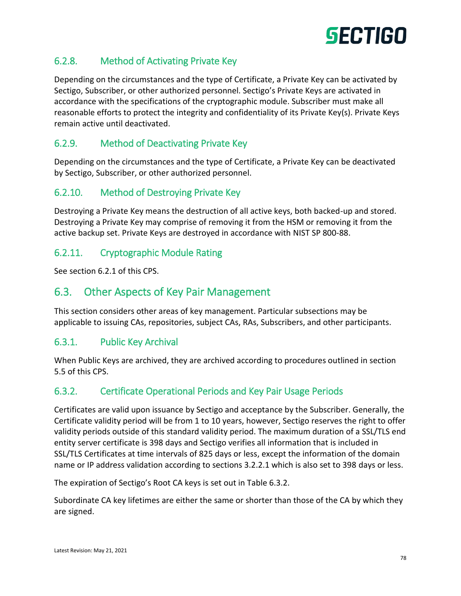

## 6.2.8. Method of Activating Private Key

Depending on the circumstances and the type of Certificate, a Private Key can be activated by Sectigo, Subscriber, or other authorized personnel. Sectigo's Private Keys are activated in accordance with the specifications of the cryptographic module. Subscriber must make all reasonable efforts to protect the integrity and confidentiality of its Private Key(s). Private Keys remain active until deactivated.

## 6.2.9. Method of Deactivating Private Key

Depending on the circumstances and the type of Certificate, a Private Key can be deactivated by Sectigo, Subscriber, or other authorized personnel.

### 6.2.10. Method of Destroying Private Key

Destroying a Private Key means the destruction of all active keys, both backed-up and stored. Destroying a Private Key may comprise of removing it from the HSM or removing it from the active backup set. Private Keys are destroyed in accordance with NIST SP 800-88.

#### 6.2.11. Cryptographic Module Rating

See section 6.2.1 of this CPS.

## 6.3. Other Aspects of Key Pair Management

This section considers other areas of key management. Particular subsections may be applicable to issuing CAs, repositories, subject CAs, RAs, Subscribers, and other participants.

#### 6.3.1. Public Key Archival

When Public Keys are archived, they are archived according to procedures outlined in section 5.5 of this CPS.

## 6.3.2. Certificate Operational Periods and Key Pair Usage Periods

Certificates are valid upon issuance by Sectigo and acceptance by the Subscriber. Generally, the Certificate validity period will be from 1 to 10 years, however, Sectigo reserves the right to offer validity periods outside of this standard validity period. The maximum duration of a SSL/TLS end entity server certificate is 398 days and Sectigo verifies all information that is included in SSL/TLS Certificates at time intervals of 825 days or less, except the information of the domain name or IP address validation according to sections 3.2.2.1 which is also set to 398 days or less.

The expiration of Sectigo's Root CA keys is set out in Table 6.3.2.

Subordinate CA key lifetimes are either the same or shorter than those of the CA by which they are signed.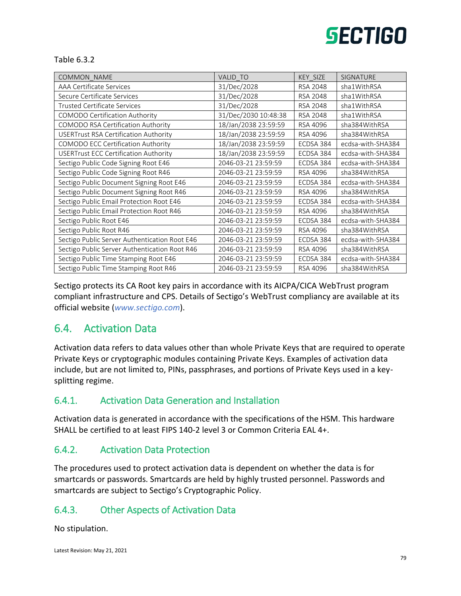#### Table 6.3.2

| COMMON_NAME                                   | <b>VALID TO</b>      | KEY SIZE        | <b>SIGNATURE</b>  |
|-----------------------------------------------|----------------------|-----------------|-------------------|
| AAA Certificate Services                      | 31/Dec/2028          | <b>RSA 2048</b> | sha1WithRSA       |
| Secure Certificate Services                   | 31/Dec/2028          | RSA 2048        | sha1WithRSA       |
| <b>Trusted Certificate Services</b>           | 31/Dec/2028          | RSA 2048        | sha1WithRSA       |
| COMODO Certification Authority                | 31/Dec/2030 10:48:38 | <b>RSA 2048</b> | sha1WithRSA       |
| <b>COMODO RSA Certification Authority</b>     | 18/Jan/2038 23:59:59 | RSA 4096        | sha384WithRSA     |
| <b>USERTrust RSA Certification Authority</b>  | 18/Jan/2038 23:59:59 | RSA 4096        | sha384WithRSA     |
| COMODO ECC Certification Authority            | 18/Jan/2038 23:59:59 | ECDSA 384       | ecdsa-with-SHA384 |
| <b>USERTrust ECC Certification Authority</b>  | 18/Jan/2038 23:59:59 | ECDSA 384       | ecdsa-with-SHA384 |
| Sectigo Public Code Signing Root E46          | 2046-03-21 23:59:59  | ECDSA 384       | ecdsa-with-SHA384 |
| Sectigo Public Code Signing Root R46          | 2046-03-21 23:59:59  | RSA 4096        | sha384WithRSA     |
| Sectigo Public Document Signing Root E46      | 2046-03-21 23:59:59  | ECDSA 384       | ecdsa-with-SHA384 |
| Sectigo Public Document Signing Root R46      | 2046-03-21 23:59:59  | RSA 4096        | sha384WithRSA     |
| Sectigo Public Email Protection Root E46      | 2046-03-21 23:59:59  | ECDSA 384       | ecdsa-with-SHA384 |
| Sectigo Public Email Protection Root R46      | 2046-03-21 23:59:59  | RSA 4096        | sha384WithRSA     |
| Sectigo Public Root E46                       | 2046-03-21 23:59:59  | ECDSA 384       | ecdsa-with-SHA384 |
| Sectigo Public Root R46                       | 2046-03-21 23:59:59  | RSA 4096        | sha384WithRSA     |
| Sectigo Public Server Authentication Root E46 | 2046-03-21 23:59:59  | ECDSA 384       | ecdsa-with-SHA384 |
| Sectigo Public Server Authentication Root R46 | 2046-03-21 23:59:59  | RSA 4096        | sha384WithRSA     |
| Sectigo Public Time Stamping Root E46         | 2046-03-21 23:59:59  | ECDSA 384       | ecdsa-with-SHA384 |
| Sectigo Public Time Stamping Root R46         | 2046-03-21 23:59:59  | RSA 4096        | sha384WithRSA     |

Sectigo protects its CA Root key pairs in accordance with its AICPA/CICA WebTrust program compliant infrastructure and CPS. Details of Sectigo's WebTrust compliancy are available at its official website (*[www.sectigo.com](http://www.comodogroup.com/)*).

## 6.4. Activation Data

Activation data refers to data values other than whole Private Keys that are required to operate Private Keys or cryptographic modules containing Private Keys. Examples of activation data include, but are not limited to, PINs, passphrases, and portions of Private Keys used in a keysplitting regime.

## 6.4.1. Activation Data Generation and Installation

Activation data is generated in accordance with the specifications of the HSM. This hardware SHALL be certified to at least FIPS 140-2 level 3 or Common Criteria EAL 4+.

## 6.4.2. Activation Data Protection

The procedures used to protect activation data is dependent on whether the data is for smartcards or passwords. Smartcards are held by highly trusted personnel. Passwords and smartcards are subject to Sectigo's Cryptographic Policy.

## 6.4.3. Other Aspects of Activation Data

No stipulation.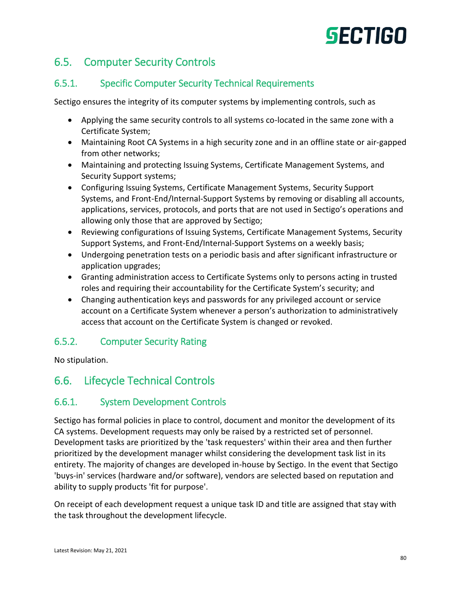## 6.5. Computer Security Controls

## 6.5.1. Specific Computer Security Technical Requirements

Sectigo ensures the integrity of its computer systems by implementing controls, such as

- Applying the same security controls to all systems co-located in the same zone with a Certificate System;
- Maintaining Root CA Systems in a high security zone and in an offline state or air-gapped from other networks;
- Maintaining and protecting Issuing Systems, Certificate Management Systems, and Security Support systems;
- Configuring Issuing Systems, Certificate Management Systems, Security Support Systems, and Front-End/Internal-Support Systems by removing or disabling all accounts, applications, services, protocols, and ports that are not used in Sectigo's operations and allowing only those that are approved by Sectigo;
- Reviewing configurations of Issuing Systems, Certificate Management Systems, Security Support Systems, and Front-End/Internal-Support Systems on a weekly basis;
- Undergoing penetration tests on a periodic basis and after significant infrastructure or application upgrades;
- Granting administration access to Certificate Systems only to persons acting in trusted roles and requiring their accountability for the Certificate System's security; and
- Changing authentication keys and passwords for any privileged account or service account on a Certificate System whenever a person's authorization to administratively access that account on the Certificate System is changed or revoked.

## 6.5.2. Computer Security Rating

No stipulation.

# 6.6. Lifecycle Technical Controls

## 6.6.1. System Development Controls

Sectigo has formal policies in place to control, document and monitor the development of its CA systems. Development requests may only be raised by a restricted set of personnel. Development tasks are prioritized by the 'task requesters' within their area and then further prioritized by the development manager whilst considering the development task list in its entirety. The majority of changes are developed in-house by Sectigo. In the event that Sectigo 'buys-in' services (hardware and/or software), vendors are selected based on reputation and ability to supply products 'fit for purpose'.

On receipt of each development request a unique task ID and title are assigned that stay with the task throughout the development lifecycle.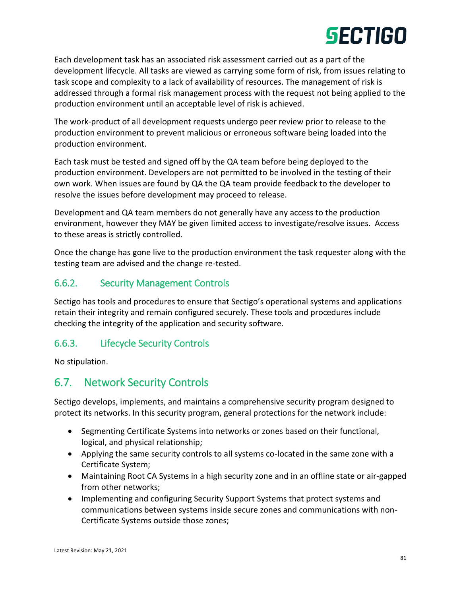Each development task has an associated risk assessment carried out as a part of the development lifecycle. All tasks are viewed as carrying some form of risk, from issues relating to task scope and complexity to a lack of availability of resources. The management of risk is addressed through a formal risk management process with the request not being applied to the production environment until an acceptable level of risk is achieved.

The work-product of all development requests undergo peer review prior to release to the production environment to prevent malicious or erroneous software being loaded into the production environment.

Each task must be tested and signed off by the QA team before being deployed to the production environment. Developers are not permitted to be involved in the testing of their own work. When issues are found by QA the QA team provide feedback to the developer to resolve the issues before development may proceed to release.

Development and QA team members do not generally have any access to the production environment, however they MAY be given limited access to investigate/resolve issues. Access to these areas is strictly controlled.

Once the change has gone live to the production environment the task requester along with the testing team are advised and the change re-tested.

## 6.6.2. Security Management Controls

Sectigo has tools and procedures to ensure that Sectigo's operational systems and applications retain their integrity and remain configured securely. These tools and procedures include checking the integrity of the application and security software.

## 6.6.3. Lifecycle Security Controls

No stipulation.

## 6.7. Network Security Controls

Sectigo develops, implements, and maintains a comprehensive security program designed to protect its networks. In this security program, general protections for the network include:

- Segmenting Certificate Systems into networks or zones based on their functional, logical, and physical relationship;
- Applying the same security controls to all systems co-located in the same zone with a Certificate System;
- Maintaining Root CA Systems in a high security zone and in an offline state or air-gapped from other networks;
- Implementing and configuring Security Support Systems that protect systems and communications between systems inside secure zones and communications with non-Certificate Systems outside those zones;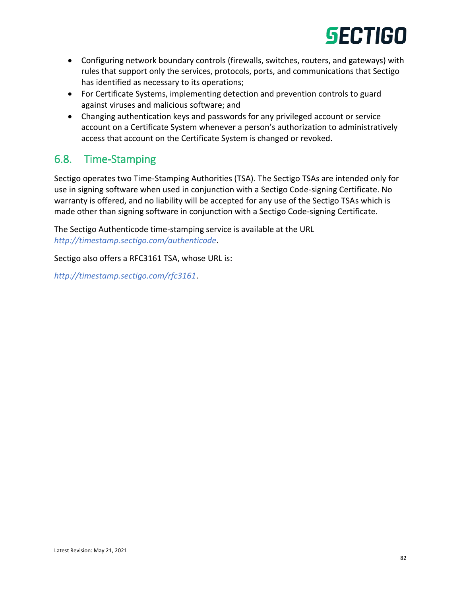- Configuring network boundary controls (firewalls, switches, routers, and gateways) with rules that support only the services, protocols, ports, and communications that Sectigo has identified as necessary to its operations;
- For Certificate Systems, implementing detection and prevention controls to guard against viruses and malicious software; and
- Changing authentication keys and passwords for any privileged account or service account on a Certificate System whenever a person's authorization to administratively access that account on the Certificate System is changed or revoked.

## 6.8. Time-Stamping

Sectigo operates two Time-Stamping Authorities (TSA). The Sectigo TSAs are intended only for use in signing software when used in conjunction with a Sectigo Code-signing Certificate. No warranty is offered, and no liability will be accepted for any use of the Sectigo TSAs which is made other than signing software in conjunction with a Sectigo Code-signing Certificate.

The Sectigo Authenticode time-stamping service is available at the URL *<http://timestamp.sectigo.com/authenticode>*.

Sectigo also offers a RFC3161 TSA, whose URL is:

*<http://timestamp.sectigo.com/rfc3161>*.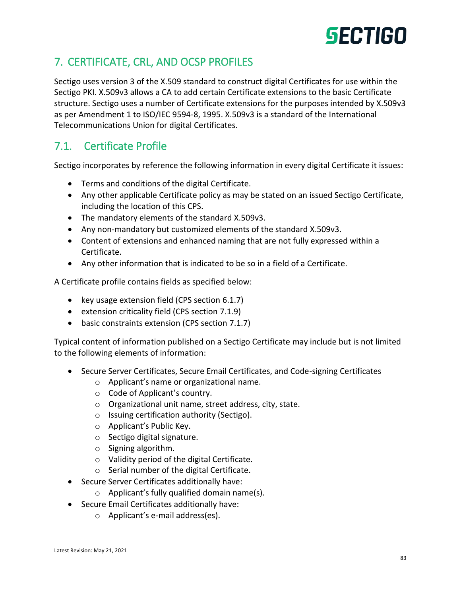# 7. CERTIFICATE, CRL, AND OCSP PROFILES

Sectigo uses version 3 of the X.509 standard to construct digital Certificates for use within the Sectigo PKI. X.509v3 allows a CA to add certain Certificate extensions to the basic Certificate structure. Sectigo uses a number of Certificate extensions for the purposes intended by X.509v3 as per Amendment 1 to ISO/IEC 9594-8, 1995. X.509v3 is a standard of the International Telecommunications Union for digital Certificates.

# 7.1. Certificate Profile

Sectigo incorporates by reference the following information in every digital Certificate it issues:

- Terms and conditions of the digital Certificate.
- Any other applicable Certificate policy as may be stated on an issued Sectigo Certificate, including the location of this CPS.
- The mandatory elements of the standard X.509v3.
- Any non-mandatory but customized elements of the standard X.509v3.
- Content of extensions and enhanced naming that are not fully expressed within a Certificate.
- Any other information that is indicated to be so in a field of a Certificate.

A Certificate profile contains fields as specified below:

- key usage extension field (CPS section 6.1.7)
- extension criticality field (CPS section 7.1.9)
- basic constraints extension (CPS section 7.1.7)

Typical content of information published on a Sectigo Certificate may include but is not limited to the following elements of information:

- Secure Server Certificates, Secure Email Certificates, and Code-signing Certificates
	- o Applicant's name or organizational name.
	- o Code of Applicant's country.
	- o Organizational unit name, street address, city, state.
	- o Issuing certification authority (Sectigo).
	- o Applicant's Public Key.
	- o Sectigo digital signature.
	- o Signing algorithm.
	- o Validity period of the digital Certificate.
	- o Serial number of the digital Certificate.
- Secure Server Certificates additionally have:
	- o Applicant's fully qualified domain name(s).
- Secure Email Certificates additionally have:
	- o Applicant's e-mail address(es).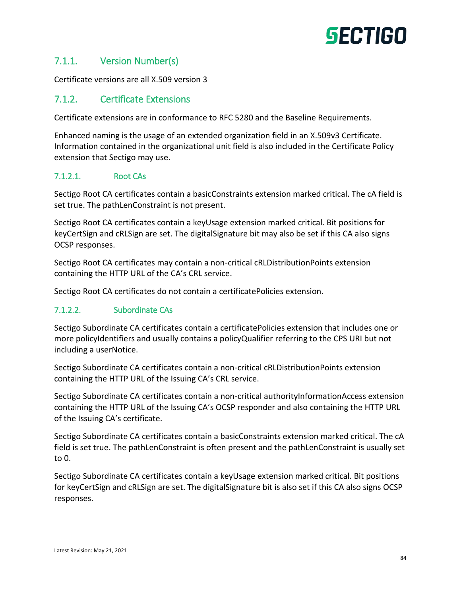## 7.1.1. Version Number(s)

Certificate versions are all X.509 version 3

### 7.1.2. Certificate Extensions

Certificate extensions are in conformance to RFC 5280 and the Baseline Requirements.

Enhanced naming is the usage of an extended organization field in an X.509v3 Certificate. Information contained in the organizational unit field is also included in the Certificate Policy extension that Sectigo may use.

#### 7.1.2.1. Root CAs

Sectigo Root CA certificates contain a basicConstraints extension marked critical. The cA field is set true. The pathLenConstraint is not present.

Sectigo Root CA certificates contain a keyUsage extension marked critical. Bit positions for keyCertSign and cRLSign are set. The digitalSignature bit may also be set if this CA also signs OCSP responses.

Sectigo Root CA certificates may contain a non-critical cRLDistributionPoints extension containing the HTTP URL of the CA's CRL service.

Sectigo Root CA certificates do not contain a certificatePolicies extension.

#### 7.1.2.2. Subordinate CAs

Sectigo Subordinate CA certificates contain a certificatePolicies extension that includes one or more policyIdentifiers and usually contains a policyQualifier referring to the CPS URI but not including a userNotice.

Sectigo Subordinate CA certificates contain a non-critical cRLDistributionPoints extension containing the HTTP URL of the Issuing CA's CRL service.

Sectigo Subordinate CA certificates contain a non-critical authorityInformationAccess extension containing the HTTP URL of the Issuing CA's OCSP responder and also containing the HTTP URL of the Issuing CA's certificate.

Sectigo Subordinate CA certificates contain a basicConstraints extension marked critical. The cA field is set true. The pathLenConstraint is often present and the pathLenConstraint is usually set to 0.

Sectigo Subordinate CA certificates contain a keyUsage extension marked critical. Bit positions for keyCertSign and cRLSign are set. The digitalSignature bit is also set if this CA also signs OCSP responses.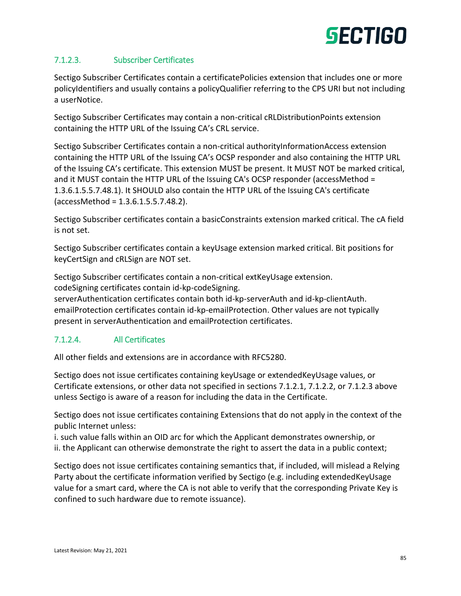#### 7.1.2.3. Subscriber Certificates

Sectigo Subscriber Certificates contain a certificatePolicies extension that includes one or more policyIdentifiers and usually contains a policyQualifier referring to the CPS URI but not including a userNotice.

Sectigo Subscriber Certificates may contain a non-critical cRLDistributionPoints extension containing the HTTP URL of the Issuing CA's CRL service.

Sectigo Subscriber Certificates contain a non-critical authorityInformationAccess extension containing the HTTP URL of the Issuing CA's OCSP responder and also containing the HTTP URL of the Issuing CA's certificate. This extension MUST be present. It MUST NOT be marked critical, and it MUST contain the HTTP URL of the Issuing CA's OCSP responder (accessMethod = 1.3.6.1.5.5.7.48.1). It SHOULD also contain the HTTP URL of the Issuing CA's certificate (accessMethod = 1.3.6.1.5.5.7.48.2).

Sectigo Subscriber certificates contain a basicConstraints extension marked critical. The cA field is not set.

Sectigo Subscriber certificates contain a keyUsage extension marked critical. Bit positions for keyCertSign and cRLSign are NOT set.

Sectigo Subscriber certificates contain a non-critical extKeyUsage extension. codeSigning certificates contain id-kp-codeSigning.

serverAuthentication certificates contain both id-kp-serverAuth and id-kp-clientAuth. emailProtection certificates contain id-kp-emailProtection. Other values are not typically present in serverAuthentication and emailProtection certificates.

#### 7.1.2.4. All Certificates

All other fields and extensions are in accordance with RFC5280.

Sectigo does not issue certificates containing keyUsage or extendedKeyUsage values, or Certificate extensions, or other data not specified in sections 7.1.2.1, 7.1.2.2, or 7.1.2.3 above unless Sectigo is aware of a reason for including the data in the Certificate.

Sectigo does not issue certificates containing Extensions that do not apply in the context of the public Internet unless:

i. such value falls within an OID arc for which the Applicant demonstrates ownership, or ii. the Applicant can otherwise demonstrate the right to assert the data in a public context;

Sectigo does not issue certificates containing semantics that, if included, will mislead a Relying Party about the certificate information verified by Sectigo (e.g. including extendedKeyUsage value for a smart card, where the CA is not able to verify that the corresponding Private Key is confined to such hardware due to remote issuance).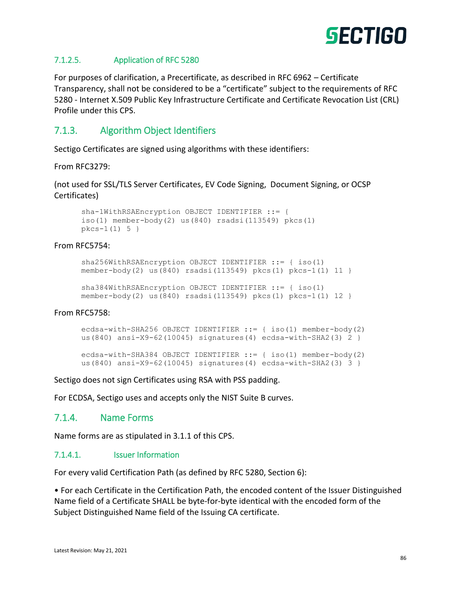

#### 7.1.2.5. Application of RFC 5280

For purposes of clarification, a Precertificate, as described in RFC 6962 – Certificate Transparency, shall not be considered to be a "certificate" subject to the requirements of RFC 5280 - Internet X.509 Public Key Infrastructure Certificate and Certificate Revocation List (CRL) Profile under this CPS.

### 7.1.3. Algorithm Object Identifiers

Sectigo Certificates are signed using algorithms with these identifiers:

From RFC3279:

(not used for SSL/TLS Server Certificates, EV Code Signing, Document Signing, or OCSP Certificates)

```
sha-1WithRSAEncryption OBJECT IDENTIFIER ::= {
iso(1) member-body(2) us(840) rsadsi(113549) pkcs(1)
pkcs-1(1) 5 }
```
#### From RFC5754:

```
sha256WithRSAEncryption OBJECT IDENTIFIER ::= { iso(1)
member-body(2) us(840) rsadsi(113549) pkcs(1) pkcs-1(1) 11 }
```

```
sha384WithRSAEncryption OBJECT IDENTIFIER ::= { iso(1)
member-body(2) us(840) rsadsi(113549) pkcs(1) pkcs-1(1) 12 }
```
From RFC5758:

ecdsa-with-SHA256 OBJECT IDENTIFIER ::= { iso(1) member-body(2) us(840) ansi-X9-62(10045) signatures(4) ecdsa-with-SHA2(3) 2 }

```
ecdsa-with-SHA384 OBJECT IDENTIFIER ::= { iso(1) member-body(2)
us(840) ansi-X9-62(10045) signatures(4) ecdsa-with-SHA2(3) 3 }
```
Sectigo does not sign Certificates using RSA with PSS padding.

For ECDSA, Sectigo uses and accepts only the NIST Suite B curves.

#### 7.1.4. Name Forms

Name forms are as stipulated in 3.1.1 of this CPS.

#### 7.1.4.1. Issuer Information

For every valid Certification Path (as defined by RFC 5280, Section 6):

• For each Certificate in the Certification Path, the encoded content of the Issuer Distinguished Name field of a Certificate SHALL be byte‐for‐byte identical with the encoded form of the Subject Distinguished Name field of the Issuing CA certificate.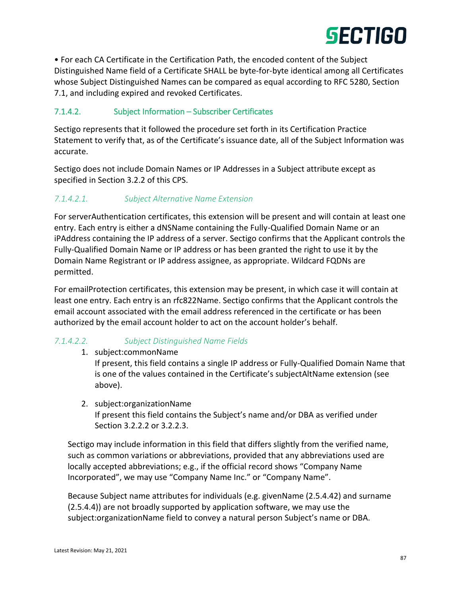

• For each CA Certificate in the Certification Path, the encoded content of the Subject Distinguished Name field of a Certificate SHALL be byte‐for‐byte identical among all Certificates whose Subject Distinguished Names can be compared as equal according to RFC 5280, Section 7.1, and including expired and revoked Certificates.

#### 7.1.4.2. Subject Information – Subscriber Certificates

Sectigo represents that it followed the procedure set forth in its Certification Practice Statement to verify that, as of the Certificate's issuance date, all of the Subject Information was accurate.

Sectigo does not include Domain Names or IP Addresses in a Subject attribute except as specified in Section 3.2.2 of this CPS.

#### *7.1.4.2.1. Subject Alternative Name Extension*

For serverAuthentication certificates, this extension will be present and will contain at least one entry. Each entry is either a dNSName containing the Fully-Qualified Domain Name or an iPAddress containing the IP address of a server. Sectigo confirms that the Applicant controls the Fully-Qualified Domain Name or IP address or has been granted the right to use it by the Domain Name Registrant or IP address assignee, as appropriate. Wildcard FQDNs are permitted.

For emailProtection certificates, this extension may be present, in which case it will contain at least one entry. Each entry is an rfc822Name. Sectigo confirms that the Applicant controls the email account associated with the email address referenced in the certificate or has been authorized by the email account holder to act on the account holder's behalf.

#### *7.1.4.2.2. Subject Distinguished Name Fields*

1. subject:commonName

If present, this field contains a single IP address or Fully-Qualified Domain Name that is one of the values contained in the Certificate's subjectAltName extension (see above).

2. subject:organizationName

If present this field contains the Subject's name and/or DBA as verified under Section 3.2.2.2 or 3.2.2.3.

Sectigo may include information in this field that differs slightly from the verified name, such as common variations or abbreviations, provided that any abbreviations used are locally accepted abbreviations; e.g., if the official record shows "Company Name Incorporated", we may use "Company Name Inc." or "Company Name".

Because Subject name attributes for individuals (e.g. givenName (2.5.4.42) and surname (2.5.4.4)) are not broadly supported by application software, we may use the subject:organizationName field to convey a natural person Subject's name or DBA.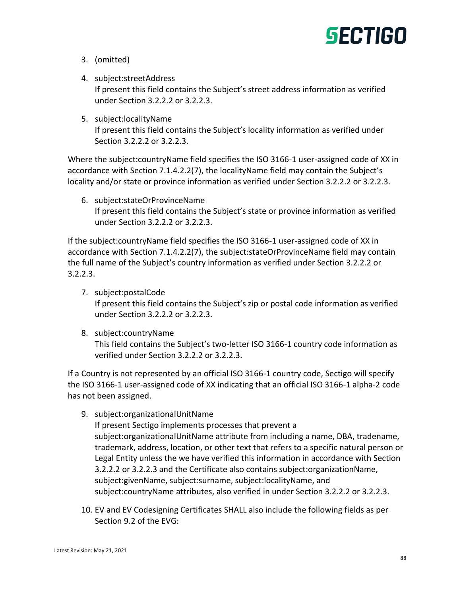- 3. (omitted)
- 4. subject:streetAddress If present this field contains the Subject's street address information as verified under Section 3.2.2.2 or 3.2.2.3.
- 5. subject:localityName

If present this field contains the Subject's locality information as verified under Section 3.2.2.2 or 3.2.2.3.

Where the subject:countryName field specifies the ISO 3166-1 user-assigned code of XX in accordance with Section 7.1.4.2.2(7), the localityName field may contain the Subject's locality and/or state or province information as verified under Section 3.2.2.2 or 3.2.2.3.

6. subject:stateOrProvinceName If present this field contains the Subject's state or province information as verified under Section 3.2.2.2 or 3.2.2.3.

If the subject:countryName field specifies the ISO 3166-1 user-assigned code of XX in accordance with Section 7.1.4.2.2(7), the subject:stateOrProvinceName field may contain the full name of the Subject's country information as verified under Section 3.2.2.2 or 3.2.2.3.

- 7. subject:postalCode If present this field contains the Subject's zip or postal code information as verified under Section 3.2.2.2 or 3.2.2.3.
- 8. subject:countryName

This field contains the Subject's two-letter ISO 3166-1 country code information as verified under Section 3.2.2.2 or 3.2.2.3.

If a Country is not represented by an official ISO 3166-1 country code, Sectigo will specify the ISO 3166-1 user-assigned code of XX indicating that an official ISO 3166-1 alpha-2 code has not been assigned.

9. subject:organizationalUnitName

If present Sectigo implements processes that prevent a subject:organizationalUnitName attribute from including a name, DBA, tradename, trademark, address, location, or other text that refers to a specific natural person or Legal Entity unless the we have verified this information in accordance with Section 3.2.2.2 or 3.2.2.3 and the Certificate also contains subject:organizationName, subject:givenName, subject:surname, subject:localityName, and subject:countryName attributes, also verified in under Section 3.2.2.2 or 3.2.2.3.

10. EV and EV Codesigning Certificates SHALL also include the following fields as per Section 9.2 of the EVG: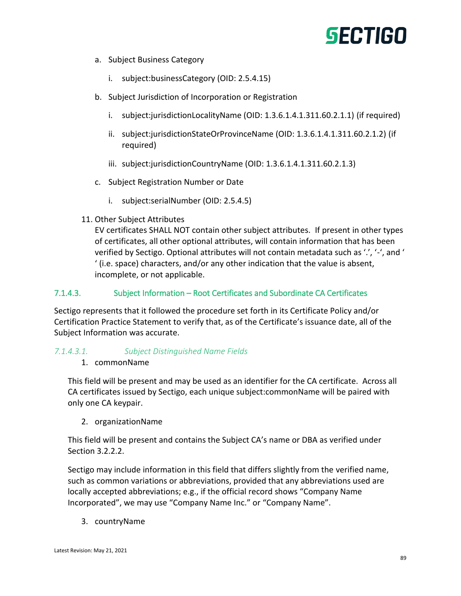- a. Subject Business Category
	- i. subject:businessCategory (OID: 2.5.4.15)
- b. Subject Jurisdiction of Incorporation or Registration
	- i. subject:jurisdictionLocalityName (OID: 1.3.6.1.4.1.311.60.2.1.1) (if required)
	- ii. subject:jurisdictionStateOrProvinceName (OID: 1.3.6.1.4.1.311.60.2.1.2) (if required)
	- iii. subject:jurisdictionCountryName (OID: 1.3.6.1.4.1.311.60.2.1.3)
- c. Subject Registration Number or Date
	- i. subject:serialNumber (OID: 2.5.4.5)
- 11. Other Subject Attributes

EV certificates SHALL NOT contain other subject attributes. If present in other types of certificates, all other optional attributes, will contain information that has been verified by Sectigo. Optional attributes will not contain metadata such as '.', '-', and ' ' (i.e. space) characters, and/or any other indication that the value is absent, incomplete, or not applicable.

#### 7.1.4.3. Subject Information – Root Certificates and Subordinate CA Certificates

Sectigo represents that it followed the procedure set forth in its Certificate Policy and/or Certification Practice Statement to verify that, as of the Certificate's issuance date, all of the Subject Information was accurate.

#### *7.1.4.3.1. Subject Distinguished Name Fields*

1. commonName

This field will be present and may be used as an identifier for the CA certificate. Across all CA certificates issued by Sectigo, each unique subject:commonName will be paired with only one CA keypair.

2. organizationName

This field will be present and contains the Subject CA's name or DBA as verified under Section 3.2.2.2.

Sectigo may include information in this field that differs slightly from the verified name, such as common variations or abbreviations, provided that any abbreviations used are locally accepted abbreviations; e.g., if the official record shows "Company Name Incorporated", we may use "Company Name Inc." or "Company Name".

3. countryName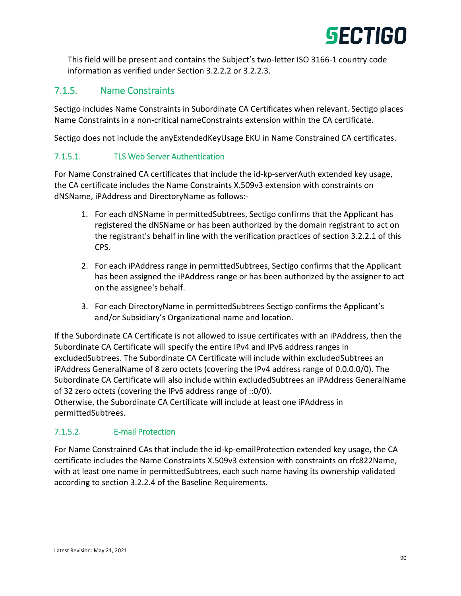

This field will be present and contains the Subject's two-letter ISO 3166-1 country code information as verified under Section 3.2.2.2 or 3.2.2.3.

## 7.1.5. Name Constraints

Sectigo includes Name Constraints in Subordinate CA Certificates when relevant. Sectigo places Name Constraints in a non-critical nameConstraints extension within the CA certificate.

Sectigo does not include the anyExtendedKeyUsage EKU in Name Constrained CA certificates.

#### 7.1.5.1. TLS Web Server Authentication

For Name Constrained CA certificates that include the id-kp-serverAuth extended key usage, the CA certificate includes the Name Constraints X.509v3 extension with constraints on dNSName, iPAddress and DirectoryName as follows:-

- 1. For each dNSName in permittedSubtrees, Sectigo confirms that the Applicant has registered the dNSName or has been authorized by the domain registrant to act on the registrant's behalf in line with the verification practices of section 3.2.2.1 of this CPS.
- 2. For each iPAddress range in permittedSubtrees, Sectigo confirms that the Applicant has been assigned the iPAddress range or has been authorized by the assigner to act on the assignee's behalf.
- 3. For each DirectoryName in permittedSubtrees Sectigo confirms the Applicant's and/or Subsidiary's Organizational name and location.

If the Subordinate CA Certificate is not allowed to issue certificates with an iPAddress, then the Subordinate CA Certificate will specify the entire IPv4 and IPv6 address ranges in excludedSubtrees. The Subordinate CA Certificate will include within excludedSubtrees an iPAddress GeneralName of 8 zero octets (covering the IPv4 address range of 0.0.0.0/0). The Subordinate CA Certificate will also include within excludedSubtrees an iPAddress GeneralName of 32 zero octets (covering the IPv6 address range of ::0/0).

Otherwise, the Subordinate CA Certificate will include at least one iPAddress in permittedSubtrees.

#### 7.1.5.2. E-mail Protection

For Name Constrained CAs that include the id-kp-emailProtection extended key usage, the CA certificate includes the Name Constraints X.509v3 extension with constraints on rfc822Name, with at least one name in permittedSubtrees, each such name having its ownership validated according to section 3.2.2.4 of the Baseline Requirements.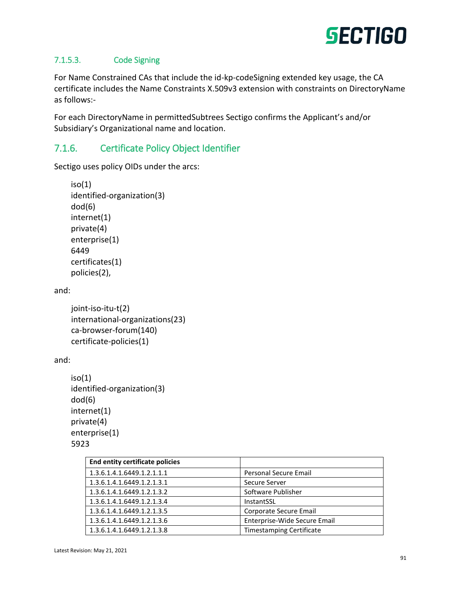

#### 7.1.5.3. Code Signing

For Name Constrained CAs that include the id-kp-codeSigning extended key usage, the CA certificate includes the Name Constraints X.509v3 extension with constraints on DirectoryName as follows:-

For each DirectoryName in permittedSubtrees Sectigo confirms the Applicant's and/or Subsidiary's Organizational name and location.

## 7.1.6. Certificate Policy Object Identifier

Sectigo uses policy OIDs under the arcs:

```
iso(1)identified-organization(3)
dod(6)
internet(1)
private(4)
enterprise(1)
6449
certificates(1)
policies(2),
```
and:

joint-iso-itu-t(2) international-organizations(23) ca-browser-forum(140) certificate-policies(1)

and:

```
iso(1)identified-organization(3)
dod(6)
internet(1)
private(4)
enterprise(1)
5923
```

| <b>End entity certificate policies</b> |                                 |
|----------------------------------------|---------------------------------|
| 1.3.6.1.4.1.6449.1.2.1.1.1             | Personal Secure Email           |
| 1.3.6.1.4.1.6449.1.2.1.3.1             | Secure Server                   |
| 1.3.6.1.4.1.6449.1.2.1.3.2             | Software Publisher              |
| 1.3.6.1.4.1.6449.1.2.1.3.4             | InstantSSL                      |
| 1.3.6.1.4.1.6449.1.2.1.3.5             | Corporate Secure Email          |
| 1.3.6.1.4.1.6449.1.2.1.3.6             | Enterprise-Wide Secure Email    |
| 1.3.6.1.4.1.6449.1.2.1.3.8             | <b>Timestamping Certificate</b> |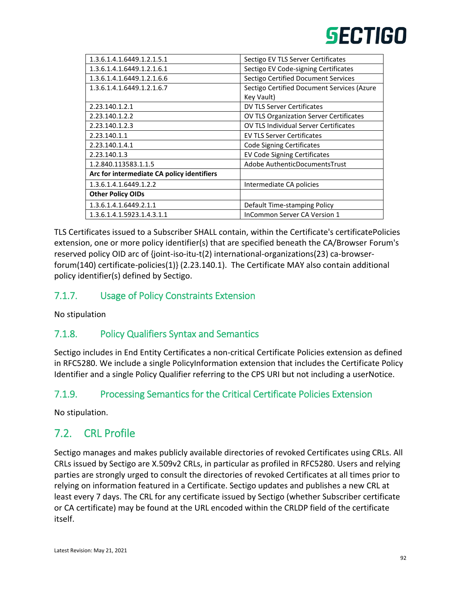| 1.3.6.1.4.1.6449.1.2.1.5.1                 | Sectigo EV TLS Server Certificates           |
|--------------------------------------------|----------------------------------------------|
| 1.3.6.1.4.1.6449.1.2.1.6.1                 | Sectigo EV Code-signing Certificates         |
| 1.3.6.1.4.1.6449.1.2.1.6.6                 | Sectigo Certified Document Services          |
| 1.3.6.1.4.1.6449.1.2.1.6.7                 | Sectigo Certified Document Services (Azure   |
|                                            | Key Vault)                                   |
| 2.23.140.1.2.1                             | DV TLS Server Certificates                   |
| 2.23.140.1.2.2                             | OV TLS Organization Server Certificates      |
| 2.23.140.1.2.3                             | <b>OV TLS Individual Server Certificates</b> |
| 2.23.140.1.1                               | <b>EV TLS Server Certificates</b>            |
| 2.23.140.1.4.1                             | <b>Code Signing Certificates</b>             |
| 2.23.140.1.3                               | <b>EV Code Signing Certificates</b>          |
| 1.2.840.113583.1.1.5                       | Adobe AuthenticDocumentsTrust                |
| Arc for intermediate CA policy identifiers |                                              |
| 1.3.6.1.4.1.6449.1.2.2                     | Intermediate CA policies                     |
| <b>Other Policy OIDs</b>                   |                                              |
| 1.3.6.1.4.1.6449.2.1.1                     | Default Time-stamping Policy                 |
| 1.3.6.1.4.1.5923.1.4.3.1.1                 | <b>InCommon Server CA Version 1</b>          |
|                                            |                                              |

TLS Certificates issued to a Subscriber SHALL contain, within the Certificate's certificatePolicies extension, one or more policy identifier(s) that are specified beneath the CA/Browser Forum's reserved policy OID arc of {joint-iso-itu-t(2) international-organizations(23) ca-browserforum(140) certificate-policies(1)} (2.23.140.1). The Certificate MAY also contain additional policy identifier(s) defined by Sectigo.

## 7.1.7. Usage of Policy Constraints Extension

No stipulation

## 7.1.8. Policy Qualifiers Syntax and Semantics

Sectigo includes in End Entity Certificates a non-critical Certificate Policies extension as defined in RFC5280. We include a single PolicyInformation extension that includes the Certificate Policy Identifier and a single Policy Qualifier referring to the CPS URI but not including a userNotice.

## 7.1.9. Processing Semantics for the Critical Certificate Policies Extension

No stipulation.

## 7.2. CRL Profile

Sectigo manages and makes publicly available directories of revoked Certificates using CRLs. All CRLs issued by Sectigo are X.509v2 CRLs, in particular as profiled in RFC5280. Users and relying parties are strongly urged to consult the directories of revoked Certificates at all times prior to relying on information featured in a Certificate. Sectigo updates and publishes a new CRL at least every 7 days. The CRL for any certificate issued by Sectigo (whether Subscriber certificate or CA certificate) may be found at the URL encoded within the CRLDP field of the certificate itself.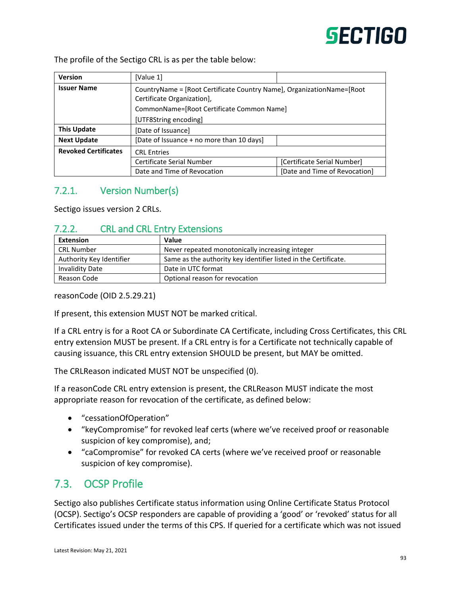The profile of the Sectigo CRL is as per the table below:

| <b>Version</b>              | [Value 1]                                                                                            |                               |
|-----------------------------|------------------------------------------------------------------------------------------------------|-------------------------------|
| <b>Issuer Name</b>          | CountryName = [Root Certificate Country Name], OrganizationName= [Root<br>Certificate Organization], |                               |
|                             | CommonName=[Root Certificate Common Name]                                                            |                               |
|                             | [UTF8String encoding]                                                                                |                               |
| <b>This Update</b>          | [Date of Issuance]                                                                                   |                               |
| <b>Next Update</b>          | [Date of Issuance + no more than 10 days]                                                            |                               |
| <b>Revoked Certificates</b> | <b>CRL Entries</b>                                                                                   |                               |
|                             | Certificate Serial Number                                                                            | [Certificate Serial Number]   |
|                             | Date and Time of Revocation                                                                          | [Date and Time of Revocation] |

## 7.2.1. Version Number(s)

Sectigo issues version 2 CRLs.

## 7.2.2. CRL and CRL Entry Extensions

| <b>Extension</b>         | Value                                                           |
|--------------------------|-----------------------------------------------------------------|
| <b>CRL Number</b>        | Never repeated monotonically increasing integer                 |
| Authority Key Identifier | Same as the authority key identifier listed in the Certificate. |
| <b>Invalidity Date</b>   | Date in UTC format                                              |
| Reason Code              | Optional reason for revocation                                  |

reasonCode (OID 2.5.29.21)

If present, this extension MUST NOT be marked critical.

If a CRL entry is for a Root CA or Subordinate CA Certificate, including Cross Certificates, this CRL entry extension MUST be present. If a CRL entry is for a Certificate not technically capable of causing issuance, this CRL entry extension SHOULD be present, but MAY be omitted.

The CRLReason indicated MUST NOT be unspecified (0).

If a reasonCode CRL entry extension is present, the CRLReason MUST indicate the most appropriate reason for revocation of the certificate, as defined below:

- "cessationOfOperation"
- "keyCompromise" for revoked leaf certs (where we've received proof or reasonable suspicion of key compromise), and;
- "caCompromise" for revoked CA certs (where we've received proof or reasonable suspicion of key compromise).

## 7.3. OCSP Profile

Sectigo also publishes Certificate status information using Online Certificate Status Protocol (OCSP). Sectigo's OCSP responders are capable of providing a 'good' or 'revoked' status for all Certificates issued under the terms of this CPS. If queried for a certificate which was not issued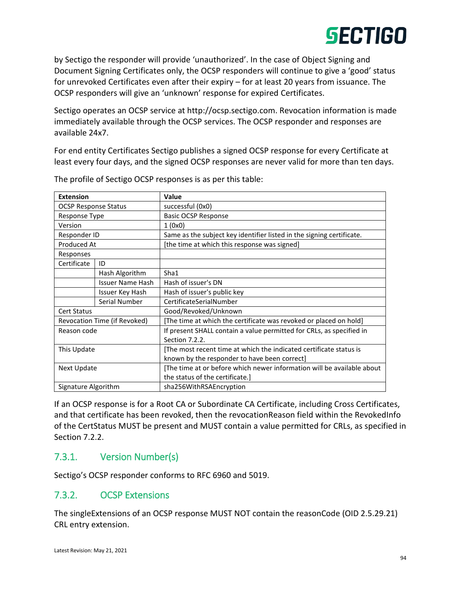by Sectigo the responder will provide 'unauthorized'. In the case of Object Signing and Document Signing Certificates only, the OCSP responders will continue to give a 'good' status for unrevoked Certificates even after their expiry – for at least 20 years from issuance. The OCSP responders will give an 'unknown' response for expired Certificates.

Sectigo operates an OCSP service at http://ocsp.sectigo.com. Revocation information is made immediately available through the OCSP services. The OCSP responder and responses are available 24x7.

For end entity Certificates Sectigo publishes a signed OCSP response for every Certificate at least every four days, and the signed OCSP responses are never valid for more than ten days.

| <b>Extension</b>            |                              | Value                                                                  |
|-----------------------------|------------------------------|------------------------------------------------------------------------|
| <b>OCSP Response Status</b> |                              | successful (0x0)                                                       |
| Response Type               |                              | <b>Basic OCSP Response</b>                                             |
| Version                     |                              | 1(0x0)                                                                 |
| Responder ID                |                              | Same as the subject key identifier listed in the signing certificate.  |
| Produced At                 |                              | [the time at which this response was signed]                           |
| Responses                   |                              |                                                                        |
| Certificate                 | ID                           |                                                                        |
|                             | Hash Algorithm               | Sha1                                                                   |
|                             | <b>Issuer Name Hash</b>      | Hash of issuer's DN                                                    |
|                             | Issuer Key Hash              | Hash of issuer's public key                                            |
|                             | Serial Number                | CertificateSerialNumber                                                |
| <b>Cert Status</b>          |                              | Good/Revoked/Unknown                                                   |
|                             | Revocation Time (if Revoked) | [The time at which the certificate was revoked or placed on hold]      |
| Reason code                 |                              | If present SHALL contain a value permitted for CRLs, as specified in   |
|                             |                              | Section 7.2.2.                                                         |
| This Update                 |                              | [The most recent time at which the indicated certificate status is     |
|                             |                              | known by the responder to have been correct]                           |
| Next Update                 |                              | [The time at or before which newer information will be available about |
|                             |                              | the status of the certificate.                                         |
| Signature Algorithm         |                              | sha256WithRSAEncryption                                                |

The profile of Sectigo OCSP responses is as per this table:

If an OCSP response is for a Root CA or Subordinate CA Certificate, including Cross Certificates, and that certificate has been revoked, then the revocationReason field within the RevokedInfo of the CertStatus MUST be present and MUST contain a value permitted for CRLs, as specified in Section 7.2.2.

## 7.3.1. Version Number(s)

Sectigo's OCSP responder conforms to RFC 6960 and 5019.

## 7.3.2. OCSP Extensions

The singleExtensions of an OCSP response MUST NOT contain the reasonCode (OID 2.5.29.21) CRL entry extension.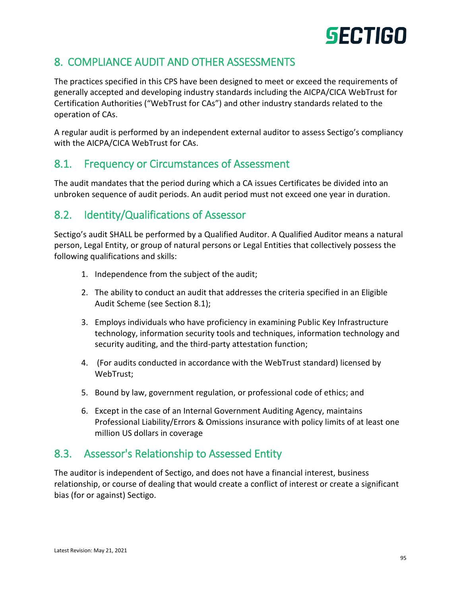# 8. COMPLIANCE AUDIT AND OTHER ASSESSMENTS

The practices specified in this CPS have been designed to meet or exceed the requirements of generally accepted and developing industry standards including the AICPA/CICA WebTrust for Certification Authorities ("WebTrust for CAs") and other industry standards related to the operation of CAs.

A regular audit is performed by an independent external auditor to assess Sectigo's compliancy with the AICPA/CICA WebTrust for CAs.

## 8.1. Frequency or Circumstances of Assessment

The audit mandates that the period during which a CA issues Certificates be divided into an unbroken sequence of audit periods. An audit period must not exceed one year in duration.

# 8.2. Identity/Qualifications of Assessor

Sectigo's audit SHALL be performed by a Qualified Auditor. A Qualified Auditor means a natural person, Legal Entity, or group of natural persons or Legal Entities that collectively possess the following qualifications and skills:

- 1. Independence from the subject of the audit;
- 2. The ability to conduct an audit that addresses the criteria specified in an Eligible Audit Scheme (see Section 8.1);
- 3. Employs individuals who have proficiency in examining Public Key Infrastructure technology, information security tools and techniques, information technology and security auditing, and the third-party attestation function;
- 4. (For audits conducted in accordance with the WebTrust standard) licensed by WebTrust;
- 5. Bound by law, government regulation, or professional code of ethics; and
- 6. Except in the case of an Internal Government Auditing Agency, maintains Professional Liability/Errors & Omissions insurance with policy limits of at least one million US dollars in coverage

# 8.3. Assessor's Relationship to Assessed Entity

The auditor is independent of Sectigo, and does not have a financial interest, business relationship, or course of dealing that would create a conflict of interest or create a significant bias (for or against) Sectigo.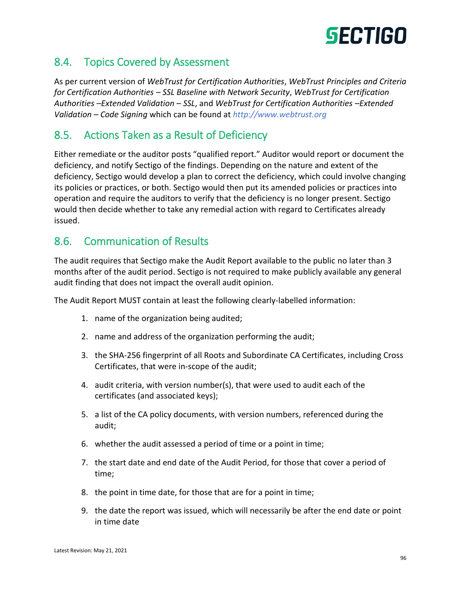## 8.4. Topics Covered by Assessment

As per current version of *WebTrust for Certification Authorities*, *WebTrust Principles and Criteria for Certification Authorities – SSL Baseline with Network Security*, *WebTrust for Certification Authorities –Extended Validation – SSL*, and *WebTrust for Certification Authorities –Extended Validation – Code Signing* which can be found at *[http://www.webtrust.org](http://www.webtrust.org/)*

## 8.5. Actions Taken as a Result of Deficiency

Either remediate or the auditor posts "qualified report." Auditor would report or document the deficiency, and notify Sectigo of the findings. Depending on the nature and extent of the deficiency, Sectigo would develop a plan to correct the deficiency, which could involve changing its policies or practices, or both. Sectigo would then put its amended policies or practices into operation and require the auditors to verify that the deficiency is no longer present. Sectigo would then decide whether to take any remedial action with regard to Certificates already issued.

## 8.6. Communication of Results

The audit requires that Sectigo make the Audit Report available to the public no later than 3 months after of the audit period. Sectigo is not required to make publicly available any general audit finding that does not impact the overall audit opinion.

The Audit Report MUST contain at least the following clearly‐labelled information:

- 1. name of the organization being audited;
- 2. name and address of the organization performing the audit;
- 3. the SHA‐256 fingerprint of all Roots and Subordinate CA Certificates, including Cross Certificates, that were in‐scope of the audit;
- 4. audit criteria, with version number(s), that were used to audit each of the certificates (and associated keys);
- 5. a list of the CA policy documents, with version numbers, referenced during the audit;
- 6. whether the audit assessed a period of time or a point in time;
- 7. the start date and end date of the Audit Period, for those that cover a period of time;
- 8. the point in time date, for those that are for a point in time;
- 9. the date the report was issued, which will necessarily be after the end date or point in time date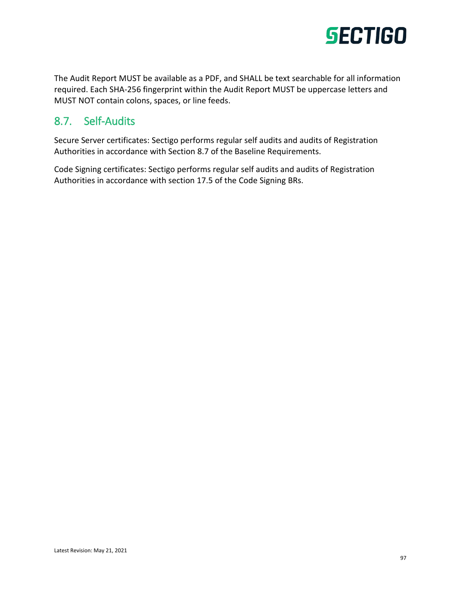

The Audit Report MUST be available as a PDF, and SHALL be text searchable for all information required. Each SHA‐256 fingerprint within the Audit Report MUST be uppercase letters and MUST NOT contain colons, spaces, or line feeds.

## 8.7. Self-Audits

Secure Server certificates: Sectigo performs regular self audits and audits of Registration Authorities in accordance with Section 8.7 of the Baseline Requirements.

Code Signing certificates: Sectigo performs regular self audits and audits of Registration Authorities in accordance with section 17.5 of the Code Signing BRs.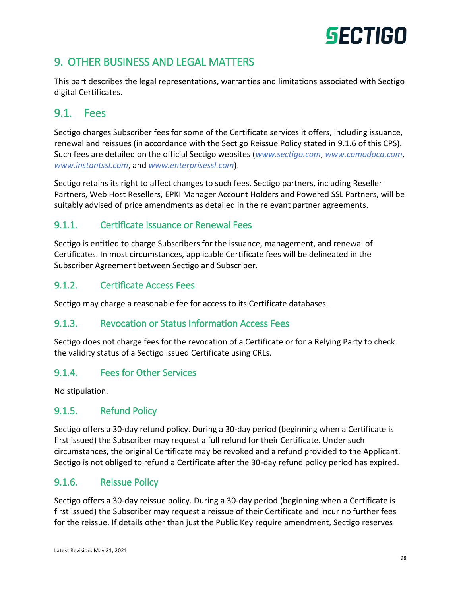# 9. OTHER BUSINESS AND LEGAL MATTERS

This part describes the legal representations, warranties and limitations associated with Sectigo digital Certificates.

## 9.1. Fees

Sectigo charges Subscriber fees for some of the Certificate services it offers, including issuance, renewal and reissues (in accordance with the Sectigo Reissue Policy stated in 9.1.6 of this CPS). Such fees are detailed on the official Sectigo websites (*[www.sectigo.com](http://www.sectigo.com/)*, *[www.comodoca.com](http://www.comodoca.com/)*, *[www.instantssl.com](http://www.instantssl.com/)*, and *[www.enterprisessl.com](http://www.enterprisessl.com/)*).

Sectigo retains its right to affect changes to such fees. Sectigo partners, including Reseller Partners, Web Host Resellers, EPKI Manager Account Holders and Powered SSL Partners, will be suitably advised of price amendments as detailed in the relevant partner agreements.

## 9.1.1. Certificate Issuance or Renewal Fees

Sectigo is entitled to charge Subscribers for the issuance, management, and renewal of Certificates. In most circumstances, applicable Certificate fees will be delineated in the Subscriber Agreement between Sectigo and Subscriber.

## 9.1.2. Certificate Access Fees

Sectigo may charge a reasonable fee for access to its Certificate databases.

## 9.1.3. Revocation or Status Information Access Fees

Sectigo does not charge fees for the revocation of a Certificate or for a Relying Party to check the validity status of a Sectigo issued Certificate using CRLs.

## 9.1.4. Fees for Other Services

No stipulation.

## 9.1.5. Refund Policy

Sectigo offers a 30-day refund policy. During a 30-day period (beginning when a Certificate is first issued) the Subscriber may request a full refund for their Certificate. Under such circumstances, the original Certificate may be revoked and a refund provided to the Applicant. Sectigo is not obliged to refund a Certificate after the 30-day refund policy period has expired.

## 9.1.6. Reissue Policy

Sectigo offers a 30-day reissue policy. During a 30-day period (beginning when a Certificate is first issued) the Subscriber may request a reissue of their Certificate and incur no further fees for the reissue. If details other than just the Public Key require amendment, Sectigo reserves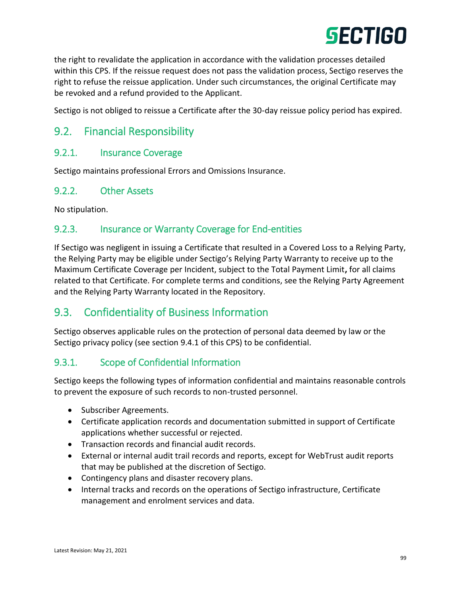

the right to revalidate the application in accordance with the validation processes detailed within this CPS. If the reissue request does not pass the validation process, Sectigo reserves the right to refuse the reissue application. Under such circumstances, the original Certificate may be revoked and a refund provided to the Applicant.

Sectigo is not obliged to reissue a Certificate after the 30-day reissue policy period has expired.

## 9.2. Financial Responsibility

### 9.2.1. Insurance Coverage

Sectigo maintains professional Errors and Omissions Insurance.

#### 9.2.2. Other Assets

No stipulation.

### 9.2.3. Insurance or Warranty Coverage for End-entities

If Sectigo was negligent in issuing a Certificate that resulted in a Covered Loss to a Relying Party, the Relying Party may be eligible under Sectigo's Relying Party Warranty to receive up to the Maximum Certificate Coverage per Incident, subject to the Total Payment Limit**,** for all claims related to that Certificate. For complete terms and conditions, see the Relying Party Agreement and the Relying Party Warranty located in the Repository.

## 9.3. Confidentiality of Business Information

Sectigo observes applicable rules on the protection of personal data deemed by law or the Sectigo privacy policy (see section 9.4.1 of this CPS) to be confidential.

## 9.3.1. Scope of Confidential Information

Sectigo keeps the following types of information confidential and maintains reasonable controls to prevent the exposure of such records to non-trusted personnel.

- Subscriber Agreements.
- Certificate application records and documentation submitted in support of Certificate applications whether successful or rejected.
- Transaction records and financial audit records.
- External or internal audit trail records and reports, except for WebTrust audit reports that may be published at the discretion of Sectigo.
- Contingency plans and disaster recovery plans.
- Internal tracks and records on the operations of Sectigo infrastructure, Certificate management and enrolment services and data.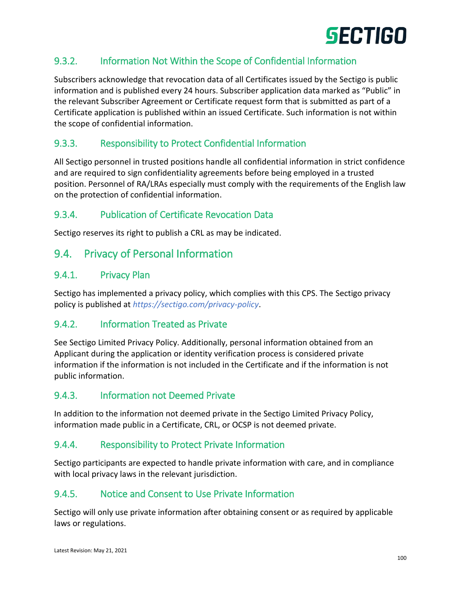

## 9.3.2. Information Not Within the Scope of Confidential Information

Subscribers acknowledge that revocation data of all Certificates issued by the Sectigo is public information and is published every 24 hours. Subscriber application data marked as "Public" in the relevant Subscriber Agreement or Certificate request form that is submitted as part of a Certificate application is published within an issued Certificate. Such information is not within the scope of confidential information.

## 9.3.3. Responsibility to Protect Confidential Information

All Sectigo personnel in trusted positions handle all confidential information in strict confidence and are required to sign confidentiality agreements before being employed in a trusted position. Personnel of RA/LRAs especially must comply with the requirements of the English law on the protection of confidential information.

## 9.3.4. Publication of Certificate Revocation Data

Sectigo reserves its right to publish a CRL as may be indicated.

## 9.4. Privacy of Personal Information

#### 9.4.1. Privacy Plan

Sectigo has implemented a privacy policy, which complies with this CPS. The Sectigo privacy policy is published at *<https://sectigo.com/privacy-policy>*.

#### 9.4.2. Information Treated as Private

See Sectigo Limited Privacy Policy. Additionally, personal information obtained from an Applicant during the application or identity verification process is considered private information if the information is not included in the Certificate and if the information is not public information.

#### 9.4.3. Information not Deemed Private

In addition to the information not deemed private in the Sectigo Limited Privacy Policy, information made public in a Certificate, CRL, or OCSP is not deemed private.

#### 9.4.4. Responsibility to Protect Private Information

Sectigo participants are expected to handle private information with care, and in compliance with local privacy laws in the relevant jurisdiction.

#### 9.4.5. Notice and Consent to Use Private Information

Sectigo will only use private information after obtaining consent or as required by applicable laws or regulations.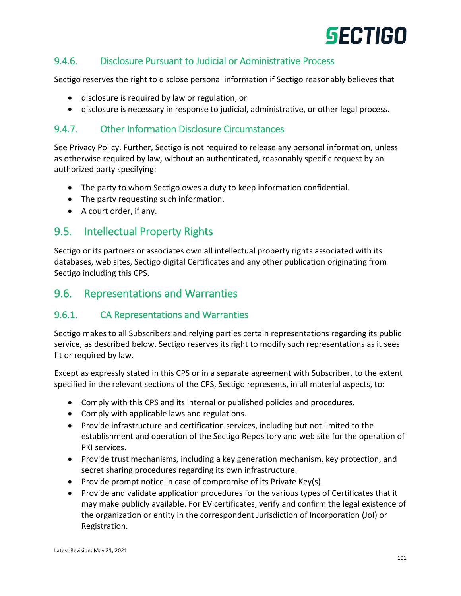## 9.4.6. Disclosure Pursuant to Judicial or Administrative Process

Sectigo reserves the right to disclose personal information if Sectigo reasonably believes that

- disclosure is required by law or regulation, or
- disclosure is necessary in response to judicial, administrative, or other legal process.

## 9.4.7. Other Information Disclosure Circumstances

See Privacy Policy. Further, Sectigo is not required to release any personal information, unless as otherwise required by law, without an authenticated, reasonably specific request by an authorized party specifying:

- The party to whom Sectigo owes a duty to keep information confidential.
- The party requesting such information.
- A court order, if any.

## 9.5. Intellectual Property Rights

Sectigo or its partners or associates own all intellectual property rights associated with its databases, web sites, Sectigo digital Certificates and any other publication originating from Sectigo including this CPS.

## 9.6. Representations and Warranties

## 9.6.1. CA Representations and Warranties

Sectigo makes to all Subscribers and relying parties certain representations regarding its public service, as described below. Sectigo reserves its right to modify such representations as it sees fit or required by law.

Except as expressly stated in this CPS or in a separate agreement with Subscriber, to the extent specified in the relevant sections of the CPS, Sectigo represents, in all material aspects, to:

- Comply with this CPS and its internal or published policies and procedures.
- Comply with applicable laws and regulations.
- Provide infrastructure and certification services, including but not limited to the establishment and operation of the Sectigo Repository and web site for the operation of PKI services.
- Provide trust mechanisms, including a key generation mechanism, key protection, and secret sharing procedures regarding its own infrastructure.
- Provide prompt notice in case of compromise of its Private Key(s).
- Provide and validate application procedures for the various types of Certificates that it may make publicly available. For EV certificates, verify and confirm the legal existence of the organization or entity in the correspondent Jurisdiction of Incorporation (JoI) or Registration.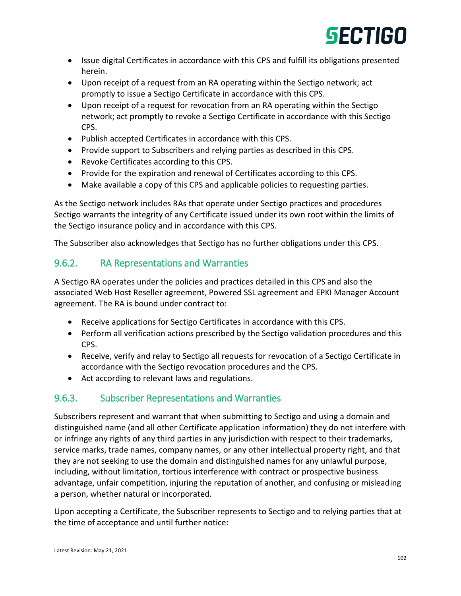# **GECTIGO**

- Issue digital Certificates in accordance with this CPS and fulfill its obligations presented herein.
- Upon receipt of a request from an RA operating within the Sectigo network; act promptly to issue a Sectigo Certificate in accordance with this CPS.
- Upon receipt of a request for revocation from an RA operating within the Sectigo network; act promptly to revoke a Sectigo Certificate in accordance with this Sectigo CPS.
- Publish accepted Certificates in accordance with this CPS.
- Provide support to Subscribers and relying parties as described in this CPS.
- Revoke Certificates according to this CPS.
- Provide for the expiration and renewal of Certificates according to this CPS.
- Make available a copy of this CPS and applicable policies to requesting parties.

As the Sectigo network includes RAs that operate under Sectigo practices and procedures Sectigo warrants the integrity of any Certificate issued under its own root within the limits of the Sectigo insurance policy and in accordance with this CPS.

The Subscriber also acknowledges that Sectigo has no further obligations under this CPS.

### 9.6.2. RA Representations and Warranties

A Sectigo RA operates under the policies and practices detailed in this CPS and also the associated Web Host Reseller agreement, Powered SSL agreement and EPKI Manager Account agreement. The RA is bound under contract to:

- Receive applications for Sectigo Certificates in accordance with this CPS.
- Perform all verification actions prescribed by the Sectigo validation procedures and this CPS.
- Receive, verify and relay to Sectigo all requests for revocation of a Sectigo Certificate in accordance with the Sectigo revocation procedures and the CPS.
- Act according to relevant laws and regulations.

## 9.6.3. Subscriber Representations and Warranties

Subscribers represent and warrant that when submitting to Sectigo and using a domain and distinguished name (and all other Certificate application information) they do not interfere with or infringe any rights of any third parties in any jurisdiction with respect to their trademarks, service marks, trade names, company names, or any other intellectual property right, and that they are not seeking to use the domain and distinguished names for any unlawful purpose, including, without limitation, tortious interference with contract or prospective business advantage, unfair competition, injuring the reputation of another, and confusing or misleading a person, whether natural or incorporated.

Upon accepting a Certificate, the Subscriber represents to Sectigo and to relying parties that at the time of acceptance and until further notice: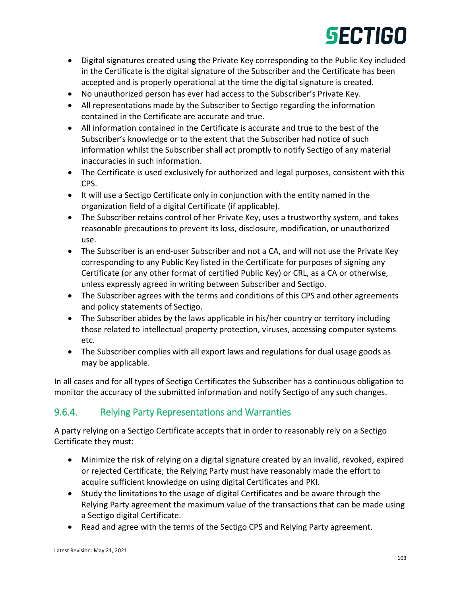- Digital signatures created using the Private Key corresponding to the Public Key included in the Certificate is the digital signature of the Subscriber and the Certificate has been accepted and is properly operational at the time the digital signature is created.
- No unauthorized person has ever had access to the Subscriber's Private Key.
- All representations made by the Subscriber to Sectigo regarding the information contained in the Certificate are accurate and true.
- All information contained in the Certificate is accurate and true to the best of the Subscriber's knowledge or to the extent that the Subscriber had notice of such information whilst the Subscriber shall act promptly to notify Sectigo of any material inaccuracies in such information.
- The Certificate is used exclusively for authorized and legal purposes, consistent with this CPS.
- It will use a Sectigo Certificate only in conjunction with the entity named in the organization field of a digital Certificate (if applicable).
- The Subscriber retains control of her Private Key, uses a trustworthy system, and takes reasonable precautions to prevent its loss, disclosure, modification, or unauthorized use.
- The Subscriber is an end-user Subscriber and not a CA, and will not use the Private Key corresponding to any Public Key listed in the Certificate for purposes of signing any Certificate (or any other format of certified Public Key) or CRL, as a CA or otherwise, unless expressly agreed in writing between Subscriber and Sectigo.
- The Subscriber agrees with the terms and conditions of this CPS and other agreements and policy statements of Sectigo.
- The Subscriber abides by the laws applicable in his/her country or territory including those related to intellectual property protection, viruses, accessing computer systems etc.
- The Subscriber complies with all export laws and regulations for dual usage goods as may be applicable.

In all cases and for all types of Sectigo Certificates the Subscriber has a continuous obligation to monitor the accuracy of the submitted information and notify Sectigo of any such changes.

## 9.6.4. Relying Party Representations and Warranties

A party relying on a Sectigo Certificate accepts that in order to reasonably rely on a Sectigo Certificate they must:

- Minimize the risk of relying on a digital signature created by an invalid, revoked, expired or rejected Certificate; the Relying Party must have reasonably made the effort to acquire sufficient knowledge on using digital Certificates and PKI.
- Study the limitations to the usage of digital Certificates and be aware through the Relying Party agreement the maximum value of the transactions that can be made using a Sectigo digital Certificate.
- Read and agree with the terms of the Sectigo CPS and Relying Party agreement.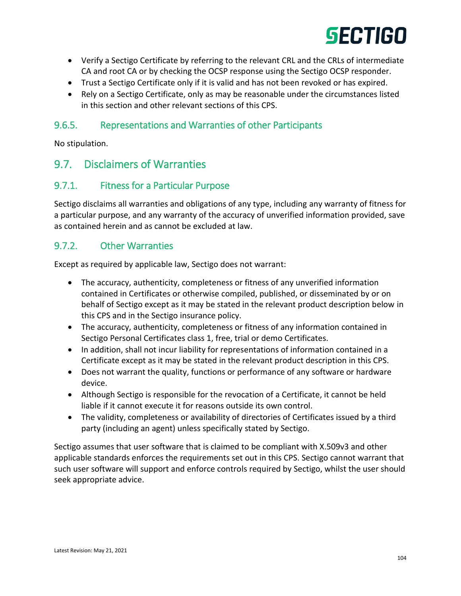

- Verify a Sectigo Certificate by referring to the relevant CRL and the CRLs of intermediate CA and root CA or by checking the OCSP response using the Sectigo OCSP responder.
- Trust a Sectigo Certificate only if it is valid and has not been revoked or has expired.
- Rely on a Sectigo Certificate, only as may be reasonable under the circumstances listed in this section and other relevant sections of this CPS.

## 9.6.5. Representations and Warranties of other Participants

No stipulation.

## 9.7. Disclaimers of Warranties

## 9.7.1. Fitness for a Particular Purpose

Sectigo disclaims all warranties and obligations of any type, including any warranty of fitness for a particular purpose, and any warranty of the accuracy of unverified information provided, save as contained herein and as cannot be excluded at law.

### 9.7.2. Other Warranties

Except as required by applicable law, Sectigo does not warrant:

- The accuracy, authenticity, completeness or fitness of any unverified information contained in Certificates or otherwise compiled, published, or disseminated by or on behalf of Sectigo except as it may be stated in the relevant product description below in this CPS and in the Sectigo insurance policy.
- The accuracy, authenticity, completeness or fitness of any information contained in Sectigo Personal Certificates class 1, free, trial or demo Certificates.
- In addition, shall not incur liability for representations of information contained in a Certificate except as it may be stated in the relevant product description in this CPS.
- Does not warrant the quality, functions or performance of any software or hardware device.
- Although Sectigo is responsible for the revocation of a Certificate, it cannot be held liable if it cannot execute it for reasons outside its own control.
- The validity, completeness or availability of directories of Certificates issued by a third party (including an agent) unless specifically stated by Sectigo.

Sectigo assumes that user software that is claimed to be compliant with X.509v3 and other applicable standards enforces the requirements set out in this CPS. Sectigo cannot warrant that such user software will support and enforce controls required by Sectigo, whilst the user should seek appropriate advice.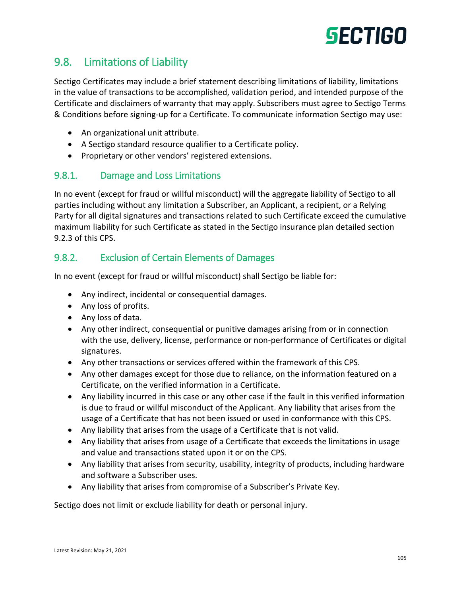

## 9.8. Limitations of Liability

Sectigo Certificates may include a brief statement describing limitations of liability, limitations in the value of transactions to be accomplished, validation period, and intended purpose of the Certificate and disclaimers of warranty that may apply. Subscribers must agree to Sectigo Terms & Conditions before signing-up for a Certificate. To communicate information Sectigo may use:

- An organizational unit attribute.
- A Sectigo standard resource qualifier to a Certificate policy.
- Proprietary or other vendors' registered extensions.

#### 9.8.1. Damage and Loss Limitations

In no event (except for fraud or willful misconduct) will the aggregate liability of Sectigo to all parties including without any limitation a Subscriber, an Applicant, a recipient, or a Relying Party for all digital signatures and transactions related to such Certificate exceed the cumulative maximum liability for such Certificate as stated in the Sectigo insurance plan detailed section 9.2.3 of this CPS.

### 9.8.2. Exclusion of Certain Elements of Damages

In no event (except for fraud or willful misconduct) shall Sectigo be liable for:

- Any indirect, incidental or consequential damages.
- Any loss of profits.
- Any loss of data.
- Any other indirect, consequential or punitive damages arising from or in connection with the use, delivery, license, performance or non-performance of Certificates or digital signatures.
- Any other transactions or services offered within the framework of this CPS.
- Any other damages except for those due to reliance, on the information featured on a Certificate, on the verified information in a Certificate.
- Any liability incurred in this case or any other case if the fault in this verified information is due to fraud or willful misconduct of the Applicant. Any liability that arises from the usage of a Certificate that has not been issued or used in conformance with this CPS.
- Any liability that arises from the usage of a Certificate that is not valid.
- Any liability that arises from usage of a Certificate that exceeds the limitations in usage and value and transactions stated upon it or on the CPS.
- Any liability that arises from security, usability, integrity of products, including hardware and software a Subscriber uses.
- Any liability that arises from compromise of a Subscriber's Private Key.

Sectigo does not limit or exclude liability for death or personal injury.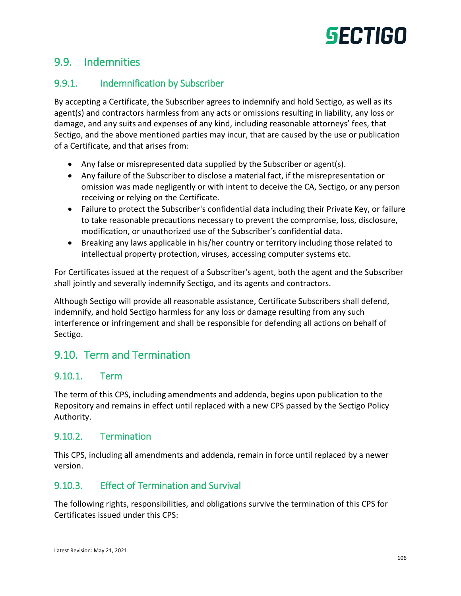## 9.9. Indemnities

## 9.9.1. Indemnification by Subscriber

By accepting a Certificate, the Subscriber agrees to indemnify and hold Sectigo, as well as its agent(s) and contractors harmless from any acts or omissions resulting in liability, any loss or damage, and any suits and expenses of any kind, including reasonable attorneys' fees, that Sectigo, and the above mentioned parties may incur, that are caused by the use or publication of a Certificate, and that arises from:

- Any false or misrepresented data supplied by the Subscriber or agent(s).
- Any failure of the Subscriber to disclose a material fact, if the misrepresentation or omission was made negligently or with intent to deceive the CA, Sectigo, or any person receiving or relying on the Certificate.
- Failure to protect the Subscriber's confidential data including their Private Key, or failure to take reasonable precautions necessary to prevent the compromise, loss, disclosure, modification, or unauthorized use of the Subscriber's confidential data.
- Breaking any laws applicable in his/her country or territory including those related to intellectual property protection, viruses, accessing computer systems etc.

For Certificates issued at the request of a Subscriber's agent, both the agent and the Subscriber shall jointly and severally indemnify Sectigo, and its agents and contractors.

Although Sectigo will provide all reasonable assistance, Certificate Subscribers shall defend, indemnify, and hold Sectigo harmless for any loss or damage resulting from any such interference or infringement and shall be responsible for defending all actions on behalf of Sectigo.

## 9.10. Term and Termination

## 9.10.1. Term

The term of this CPS, including amendments and addenda, begins upon publication to the Repository and remains in effect until replaced with a new CPS passed by the Sectigo Policy Authority.

#### 9.10.2. Termination

This CPS, including all amendments and addenda, remain in force until replaced by a newer version.

## 9.10.3. Effect of Termination and Survival

The following rights, responsibilities, and obligations survive the termination of this CPS for Certificates issued under this CPS: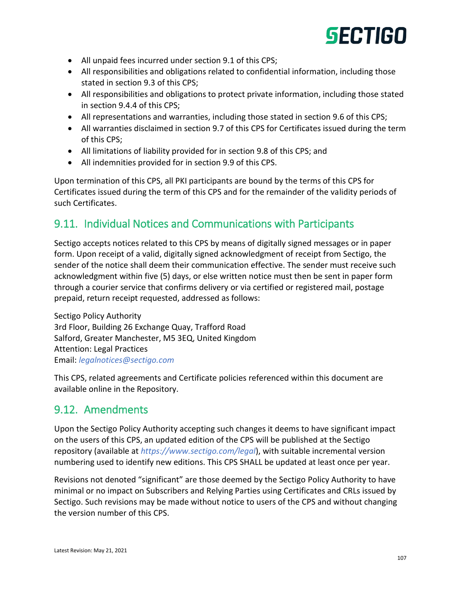- All unpaid fees incurred under section 9.1 of this CPS;
- All responsibilities and obligations related to confidential information, including those stated in section 9.3 of this CPS;
- All responsibilities and obligations to protect private information, including those stated in section 9.4.4 of this CPS;
- All representations and warranties, including those stated in section 9.6 of this CPS;
- All warranties disclaimed in section 9.7 of this CPS for Certificates issued during the term of this CPS;
- All limitations of liability provided for in section 9.8 of this CPS; and
- All indemnities provided for in section 9.9 of this CPS.

Upon termination of this CPS, all PKI participants are bound by the terms of this CPS for Certificates issued during the term of this CPS and for the remainder of the validity periods of such Certificates.

## 9.11. Individual Notices and Communications with Participants

Sectigo accepts notices related to this CPS by means of digitally signed messages or in paper form. Upon receipt of a valid, digitally signed acknowledgment of receipt from Sectigo, the sender of the notice shall deem their communication effective. The sender must receive such acknowledgment within five (5) days, or else written notice must then be sent in paper form through a courier service that confirms delivery or via certified or registered mail, postage prepaid, return receipt requested, addressed as follows:

Sectigo Policy Authority 3rd Floor, Building 26 Exchange Quay, Trafford Road Salford, Greater Manchester, M5 3EQ, United Kingdom Attention: Legal Practices Email: *[legalnotices@sectigo.com](mailto:legalnotices@sectigo.com)*

This CPS, related agreements and Certificate policies referenced within this document are available online in the Repository.

## 9.12. Amendments

Upon the Sectigo Policy Authority accepting such changes it deems to have significant impact on the users of this CPS, an updated edition of the CPS will be published at the Sectigo repository (available at *<https://www.sectigo.com/legal>*), with suitable incremental version numbering used to identify new editions. This CPS SHALL be updated at least once per year.

Revisions not denoted "significant" are those deemed by the Sectigo Policy Authority to have minimal or no impact on Subscribers and Relying Parties using Certificates and CRLs issued by Sectigo. Such revisions may be made without notice to users of the CPS and without changing the version number of this CPS.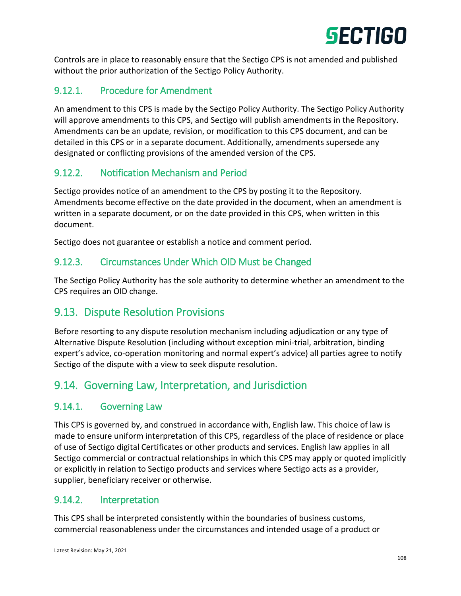

Controls are in place to reasonably ensure that the Sectigo CPS is not amended and published without the prior authorization of the Sectigo Policy Authority.

## 9.12.1. Procedure for Amendment

An amendment to this CPS is made by the Sectigo Policy Authority. The Sectigo Policy Authority will approve amendments to this CPS, and Sectigo will publish amendments in the Repository. Amendments can be an update, revision, or modification to this CPS document, and can be detailed in this CPS or in a separate document. Additionally, amendments supersede any designated or conflicting provisions of the amended version of the CPS.

## 9.12.2. Notification Mechanism and Period

Sectigo provides notice of an amendment to the CPS by posting it to the Repository. Amendments become effective on the date provided in the document, when an amendment is written in a separate document, or on the date provided in this CPS, when written in this document.

Sectigo does not guarantee or establish a notice and comment period.

## 9.12.3. Circumstances Under Which OID Must be Changed

The Sectigo Policy Authority has the sole authority to determine whether an amendment to the CPS requires an OID change.

## 9.13. Dispute Resolution Provisions

Before resorting to any dispute resolution mechanism including adjudication or any type of Alternative Dispute Resolution (including without exception mini-trial, arbitration, binding expert's advice, co-operation monitoring and normal expert's advice) all parties agree to notify Sectigo of the dispute with a view to seek dispute resolution.

## 9.14. Governing Law, Interpretation, and Jurisdiction

#### 9.14.1. Governing Law

This CPS is governed by, and construed in accordance with, English law. This choice of law is made to ensure uniform interpretation of this CPS, regardless of the place of residence or place of use of Sectigo digital Certificates or other products and services. English law applies in all Sectigo commercial or contractual relationships in which this CPS may apply or quoted implicitly or explicitly in relation to Sectigo products and services where Sectigo acts as a provider, supplier, beneficiary receiver or otherwise.

## 9.14.2. Interpretation

This CPS shall be interpreted consistently within the boundaries of business customs, commercial reasonableness under the circumstances and intended usage of a product or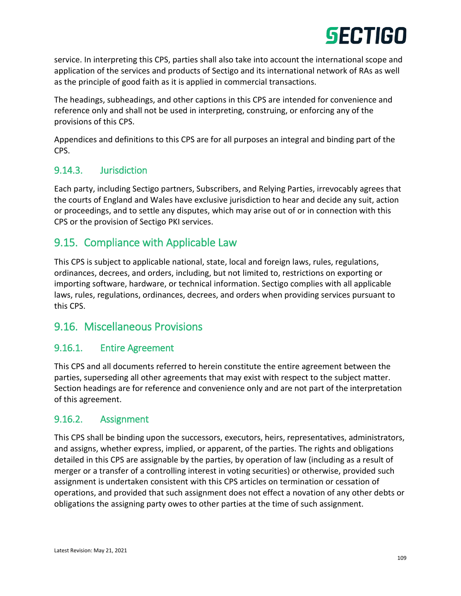service. In interpreting this CPS, parties shall also take into account the international scope and application of the services and products of Sectigo and its international network of RAs as well as the principle of good faith as it is applied in commercial transactions.

The headings, subheadings, and other captions in this CPS are intended for convenience and reference only and shall not be used in interpreting, construing, or enforcing any of the provisions of this CPS.

Appendices and definitions to this CPS are for all purposes an integral and binding part of the CPS.

## 9.14.3. Jurisdiction

Each party, including Sectigo partners, Subscribers, and Relying Parties, irrevocably agrees that the courts of England and Wales have exclusive jurisdiction to hear and decide any suit, action or proceedings, and to settle any disputes, which may arise out of or in connection with this CPS or the provision of Sectigo PKI services.

# 9.15. Compliance with Applicable Law

This CPS is subject to applicable national, state, local and foreign laws, rules, regulations, ordinances, decrees, and orders, including, but not limited to, restrictions on exporting or importing software, hardware, or technical information. Sectigo complies with all applicable laws, rules, regulations, ordinances, decrees, and orders when providing services pursuant to this CPS.

# 9.16. Miscellaneous Provisions

### 9.16.1. Entire Agreement

This CPS and all documents referred to herein constitute the entire agreement between the parties, superseding all other agreements that may exist with respect to the subject matter. Section headings are for reference and convenience only and are not part of the interpretation of this agreement.

## 9.16.2. Assignment

This CPS shall be binding upon the successors, executors, heirs, representatives, administrators, and assigns, whether express, implied, or apparent, of the parties. The rights and obligations detailed in this CPS are assignable by the parties, by operation of law (including as a result of merger or a transfer of a controlling interest in voting securities) or otherwise, provided such assignment is undertaken consistent with this CPS articles on termination or cessation of operations, and provided that such assignment does not effect a novation of any other debts or obligations the assigning party owes to other parties at the time of such assignment.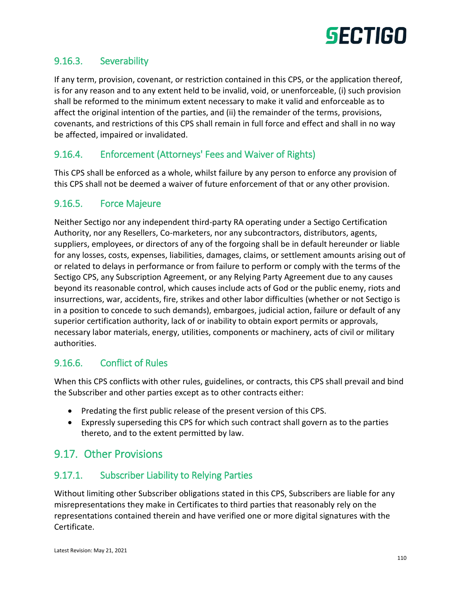

## 9.16.3. Severability

If any term, provision, covenant, or restriction contained in this CPS, or the application thereof, is for any reason and to any extent held to be invalid, void, or unenforceable, (i) such provision shall be reformed to the minimum extent necessary to make it valid and enforceable as to affect the original intention of the parties, and (ii) the remainder of the terms, provisions, covenants, and restrictions of this CPS shall remain in full force and effect and shall in no way be affected, impaired or invalidated.

## 9.16.4. Enforcement (Attorneys' Fees and Waiver of Rights)

This CPS shall be enforced as a whole, whilst failure by any person to enforce any provision of this CPS shall not be deemed a waiver of future enforcement of that or any other provision.

### 9.16.5. Force Majeure

Neither Sectigo nor any independent third-party RA operating under a Sectigo Certification Authority, nor any Resellers, Co-marketers, nor any subcontractors, distributors, agents, suppliers, employees, or directors of any of the forgoing shall be in default hereunder or liable for any losses, costs, expenses, liabilities, damages, claims, or settlement amounts arising out of or related to delays in performance or from failure to perform or comply with the terms of the Sectigo CPS, any Subscription Agreement, or any Relying Party Agreement due to any causes beyond its reasonable control, which causes include acts of God or the public enemy, riots and insurrections, war, accidents, fire, strikes and other labor difficulties (whether or not Sectigo is in a position to concede to such demands), embargoes, judicial action, failure or default of any superior certification authority, lack of or inability to obtain export permits or approvals, necessary labor materials, energy, utilities, components or machinery, acts of civil or military authorities.

### 9.16.6. Conflict of Rules

When this CPS conflicts with other rules, guidelines, or contracts, this CPS shall prevail and bind the Subscriber and other parties except as to other contracts either:

- Predating the first public release of the present version of this CPS.
- Expressly superseding this CPS for which such contract shall govern as to the parties thereto, and to the extent permitted by law.

# 9.17. Other Provisions

# 9.17.1. Subscriber Liability to Relying Parties

Without limiting other Subscriber obligations stated in this CPS, Subscribers are liable for any misrepresentations they make in Certificates to third parties that reasonably rely on the representations contained therein and have verified one or more digital signatures with the Certificate.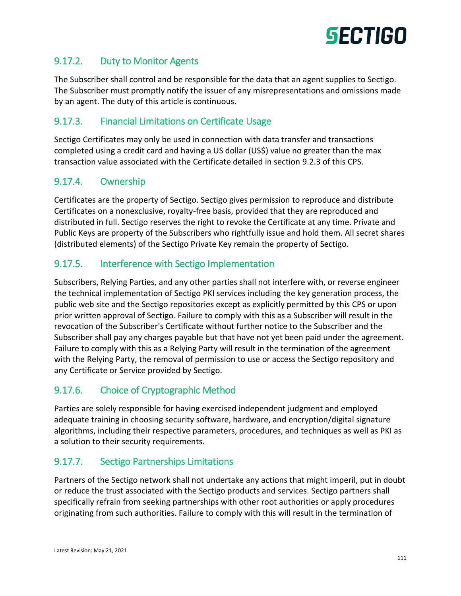

## 9.17.2. Duty to Monitor Agents

The Subscriber shall control and be responsible for the data that an agent supplies to Sectigo. The Subscriber must promptly notify the issuer of any misrepresentations and omissions made by an agent. The duty of this article is continuous.

## 9.17.3. Financial Limitations on Certificate Usage

Sectigo Certificates may only be used in connection with data transfer and transactions completed using a credit card and having a US dollar (US\$) value no greater than the max transaction value associated with the Certificate detailed in section 9.2.3 of this CPS.

### 9.17.4. Ownership

Certificates are the property of Sectigo. Sectigo gives permission to reproduce and distribute Certificates on a nonexclusive, royalty-free basis, provided that they are reproduced and distributed in full. Sectigo reserves the right to revoke the Certificate at any time. Private and Public Keys are property of the Subscribers who rightfully issue and hold them. All secret shares (distributed elements) of the Sectigo Private Key remain the property of Sectigo.

## 9.17.5. Interference with Sectigo Implementation

Subscribers, Relying Parties, and any other parties shall not interfere with, or reverse engineer the technical implementation of Sectigo PKI services including the key generation process, the public web site and the Sectigo repositories except as explicitly permitted by this CPS or upon prior written approval of Sectigo. Failure to comply with this as a Subscriber will result in the revocation of the Subscriber's Certificate without further notice to the Subscriber and the Subscriber shall pay any charges payable but that have not yet been paid under the agreement. Failure to comply with this as a Relying Party will result in the termination of the agreement with the Relying Party, the removal of permission to use or access the Sectigo repository and any Certificate or Service provided by Sectigo.

# 9.17.6. Choice of Cryptographic Method

Parties are solely responsible for having exercised independent judgment and employed adequate training in choosing security software, hardware, and encryption/digital signature algorithms, including their respective parameters, procedures, and techniques as well as PKI as a solution to their security requirements.

### 9.17.7. Sectigo Partnerships Limitations

Partners of the Sectigo network shall not undertake any actions that might imperil, put in doubt or reduce the trust associated with the Sectigo products and services. Sectigo partners shall specifically refrain from seeking partnerships with other root authorities or apply procedures originating from such authorities. Failure to comply with this will result in the termination of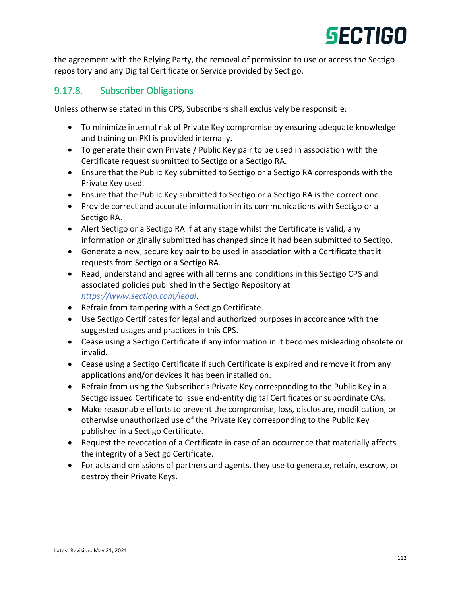

the agreement with the Relying Party, the removal of permission to use or access the Sectigo repository and any Digital Certificate or Service provided by Sectigo.

## 9.17.8. Subscriber Obligations

Unless otherwise stated in this CPS, Subscribers shall exclusively be responsible:

- To minimize internal risk of Private Key compromise by ensuring adequate knowledge and training on PKI is provided internally.
- To generate their own Private / Public Key pair to be used in association with the Certificate request submitted to Sectigo or a Sectigo RA.
- Ensure that the Public Key submitted to Sectigo or a Sectigo RA corresponds with the Private Key used.
- Ensure that the Public Key submitted to Sectigo or a Sectigo RA is the correct one.
- Provide correct and accurate information in its communications with Sectigo or a Sectigo RA.
- Alert Sectigo or a Sectigo RA if at any stage whilst the Certificate is valid, any information originally submitted has changed since it had been submitted to Sectigo.
- Generate a new, secure key pair to be used in association with a Certificate that it requests from Sectigo or a Sectigo RA.
- Read, understand and agree with all terms and conditions in this Sectigo CPS and associated policies published in the Sectigo Repository at *<https://www.sectigo.com/legal>*.
- Refrain from tampering with a Sectigo Certificate.
- Use Sectigo Certificates for legal and authorized purposes in accordance with the suggested usages and practices in this CPS.
- Cease using a Sectigo Certificate if any information in it becomes misleading obsolete or invalid.
- Cease using a Sectigo Certificate if such Certificate is expired and remove it from any applications and/or devices it has been installed on.
- Refrain from using the Subscriber's Private Key corresponding to the Public Key in a Sectigo issued Certificate to issue end-entity digital Certificates or subordinate CAs.
- Make reasonable efforts to prevent the compromise, loss, disclosure, modification, or otherwise unauthorized use of the Private Key corresponding to the Public Key published in a Sectigo Certificate.
- Request the revocation of a Certificate in case of an occurrence that materially affects the integrity of a Sectigo Certificate.
- For acts and omissions of partners and agents, they use to generate, retain, escrow, or destroy their Private Keys.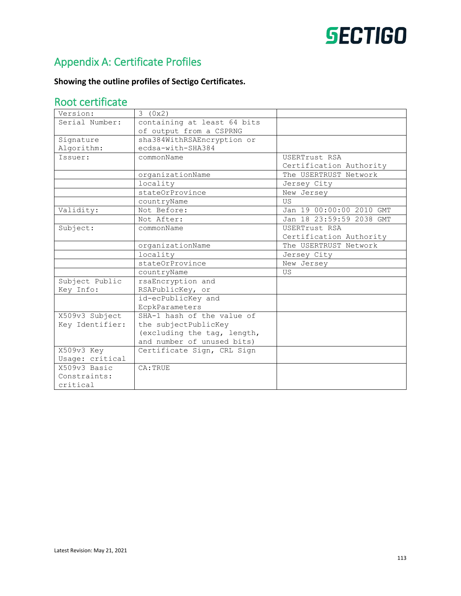# Appendix A: Certificate Profiles

### **Showing the outline profiles of Sectigo Certificates.**

# Root certificate

| Version:        | 3(0x2)                      |                          |
|-----------------|-----------------------------|--------------------------|
| Serial Number:  | containing at least 64 bits |                          |
|                 | of output from a CSPRNG     |                          |
| Signature       | sha384WithRSAEncryption or  |                          |
| Algorithm:      | ecdsa-with-SHA384           |                          |
| Issuer:         | commonName                  | USERTrust RSA            |
|                 |                             | Certification Authority  |
|                 | organizationName            | The USERTRUST Network    |
|                 | locality                    | Jersey City              |
|                 | stateOrProvince             | New Jersey               |
|                 | countryName                 | <b>US</b>                |
| Validity:       | Not Before:                 | Jan 19 00:00:00 2010 GMT |
|                 | Not After:                  | Jan 18 23:59:59 2038 GMT |
| Subject:        | commonName                  | USERTrust RSA            |
|                 |                             | Certification Authority  |
|                 | organizationName            | The USERTRUST Network    |
|                 | locality                    | Jersey City              |
|                 | stateOrProvince             | New Jersey               |
|                 | countryName                 | US.                      |
| Subject Public  | rsaEncryption and           |                          |
| Key Info:       | RSAPublicKey, or            |                          |
|                 | id-ecPublicKey and          |                          |
|                 | EcpkParameters              |                          |
| X509v3 Subject  | SHA-1 hash of the value of  |                          |
| Key Identifier: | the subjectPublicKey        |                          |
|                 | (excluding the tag, length, |                          |
|                 | and number of unused bits)  |                          |
| X509v3 Key      | Certificate Sign, CRL Sign  |                          |
| Usage: critical |                             |                          |
| X509v3 Basic    | CA: TRUE                    |                          |
| Constraints:    |                             |                          |
| critical        |                             |                          |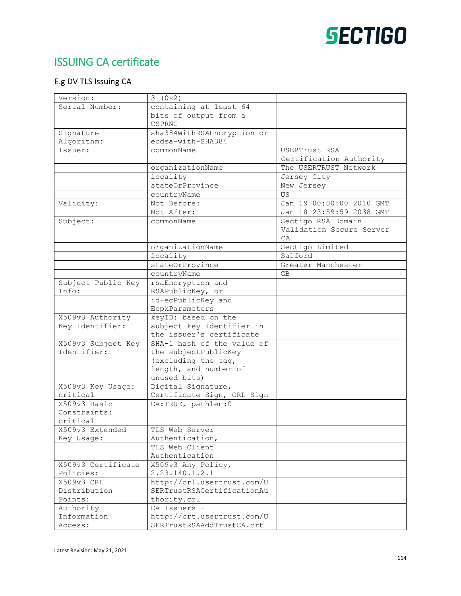# ISSUING CA certificate

### E.g DV TLS Issuing CA

| Version:                    | 3(0x2)                            |                          |
|-----------------------------|-----------------------------------|--------------------------|
| Serial Number:              | containing at least 64            |                          |
|                             | bits of output from a             |                          |
|                             | CSPRNG                            |                          |
| Signature                   | sha384WithRSAEncryption or        |                          |
| Algorithm:                  | ecdsa-with-SHA384                 |                          |
| Issuer:                     | commonName                        | USERTrust RSA            |
|                             |                                   | Certification Authority  |
|                             | organizationName                  | The USERTRUST Network    |
|                             | locality                          | Jersey City              |
|                             | stateOrProvince                   | New Jersey               |
|                             | countryName                       | US                       |
| Validity:                   | Not Before:                       | Jan 19 00:00:00 2010 GMT |
|                             | Not After:                        | Jan 18 23:59:59 2038 GMT |
| Subject:                    | commonName                        | Sectigo RSA Domain       |
|                             |                                   | Validation Secure Server |
|                             |                                   | CA.                      |
|                             | organizationName                  | Sectigo Limited          |
|                             | locality                          | Salford                  |
|                             | stateOrProvince                   | Greater Manchester       |
|                             | countryName                       | GB                       |
| Subject Public Key          | rsaEncryption and                 |                          |
| Info:                       | RSAPublicKey, or                  |                          |
|                             | id-ecPublicKey and                |                          |
|                             | EcpkParameters                    |                          |
| X509v3 Authority            | keyID: based on the               |                          |
| Key Identifier:             | subject key identifier in         |                          |
|                             | the issuer's certificate          |                          |
| X509v3 Subject Key          | SHA-1 hash of the value of        |                          |
| Identifier:                 | the subjectPublicKey              |                          |
|                             | (excluding the tag,               |                          |
|                             | length, and number of             |                          |
|                             | unused bits)                      |                          |
| X509v3 Key Usage:           | Digital Signature,                |                          |
| critical                    | Certificate Sign, CRL Sign        |                          |
| X509v3 Basic                | CA: TRUE, pathlen: 0              |                          |
| Constraints:                |                                   |                          |
| critical<br>X509v3 Extended |                                   |                          |
|                             | TLS Web Server<br>Authentication, |                          |
| Key Usage:                  | TLS Web Client                    |                          |
|                             | Authentication                    |                          |
| X509v3 Certificate          | X509v3 Any Policy,                |                          |
| Policies:                   | 2.23.140.1.2.1                    |                          |
| X509v3 CRL                  | http://crl.usertrust.com/U        |                          |
| Distribution                | SERTrustRSACertificationAu        |                          |
| Points:                     | thority.crl                       |                          |
| Authority                   | CA Issuers -                      |                          |
| Information                 | http://crt.usertrust.com/U        |                          |
| Access:                     | SERTrustRSAAddTrustCA.crt         |                          |
|                             |                                   |                          |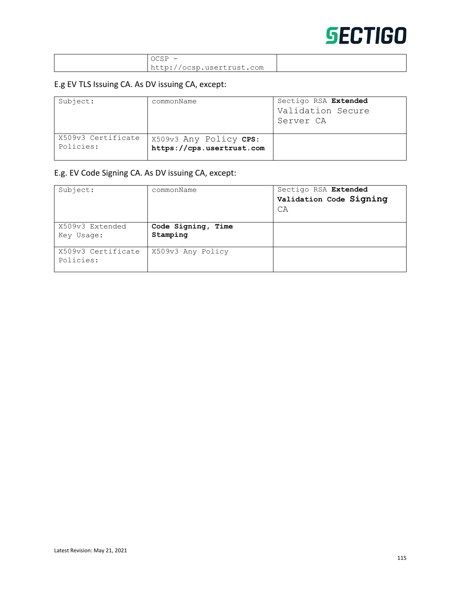| $OCSP$ –                  |  |
|---------------------------|--|
| http://ocsp.usertrust.com |  |

#### E.g EV TLS Issuing CA. As DV issuing CA, except:

| Subject:                        | commonName                                          | Sectigo RSA Extended<br>Validation Secure<br>Server CA |
|---------------------------------|-----------------------------------------------------|--------------------------------------------------------|
| X509v3 Certificate<br>Policies: | X509v3 Any Policy CPS:<br>https://cps.usertrust.com |                                                        |

#### E.g. EV Code Signing CA. As DV issuing CA, except:

| Subject:                        | commonName                     | Sectigo RSA Extended<br>Validation Code Signing<br>CA |
|---------------------------------|--------------------------------|-------------------------------------------------------|
| X509v3 Extended<br>Key Usage:   | Code Signing, Time<br>Stamping |                                                       |
| X509v3 Certificate<br>Policies: | X509v3 Any Policy              |                                                       |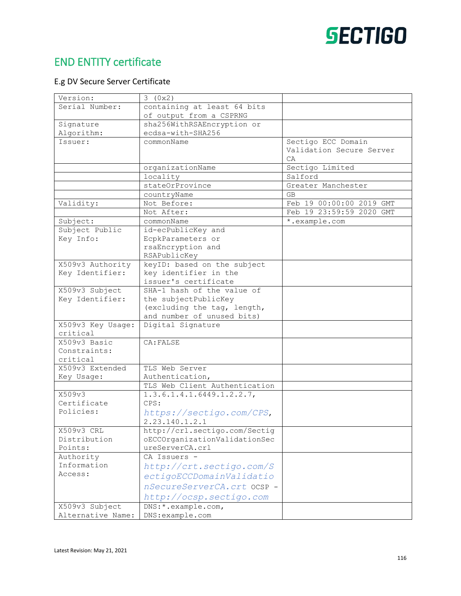# END ENTITY certificate

### E.g DV Secure Server Certificate

| Version:          | 3(0x2)                        |                          |
|-------------------|-------------------------------|--------------------------|
| Serial Number:    | containing at least 64 bits   |                          |
|                   | of output from a CSPRNG       |                          |
| Signature         | sha256WithRSAEncryption or    |                          |
| Algorithm:        | ecdsa-with-SHA256             |                          |
| Issuer:           | commonName                    | Sectigo ECC Domain       |
|                   |                               | Validation Secure Server |
|                   |                               | C A                      |
|                   | organizationName              | Sectigo Limited          |
|                   | locality                      | Salford                  |
|                   | stateOrProvince               | Greater Manchester       |
|                   | countryName                   | GB                       |
| Validity:         | Not Before:                   | Feb 19 00:00:00 2019 GMT |
|                   | Not After:                    | Feb 19 23:59:59 2020 GMT |
| Subject:          | commonName                    | *.example.com            |
| Subject Public    | id-ecPublicKey and            |                          |
| Key Info:         | EcpkParameters or             |                          |
|                   | rsaEncryption and             |                          |
|                   | RSAPublicKey                  |                          |
| X509v3 Authority  | keyID: based on the subject   |                          |
| Key Identifier:   | key identifier in the         |                          |
|                   | issuer's certificate          |                          |
| X509v3 Subject    | SHA-1 hash of the value of    |                          |
| Key Identifier:   | the subjectPublicKey          |                          |
|                   | (excluding the tag, length,   |                          |
|                   | and number of unused bits)    |                          |
| X509v3 Key Usage: | Digital Signature             |                          |
| critical          |                               |                          |
| X509v3 Basic      | CA: FALSE                     |                          |
| Constraints:      |                               |                          |
| critical          |                               |                          |
| X509v3 Extended   | TLS Web Server                |                          |
| Key Usage:        | Authentication,               |                          |
|                   | TLS Web Client Authentication |                          |
| X509v3            | $1.3.6.1.4.1.6449.1.2.2.7$ ,  |                          |
| Certificate       | CPS:                          |                          |
| Policies:         | https://sectigo.com/CPS,      |                          |
|                   | 2.23.140.1.2.1                |                          |
| X509v3 CRL        | http://crl.sectigo.com/Sectig |                          |
| Distribution      | oECCOrganizationValidationSec |                          |
| Points:           | ureServerCA.crl               |                          |
| Authority         | CA Issuers -                  |                          |
| Information       | http://crt.sectigo.com/S      |                          |
| Access:           | ectigoECCDomainValidatio      |                          |
|                   | nSecureServerCA.crt ocsp -    |                          |
|                   | http://ocsp.sectigo.com       |                          |
| X509v3 Subject    | DNS: * . example.com,         |                          |
| Alternative Name: | DNS:example.com               |                          |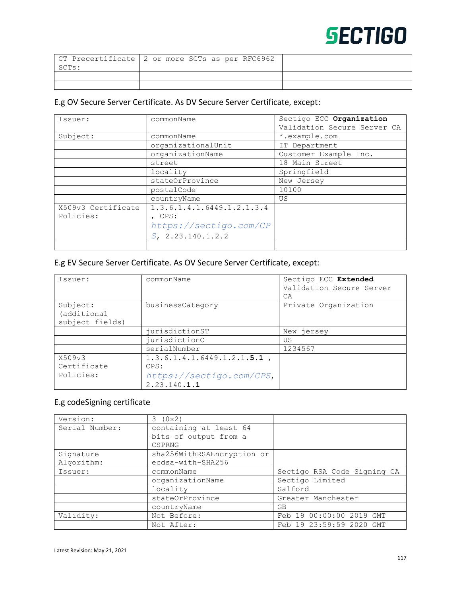|       | CT Precertificate 2 or more SCTs as per RFC6962 |
|-------|-------------------------------------------------|
| SCTs: |                                                 |
|       |                                                 |
|       |                                                 |

### E.g OV Secure Server Certificate. As DV Secure Server Certificate, except:

| Issuer:            | commonName                 | Sectigo ECC Organization<br>Validation Secure Server CA |
|--------------------|----------------------------|---------------------------------------------------------|
| Subject:           | commonName                 | *.example.com                                           |
|                    | organizationalUnit         | IT Department                                           |
|                    | organizationName           | Customer Example Inc.                                   |
|                    | street                     | 18 Main Street                                          |
|                    | locality                   | Springfield                                             |
|                    | stateOrProvince            | New Jersey                                              |
|                    | postalCode                 | 10100                                                   |
|                    | countryName                | US                                                      |
| X509v3 Certificate | 1.3.6.1.4.1.6449.1.2.1.3.4 |                                                         |
| Policies:          | CPS:                       |                                                         |
|                    | https://sectigo.com/CP     |                                                         |
|                    | $S$ , 2.23.140.1.2.2       |                                                         |
|                    |                            |                                                         |

# E.g EV Secure Server Certificate. As OV Secure Server Certificate, except:

| Issuer:                                    | commonName                                                                         | Sectigo ECC Extended<br>Validation Secure Server<br>CA |
|--------------------------------------------|------------------------------------------------------------------------------------|--------------------------------------------------------|
| Subject:<br>(additional<br>subject fields) | businessCategory                                                                   | Private Organization                                   |
|                                            | jurisdictionST                                                                     | New jersey                                             |
|                                            | jurisdictionC                                                                      | US                                                     |
|                                            | serialNumber                                                                       | 1234567                                                |
| X509v3<br>Certificate<br>Policies:         | $1.3.6.1.4.1.6449.1.2.1.5.1$ ,<br>CPS:<br>https://sectigo.com/CPS,<br>2.23.140.1.1 |                                                        |

#### E.g codeSigning certificate

| Version:       | 3(0x2)                     |                             |
|----------------|----------------------------|-----------------------------|
| Serial Number: | containing at least 64     |                             |
|                | bits of output from a      |                             |
|                | CSPRNG                     |                             |
| Signature      | sha256WithRSAEncryption or |                             |
| Algorithm:     | ecdsa-with-SHA256          |                             |
| Issuer:        | commonName                 | Sectigo RSA Code Signing CA |
|                | organizationName           | Sectigo Limited             |
|                | locality                   | Salford                     |
|                | stateOrProvince            | Greater Manchester          |
|                | countryName                | GB                          |
| Validity:      | Not Before:                | Feb 19 00:00:00 2019 GMT    |
|                | Not After:                 | Feb 19 23:59:59 2020 GMT    |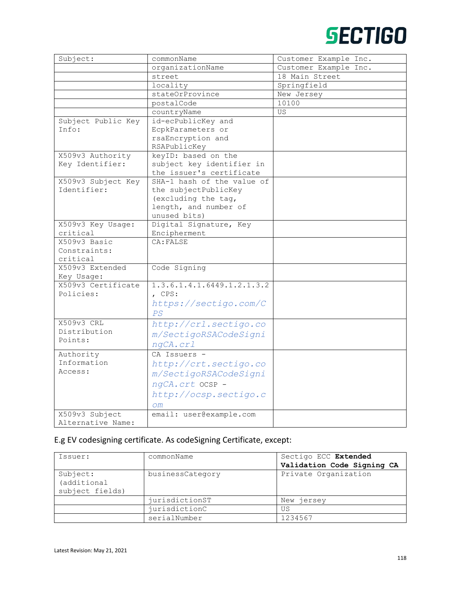| Subject:           | commonName                 | Customer Example Inc. |
|--------------------|----------------------------|-----------------------|
|                    | organizationName           | Customer Example Inc. |
|                    | street                     | 18 Main Street        |
|                    | locality                   | Springfield           |
|                    | stateOrProvince            | New Jersey            |
|                    | postalCode                 | 10100                 |
|                    | countryName                | US                    |
| Subject Public Key | id-ecPublicKey and         |                       |
| Info:              | EcpkParameters or          |                       |
|                    | rsaEncryption and          |                       |
|                    | RSAPublicKey               |                       |
| X509v3 Authority   | keyID: based on the        |                       |
| Key Identifier:    | subject key identifier in  |                       |
|                    | the issuer's certificate   |                       |
| X509v3 Subject Key | SHA-1 hash of the value of |                       |
| Identifier:        | the subjectPublicKey       |                       |
|                    | (excluding the tag,        |                       |
|                    | length, and number of      |                       |
|                    | unused bits)               |                       |
| X509v3 Key Usage:  | Digital Signature, Key     |                       |
| critical           | Encipherment               |                       |
| X509v3 Basic       | CA: FALSE                  |                       |
| Constraints:       |                            |                       |
| critical           |                            |                       |
| X509v3 Extended    | Code Signing               |                       |
| Key Usage:         |                            |                       |
| X509v3 Certificate | 1.3.6.1.4.1.6449.1.2.1.3.2 |                       |
| Policies:          | , CPS:                     |                       |
|                    | https://sectigo.com/C      |                       |
|                    | PS                         |                       |
| X509v3 CRL         | http://crl.sectigo.co      |                       |
| Distribution       | m/SectigoRSACodeSigni      |                       |
| Points:            | ngCA.crl                   |                       |
| Authority          | CA Issuers -               |                       |
| Information        | http://crt.sectigo.co      |                       |
| Access:            |                            |                       |
|                    | m/SectigoRSACodeSigni      |                       |
|                    | ngCA.crt OCSP -            |                       |
|                    | http://ocsp.sectigo.c      |                       |
|                    | O <sub>m</sub>             |                       |
| X509v3 Subject     | email: user@example.com    |                       |
| Alternative Name:  |                            |                       |

### E.g EV codesigning certificate. As codeSigning Certificate, except:

| Issuer:                                    | commonName       | Sectigo ECC Extended<br>Validation Code Signing CA |
|--------------------------------------------|------------------|----------------------------------------------------|
| Subject:<br>(additional<br>subject fields) | businessCategory | Private Organization                               |
|                                            | jurisdictionST   | New jersey                                         |
|                                            | jurisdictionC    | US                                                 |
|                                            | serialNumber     | 1234567                                            |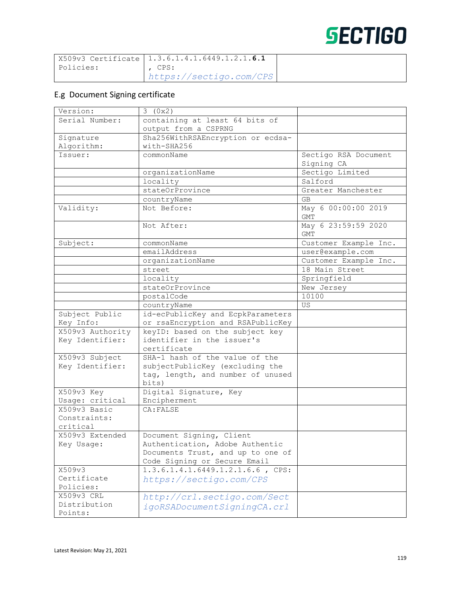|           | $'$ X509v3 Certificate $ 1.3.6.1.4.1.6449.1.2.1.6.1$ |
|-----------|------------------------------------------------------|
| Policies: | . CPS:                                               |
|           | https://sectiqo.com/CPS                              |

#### E.g Document Signing certificate

| Version:         | 3(0x2)                            |                                   |
|------------------|-----------------------------------|-----------------------------------|
| Serial Number:   | containing at least 64 bits of    |                                   |
|                  | output from a CSPRNG              |                                   |
| Signature        | Sha256WithRSAEncryption or ecdsa- |                                   |
| Algorithm:       | with-SHA256                       |                                   |
| Issuer:          | commonName                        | Sectigo RSA Document              |
|                  |                                   | Signing CA                        |
|                  | organizationName                  | Sectigo Limited                   |
|                  | locality                          | Salford                           |
|                  | stateOrProvince                   | Greater Manchester                |
|                  | countryName                       | <b>GB</b>                         |
| Validity:        | Not Before:                       | May 6 00:00:00 2019<br><b>GMT</b> |
|                  | Not After:                        | May 6 23:59:59 2020<br><b>GMT</b> |
| Subject:         | commonName                        | Customer Example Inc.             |
|                  | emailAddress                      | user@example.com                  |
|                  | organizationName                  | Customer Example Inc.             |
|                  | street                            | 18 Main Street                    |
|                  | locality                          | Springfield                       |
|                  | stateOrProvince                   | New Jersey                        |
|                  | postalCode                        | 10100                             |
|                  | countryName                       | US                                |
| Subject Public   | id-ecPublicKey and EcpkParameters |                                   |
| Key Info:        | or rsaEncryption and RSAPublicKey |                                   |
| X509v3 Authority | keyID: based on the subject key   |                                   |
| Key Identifier:  | identifier in the issuer's        |                                   |
|                  | certificate                       |                                   |
| X509v3 Subject   | SHA-1 hash of the value of the    |                                   |
| Key Identifier:  | subjectPublicKey (excluding the   |                                   |
|                  | tag, length, and number of unused |                                   |
|                  | bits)                             |                                   |
| X509v3 Key       | Digital Signature, Key            |                                   |
| Usage: critical  | Encipherment                      |                                   |
| X509v3 Basic     | CA: FALSE                         |                                   |
| Constraints:     |                                   |                                   |
| critical         |                                   |                                   |
| X509v3 Extended  | Document Signing, Client          |                                   |
| Key Usage:       | Authentication, Adobe Authentic   |                                   |
|                  | Documents Trust, and up to one of |                                   |
|                  | Code Signing or Secure Email      |                                   |
| X509v3           | 1.3.6.1.4.1.6449.1.2.1.6.6, CPS:  |                                   |
| Certificate      | https://sectigo.com/CPS           |                                   |
| Policies:        |                                   |                                   |
| X509v3 CRL       | http://crl.sectigo.com/Sect       |                                   |
| Distribution     | igoRSADocumentSigningCA.crl       |                                   |
| Points:          |                                   |                                   |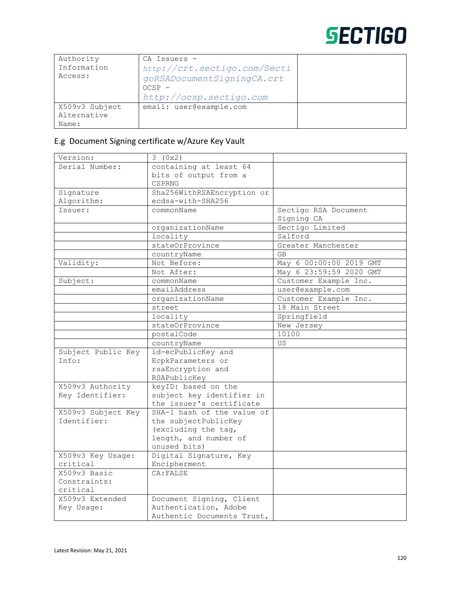| Authority      | CA Issuers -                 |  |
|----------------|------------------------------|--|
| Information    | http://crt.sectigo.com/Secti |  |
| Access:        | goRSADocumentSigningCA.crt   |  |
|                | $OCSP -$                     |  |
|                | http://ocsp.sectigo.com      |  |
| X509v3 Subject | email: user@example.com      |  |
| Alternative    |                              |  |
| Name:          |                              |  |

### E.g Document Signing certificate w/Azure Key Vault

| Version:           | 3(0x2)                     |                         |
|--------------------|----------------------------|-------------------------|
| Serial Number:     | containing at least 64     |                         |
|                    | bits of output from a      |                         |
|                    | CSPRNG                     |                         |
| Signature          | Sha256WithRSAEncryption or |                         |
| Algorithm:         | ecdsa-with-SHA256          |                         |
| Issuer:            | commonName                 | Sectigo RSA Document    |
|                    |                            | Signing CA              |
|                    | organizationName           | Sectigo Limited         |
|                    | locality                   | Salford                 |
|                    | stateOrProvince            | Greater Manchester      |
|                    | countryName                | <b>GB</b>               |
| Validity:          | Not Before:                | May 6 00:00:00 2019 GMT |
|                    | Not After:                 | May 6 23:59:59 2020 GMT |
| Subject:           | commonName                 | Customer Example Inc.   |
|                    | emailAddress               | user@example.com        |
|                    | organizationName           | Customer Example Inc.   |
|                    | street                     | 18 Main Street          |
|                    | locality                   | Springfield             |
|                    | stateOrProvince            | New Jersey              |
|                    | postalCode                 | 10100                   |
|                    | countryName                | US                      |
| Subject Public Key | id-ecPublicKey and         |                         |
| Info:              | EcpkParameters or          |                         |
|                    | rsaEncryption and          |                         |
|                    | RSAPublicKey               |                         |
| X509v3 Authority   | keyID: based on the        |                         |
| Key Identifier:    | subject key identifier in  |                         |
|                    | the issuer's certificate   |                         |
| X509v3 Subject Key | SHA-1 hash of the value of |                         |
| Identifier:        | the subjectPublicKey       |                         |
|                    | (excluding the tag,        |                         |
|                    | length, and number of      |                         |
|                    | unused bits)               |                         |
| X509v3 Key Usage:  | Digital Signature, Key     |                         |
| critical           | Encipherment               |                         |
| X509v3 Basic       | CA: FALSE                  |                         |
| Constraints:       |                            |                         |
| critical           |                            |                         |
| X509v3 Extended    | Document Signing, Client   |                         |
| Key Usage:         | Authentication, Adobe      |                         |
|                    | Authentic Documents Trust, |                         |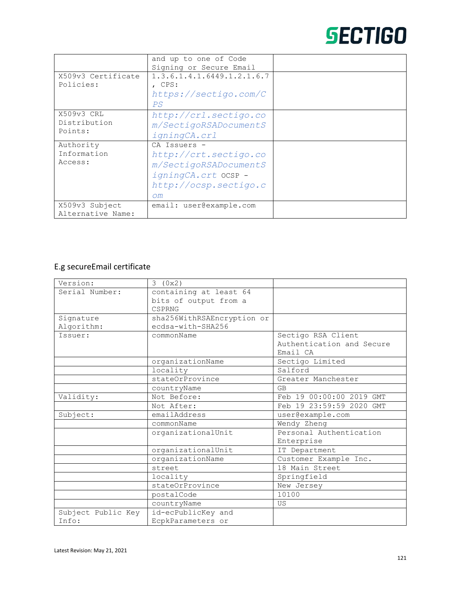|                    | and up to one of Code                 |  |
|--------------------|---------------------------------------|--|
|                    | Signing or Secure Email               |  |
| X509v3 Certificate | 1, 3, 6, 1, 4, 1, 6449, 1, 2, 1, 6, 7 |  |
| Policies:          | , CPS:                                |  |
|                    | https://sectigo.com/C                 |  |
|                    | PS                                    |  |
| X509v3 CRL         | http://crl.sectigo.co                 |  |
| Distribution       | m/SectigoRSADocumentS                 |  |
| Points:            | igningCA.crl                          |  |
| Authority          | CA Issuers -                          |  |
| Information        | http://crt.sectigo.co                 |  |
| Access:            | m/SectigoRSADocumentS                 |  |
|                    | igningCA.crt OCSP -                   |  |
|                    | http://ocsp.sectigo.c                 |  |
|                    | $\bigcirc$ m                          |  |
| X509v3 Subject     | email: user@example.com               |  |
| Alternative Name:  |                                       |  |

### E.g secureEmail certificate

| Version:           | 3(0x2)                     |                           |
|--------------------|----------------------------|---------------------------|
| Serial Number:     | containing at least 64     |                           |
|                    | bits of output from a      |                           |
|                    | <b>CSPRNG</b>              |                           |
| Signature          | sha256WithRSAEncryption or |                           |
| Algorithm:         | ecdsa-with-SHA256          |                           |
| Issuer:            | commonName                 | Sectigo RSA Client        |
|                    |                            | Authentication and Secure |
|                    |                            | Email CA                  |
|                    | organizationName           | Sectigo Limited           |
|                    | locality                   | Salford                   |
|                    | stateOrProvince            | Greater Manchester        |
|                    | countryName                | <b>GB</b>                 |
| Validity:          | Not Before:                | Feb 19 00:00:00 2019 GMT  |
|                    | Not After:                 | Feb 19 23:59:59 2020 GMT  |
| Subject:           | emailAddress               | user@example.com          |
|                    | commonName                 | Wendy Zheng               |
|                    | organizationalUnit         | Personal Authentication   |
|                    |                            | Enterprise                |
|                    | organizationalUnit         | IT Department             |
|                    | organizationName           | Customer Example Inc.     |
|                    | street                     | 18 Main Street            |
|                    | locality                   | Springfield               |
|                    | stateOrProvince            | New Jersey                |
|                    | postalCode                 | 10100                     |
|                    | countryName                | US                        |
| Subject Public Key | id-ecPublicKey and         |                           |
| Info:              | EcpkParameters or          |                           |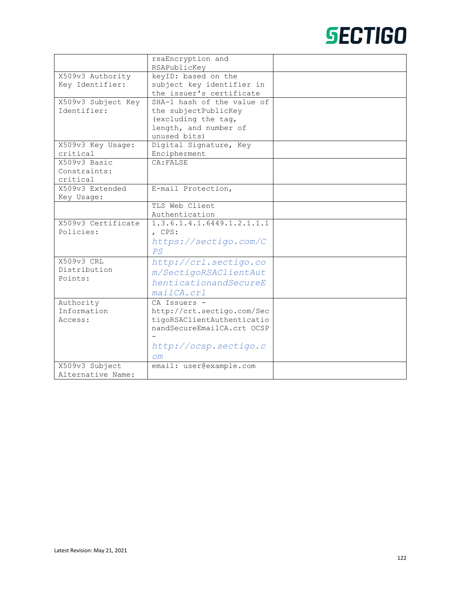|                          | rsaEncryption and                                        |  |
|--------------------------|----------------------------------------------------------|--|
|                          | RSAPublicKey                                             |  |
| X509v3 Authority         | keyID: based on the                                      |  |
| Key Identifier:          | subject key identifier in                                |  |
|                          | the issuer's certificate                                 |  |
| X509v3 Subject Key       | SHA-1 hash of the value of                               |  |
| Identifier:              | the subjectPublicKey                                     |  |
|                          | (excluding the tag,                                      |  |
|                          | length, and number of                                    |  |
|                          | unused bits)                                             |  |
| X509v3 Key Usage:        | Digital Signature, Key                                   |  |
| critical                 | Encipherment                                             |  |
| X509v3 Basic             | CA: FALSE                                                |  |
| Constraints:             |                                                          |  |
| critical                 |                                                          |  |
| X509v3 Extended          | E-mail Protection,                                       |  |
| Key Usage:               |                                                          |  |
|                          | TLS Web Client                                           |  |
|                          | Authentication                                           |  |
| X509v3 Certificate       | 1.3.6.1.4.1.6449.1.2.1.1.1                               |  |
| Policies:                | , CPS:                                                   |  |
|                          | https://sectigo.com/C                                    |  |
|                          | PS                                                       |  |
| X509v3 CRL               | http://crl.sectigo.co                                    |  |
| Distribution             | m/SectigoRSAClientAut                                    |  |
| Points:                  | henticationandSecureE                                    |  |
|                          |                                                          |  |
|                          | mailCA.crl                                               |  |
| Authority<br>Information | CA Issuers -                                             |  |
|                          | http://crt.sectigo.com/Sec                               |  |
| Access:                  | tigoRSAClientAuthenticatio<br>nandSecureEmailCA.crt OCSP |  |
|                          |                                                          |  |
|                          |                                                          |  |
|                          | http://ocsp.sectigo.c                                    |  |
|                          | $\sqrt{2m}$                                              |  |
| X509v3 Subject           | email: user@example.com                                  |  |
| Alternative Name:        |                                                          |  |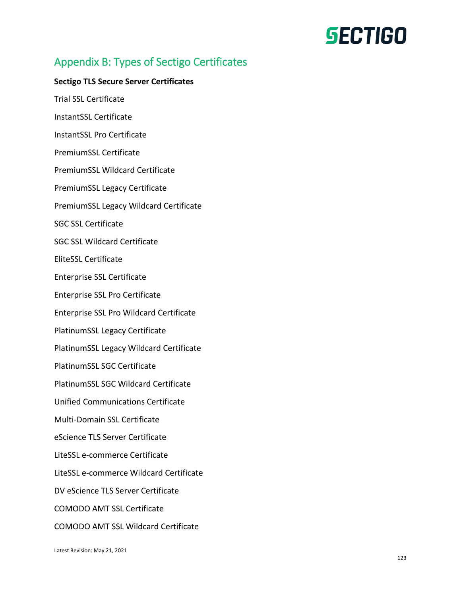# Appendix B: Types of Sectigo Certificates

#### **Sectigo TLS Secure Server Certificates**

Trial SSL Certificate InstantSSL Certificate InstantSSL Pro Certificate PremiumSSL Certificate PremiumSSL Wildcard Certificate PremiumSSL Legacy Certificate PremiumSSL Legacy Wildcard Certificate SGC SSL Certificate SGC SSL Wildcard Certificate EliteSSL Certificate Enterprise SSL Certificate Enterprise SSL Pro Certificate Enterprise SSL Pro Wildcard Certificate PlatinumSSL Legacy Certificate PlatinumSSL Legacy Wildcard Certificate PlatinumSSL SGC Certificate PlatinumSSL SGC Wildcard Certificate Unified Communications Certificate Multi-Domain SSL Certificate eScience TLS Server Certificate LiteSSL e-commerce Certificate LiteSSL e-commerce Wildcard Certificate DV eScience TLS Server Certificate COMODO AMT SSL Certificate COMODO AMT SSL Wildcard Certificate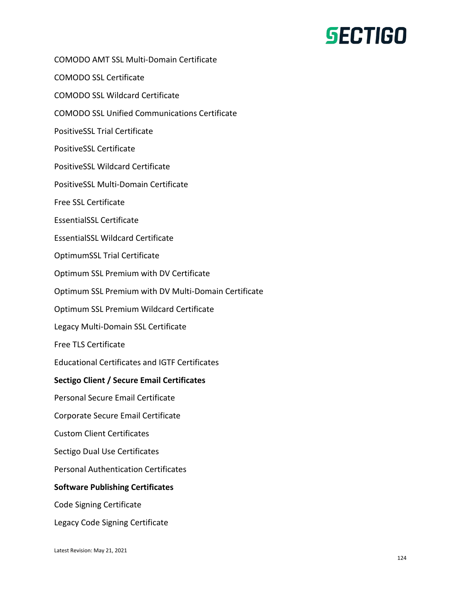COMODO AMT SSL Multi-Domain Certificate COMODO SSL Certificate COMODO SSL Wildcard Certificate COMODO SSL Unified Communications Certificate PositiveSSL Trial Certificate PositiveSSL Certificate PositiveSSL Wildcard Certificate PositiveSSL Multi-Domain Certificate Free SSL Certificate EssentialSSL Certificate EssentialSSL Wildcard Certificate OptimumSSL Trial Certificate Optimum SSL Premium with DV Certificate Optimum SSL Premium with DV Multi-Domain Certificate Optimum SSL Premium Wildcard Certificate Legacy Multi-Domain SSL Certificate Free TLS Certificate Educational Certificates and IGTF Certificates **Sectigo Client / Secure Email Certificates** Personal Secure Email Certificate Corporate Secure Email Certificate Custom Client Certificates Sectigo Dual Use Certificates Personal Authentication Certificates **Software Publishing Certificates** Code Signing Certificate Legacy Code Signing Certificate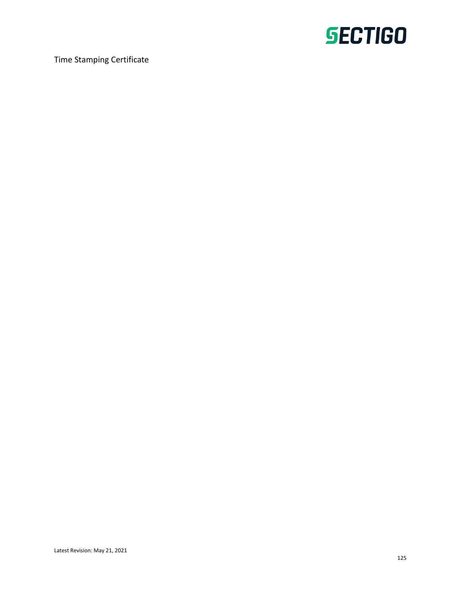

Time Stamping Certificate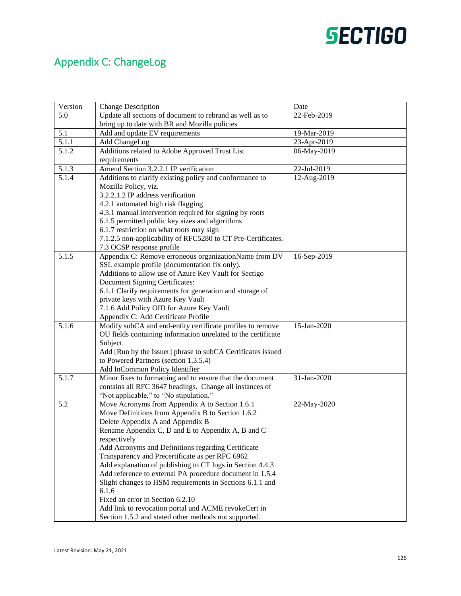# Appendix C: ChangeLog

| Version            | <b>Change Description</b>                                     | Date        |
|--------------------|---------------------------------------------------------------|-------------|
| 5.0                | Update all sections of document to rebrand as well as to      | 22-Feb-2019 |
|                    | bring up to date with BR and Mozilla policies                 |             |
| 5.1                | Add and update EV requirements                                | 19-Mar-2019 |
| 5.1.1              | Add ChangeLog                                                 | 23-Apr-2019 |
| 5.1.2              | Additions related to Adobe Approved Trust List                | 06-May-2019 |
|                    | requirements                                                  |             |
| 5.1.3              | Amend Section 3.2.2.1 IP verification                         | 22-Jul-2019 |
| $\overline{5.1.4}$ | Additions to clarify existing policy and conformance to       | 12-Aug-2019 |
|                    | Mozilla Policy, viz.                                          |             |
|                    | 3.2.2.1.2 IP address verification                             |             |
|                    | 4.2.1 automated high risk flagging                            |             |
|                    | 4.3.1 manual intervention required for signing by roots       |             |
|                    | 6.1.5 permitted public key sizes and algorithms               |             |
|                    | 6.1.7 restriction on what roots may sign                      |             |
|                    | 7.1.2.5 non-applicability of RFC5280 to CT Pre-Certificates.  |             |
|                    | 7.3 OCSP response profile                                     |             |
| 5.1.5              | Appendix C: Remove erroneous organizationName from DV         | 16-Sep-2019 |
|                    | SSL example profile (documentation fix only).                 |             |
|                    | Additions to allow use of Azure Key Vault for Sectigo         |             |
|                    | Document Signing Certificates:                                |             |
|                    | 6.1.1 Clarify requirements for generation and storage of      |             |
|                    | private keys with Azure Key Vault                             |             |
|                    | 7.1.6 Add Policy OID for Azure Key Vault                      |             |
|                    | Appendix C: Add Certificate Profile                           |             |
| 5.1.6              | Modify subCA and end-entity certificate profiles to remove    | 15-Jan-2020 |
|                    | OU fields containing information unrelated to the certificate |             |
|                    | Subject.                                                      |             |
|                    | Add [Run by the Issuer] phrase to subCA Certificates issued   |             |
|                    | to Powered Partners (section 1.3.5.4)                         |             |
|                    | Add InCommon Policy Identifier                                |             |
| 5.1.7              | Minor fixes to formatting and to ensure that the document     | 31-Jan-2020 |
|                    | contains all RFC 3647 headings. Change all instances of       |             |
|                    | "Not applicable," to "No stipulation."                        |             |
| 5.2                | Move Acronyms from Appendix A to Section 1.6.1                | 22-May-2020 |
|                    | Move Definitions from Appendix B to Section 1.6.2             |             |
|                    | Delete Appendix A and Appendix B                              |             |
|                    | Rename Appendix C, D and E to Appendix A, B and C             |             |
|                    | respectively                                                  |             |
|                    | Add Acronyms and Definitions regarding Certificate            |             |
|                    | Transparency and Precertificate as per RFC 6962               |             |
|                    | Add explanation of publishing to CT logs in Section 4.4.3     |             |
|                    | Add reference to external PA procedure document in 1.5.4      |             |
|                    | Slight changes to HSM requirements in Sections 6.1.1 and      |             |
|                    | 6.1.6                                                         |             |
|                    | Fixed an error in Section 6.2.10                              |             |
|                    | Add link to revocation portal and ACME revokeCert in          |             |
|                    | Section 1.5.2 and stated other methods not supported.         |             |